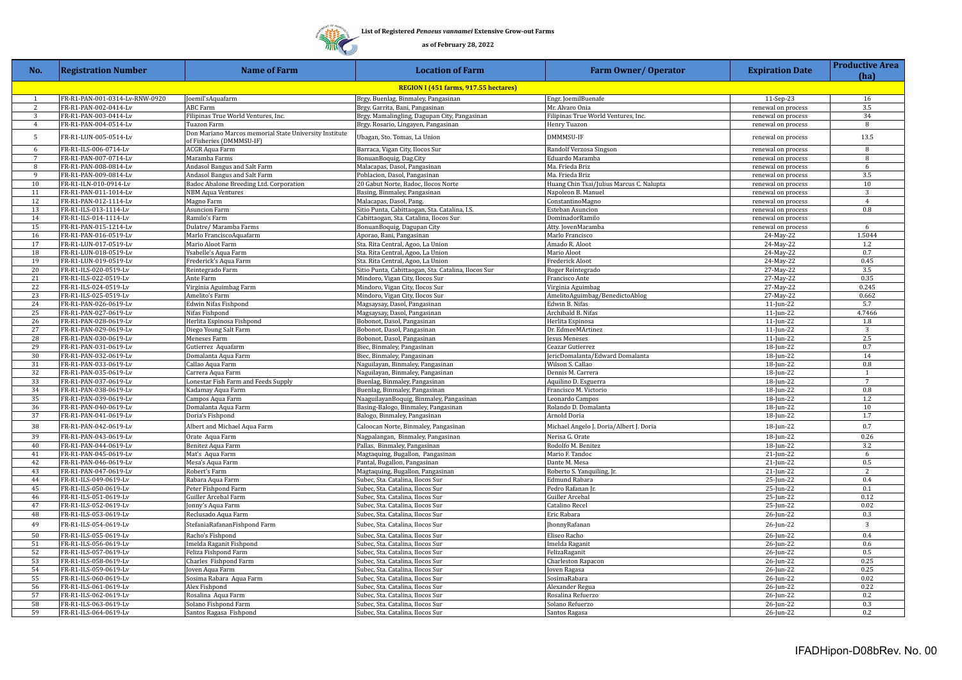**TITT** 

| No.                                          | <b>Registration Number</b>                     | <b>Name of Farm</b>                                                                | <b>Location of Farm</b>                                                                | <b>Farm Owner/ Operator</b>              | <b>Expiration Date</b> | <b>Productive Area</b><br>(ha) |  |  |  |
|----------------------------------------------|------------------------------------------------|------------------------------------------------------------------------------------|----------------------------------------------------------------------------------------|------------------------------------------|------------------------|--------------------------------|--|--|--|
| <b>REGION I (451 farms, 917.55 hectares)</b> |                                                |                                                                                    |                                                                                        |                                          |                        |                                |  |  |  |
| 1                                            | FR-R1-PAN-001-0314-Lv-RNW-0920                 | Joemil'sAquafarm                                                                   | Brgy. Buenlag, Binmaley, Pangasinan                                                    | Engr. JoemilBuenafe                      | 11-Sep-23              | 16                             |  |  |  |
| $\overline{c}$                               | FR-R1-PAN-002-0414-Lv                          | <b>ABC</b> Farm                                                                    | Brgy. Garrita, Bani, Pangasinan                                                        | Mr. Alvaro Onia                          | renewal on process     | 3.5                            |  |  |  |
| 3                                            | FR-R1-PAN-003-0414-Lv                          | Filipinas True World Ventures, Inc.                                                | Brgy. Mamalingling, Dagupan City, Pangasinan                                           | Filipinas True World Ventures, Inc.      | renewal on process     | 34                             |  |  |  |
| $\overline{4}$                               | FR-R1-PAN-004-0514-Lv                          | Tuazon Farm                                                                        | Brgy. Rosario, Lingayen, Pangasinan                                                    | Henry Tuazon                             | renewal on process     | 8                              |  |  |  |
| 5                                            | FR-R1-LUN-005-0514-Lv                          | Don Mariano Marcos memorial State University Institute<br>of Fisheries (DMMMSU-IF) | Ubagan, Sto. Tomas, La Union                                                           | DMMMSU-IF                                | renewal on process     | 13.5                           |  |  |  |
| 6                                            | FR-R1-ILS-006-0714-Lv                          | ACGR Aqua Farm                                                                     | Barraca, Vigan City, Ilocos Sur                                                        | Randolf Verzosa Singson                  | renewal on process     | 8                              |  |  |  |
| 7                                            | FR-R1-PAN-007-0714-Lv                          | Maramba Farms                                                                      | BonuanBoquig, Dag.City                                                                 | Eduardo Maramba                          | renewal on process     | 8                              |  |  |  |
| 8                                            | FR-R1-PAN-008-0814-Lv                          | Andasol Bangus and Salt Farm                                                       | Malacapas, Dasol, Pangasinan                                                           | Ma. Frieda Briz                          | renewal on process     | 6                              |  |  |  |
| 9                                            | FR-R1-PAN-009-0814-Lv                          | Andasol Bangus and Salt Farm                                                       | Poblacion, Dasol, Pangasinan                                                           | Ma. Frieda Briz                          | renewal on process     | 3.5                            |  |  |  |
| 10                                           | FR-R1-ILN-010-0914-Lv                          | Badoc Abalone Breeding Ltd. Corporation                                            | 20 Gabut Norte, Badoc, Ilocos Norte                                                    | Huang Chin Tsai/Julius Marcus C. Nalupta | renewal on process     | 10                             |  |  |  |
| 11                                           | FR-R1-PAN-011-1014-Lv                          | <b>NBM Aqua Ventures</b>                                                           | Basing, Binmaley, Pangasinan                                                           | Napoleon B. Manuel                       | renewal on process     | 3                              |  |  |  |
| 12                                           | FR-R1-PAN-012-1114-Lv                          | Magno Farm                                                                         | Malacapas, Dasol, Pang.                                                                | ConstantinoMagno                         | renewal on process     | $\overline{4}$                 |  |  |  |
| 13                                           | FR-R1-ILS-013-1114-Lv                          | <b>Asuncion Farm</b>                                                               | Sitio Punta, Cabittaogan, Sta. Catalina, I.S.                                          | <b>Esteban Asuncion</b>                  | renewal on process     | 0.8                            |  |  |  |
| 14                                           | FR-R1-ILS-014-1114-Lv                          | Ramilo's Farm                                                                      | Cabittaogan, Sta. Catalina, Ilocos Sur                                                 | DominadorRamilo                          | renewal on process     |                                |  |  |  |
| 15                                           | FR-R1-PAN-015-1214-Lv                          | Dulatre/ Maramba Farms                                                             | BonuanBoquig, Dagupan City                                                             | Atty. JovenMaramba                       | renewal on process     | 6                              |  |  |  |
| 16                                           | FR-R1-PAN-016-0519-Lv                          | Marlo FranciscoAquafarm                                                            | Aporao, Bani, Pangasinan                                                               | Marlo Francisco                          | 24-May-22              | 1.5044                         |  |  |  |
| 17                                           | FR-R1-LUN-017-0519-Lv                          | Mario Aloot Farm                                                                   | Sta. Rita Central, Agoo, La Union                                                      | Amado R. Aloot                           | 24-May-22              | 1.2                            |  |  |  |
| 18<br>19                                     | FR-R1-LUN-018-0519-Lv                          | Ysabelle's Aqua Farm                                                               | Sta. Rita Central, Agoo, La Union                                                      | Mario Aloot                              | 24-May-22              | 0.7<br>0.45                    |  |  |  |
| 20                                           | FR-R1-LUN-019-0519-Lv<br>FR-R1-ILS-020-0519-Lv | Frederick's Aqua Farm                                                              | Sta. Rita Central, Agoo, La Union                                                      | <b>Frederick Aloot</b>                   | 24-May-22              | 3.5                            |  |  |  |
| 21                                           | FR-R1-ILS-022-0519-Lv                          | Reintegrado Farm<br>Ante Farm                                                      | Sitio Punta, Cabittaogan, Sta. Catalina, Ilocos Sur<br>Mindoro, Vigan City, Ilocos Sur | Roger Reintegrado<br>Francisco Ante      | 27-May-22<br>27-May-22 | 0.35                           |  |  |  |
| 22                                           | FR-R1-ILS-024-0519-Lv                          | Virginia Aguimbag Farm                                                             | Mindoro, Vigan City, Ilocos Sur                                                        | Virginia Aguimbag                        | $27-May-22$            | 0.245                          |  |  |  |
| 23                                           | FR-R1-ILS-025-0519-Lv                          | Amelito's Farm                                                                     | Mindoro, Vigan City, Ilocos Sur                                                        | AmelitoAguimbag/BenedictoAblog           | 27-May-22              | 0.662                          |  |  |  |
| 24                                           | FR-R1-PAN-026-0619-Lv                          | Edwin Nifas Fishpond                                                               | Magsaysay, Dasol, Pangasinan                                                           | Edwin B. Nifas                           | 11-Jun-22              | 5.7                            |  |  |  |
| 25                                           | FR-R1-PAN-027-0619-Lv                          | Nifas Fishpond                                                                     | Magsaysay, Dasol, Pangasinan                                                           | Archibald B. Nifas                       | $11$ -Jun-22           | 4.7466                         |  |  |  |
| 26                                           | FR-R1-PAN-028-0619-Lv                          | Herlita Espinosa Fishpond                                                          | Bobonot, Dasol, Pangasinan                                                             | Herlita Espinosa                         | $11$ -Jun-22           | 1.8                            |  |  |  |
| 27                                           | FR-R1-PAN-029-0619-Lv                          | Diego Young Salt Farm                                                              | Bobonot, Dasol, Pangasinan                                                             | Dr. EdmeeMArtinez                        | 11-Jun-22              | 3                              |  |  |  |
| 28                                           | FR-R1-PAN-030-0619-Lv                          | Meneses Farm                                                                       | Bobonot, Dasol, Pangasinan                                                             | esus Meneses                             | 11-Jun-22              | 2.5                            |  |  |  |
| 29                                           | FR-R1-PAN-031-0619-Lv                          | Gutierrez Aquafarm                                                                 | Biec, Binmaley, Pangasinan                                                             | Ceazar Gutierrez                         | 18-Jun-22              | 0.7                            |  |  |  |
| 30                                           | FR-R1-PAN-032-0619-Lv                          | Domalanta Aqua Farm                                                                | Biec, Binmaley, Pangasinan                                                             | JericDomalanta/Edward Domalanta          | 18-Jun-22              | 14                             |  |  |  |
| 31                                           | FR-R1-PAN-033-0619-Lv                          | Callao Aqua Farm                                                                   | Naguilayan, Binmaley, Pangasinan                                                       | Wilson S. Callao                         | 18-Jun-22              | 0.8                            |  |  |  |
| 32                                           | FR-R1-PAN-035-0619-Lv                          | Carrera Aqua Farm                                                                  | Naguilayan, Binmaley, Pangasinan                                                       | Dennis M. Carrera                        | 18-Jun-22              | $\mathbf{1}$                   |  |  |  |
| 33                                           | FR-R1-PAN-037-0619-Lv                          | Lonestar Fish Farm and Feeds Supply                                                | Buenlag, Binmaley, Pangasinan                                                          | Aquilino D. Esguerra                     | 18-Jun-22              | $7\phantom{.0}$                |  |  |  |
| 34                                           | FR-R1-PAN-038-0619-Lv                          | Kadamay Aqua Farm                                                                  | Buenlag, Binmaley, Pangasinan                                                          | Francisco M. Victorio                    | 18-Jun-22              | 0.8                            |  |  |  |
| 35                                           | FR-R1-PAN-039-0619-Lv                          | Campos Aqua Farm                                                                   | NaaguilayanBoquig, Binmaley, Pangasinan                                                | Leonardo Campos                          | 18-Jun-22              | 1.2                            |  |  |  |
| 36                                           | FR-R1-PAN-040-0619-Lv                          | Domalanta Aqua Farm                                                                | Basing-Balogo, Binmaley, Pangasinan                                                    | Rolando D. Domalanta                     | 18-Jun-22              | 10                             |  |  |  |
| 37                                           | FR-R1-PAN-041-0619-Lv                          | Doria's Fishpond                                                                   | Balogo, Binmaley, Pangasinan                                                           | Arnold Doria                             | 18-Jun-22              | 1.7                            |  |  |  |
| 38                                           | FR-R1-PAN-042-0619-Lv                          | Albert and Michael Aqua Farm                                                       | Caloocan Norte, Binmaley, Pangasinan                                                   | Michael Angelo J. Doria/Albert J. Doria  | 18-Jun-22              | 0.7                            |  |  |  |
| 39                                           | FR-R1-PAN-043-0619-Lv                          | Orate Aqua Farm                                                                    | Nagpalangan, Binmaley, Pangasinan                                                      | Nerisa G. Orate                          | 18-Jun-22              | 0.26                           |  |  |  |
| 40<br>41                                     | FR-R1-PAN-044-0619-Lv<br>FR-R1-PAN-045-0619-Lv | Benitez Aqua Farm                                                                  | Pallas, Binmaley, Pangasinan                                                           | Rodolfo M. Benitez                       | 18-Jun-22<br>21-Jun-22 | 3.2<br>6                       |  |  |  |
| 42                                           | FR-R1-PAN-046-0619-Lv                          | Mat's Aqua Farm<br>Mesa's Aqua Farm                                                | Magtaquing, Bugallon, Pangasinan<br>Pantal, Bugallon, Pangasinan                       | Mario F. Tandoc<br>Dante M. Mesa         | 21-Jun-22              | 0.5                            |  |  |  |
| 43                                           | FR-R1-PAN-047-0619-Lv                          | Robert's Farm                                                                      | Magtaquing, Bugallon, Pangasinan                                                       | Roberto S. Yanquiling, Jr.               | 21-Jun-22              | 2                              |  |  |  |
| 44                                           | FR-R1-ILS-049-0619-Lv                          | Rabara Aqua Farm                                                                   | Subec, Sta. Catalina, Ilocos Sur                                                       | <b>Edmund Rabara</b>                     | 25-Jun-22              | 0.4                            |  |  |  |
| 45                                           | FR-R1-ILS-050-0619-Lv                          | Peter Fishpond Farm                                                                | Subec, Sta. Catalina, Ilocos Sur                                                       | Pedro Rafanan Jr.                        | 25-Jun-22              | 0.1                            |  |  |  |
| 46                                           | FR-R1-ILS-051-0619-Lv                          | Guiller Arcebal Farm                                                               | Subec, Sta. Catalina, Ilocos Sur                                                       | Guiller Arcebal                          | 25-Jun-22              | 0.12                           |  |  |  |
| 47                                           | FR-R1-ILS-052-0619-Lv                          | Jonny's Aqua Farm                                                                  | Subec, Sta. Catalina, Ilocos Sur                                                       | Catalino Recel                           | 25-Jun-22              | 0.02                           |  |  |  |
| 48                                           | FR-R1-ILS-053-0619-Lv                          | Reclusado Aqua Farm                                                                | Subec, Sta. Catalina, Ilocos Sur                                                       | Eric Rabara                              | 26-Jun-22              | 0.3                            |  |  |  |
| 49                                           | FR-R1-ILS-054-0619-Lv                          | StefaniaRafananFishpond Farm                                                       | Subec, Sta. Catalina, Ilocos Sur                                                       | JhonnyRafanan                            | 26-Jun-22              | $\overline{3}$                 |  |  |  |
| 50                                           | FR-R1-ILS-055-0619-Lv                          | Racho's Fishpond                                                                   | Subec, Sta. Catalina, Ilocos Sur                                                       | Eliseo Racho                             | 26-Jun-22              | 0.4                            |  |  |  |
| 51                                           | FR-R1-ILS-056-0619-Lv                          | Imelda Raganit Fishpond                                                            | Subec, Sta. Catalina, Ilocos Sur                                                       | Imelda Raganit                           | 26-Jun-22              | 0.6                            |  |  |  |
| 52                                           | FR-R1-ILS-057-0619-Lv                          | Feliza Fishpond Farm                                                               | Subec, Sta. Catalina, Ilocos Sur                                                       | FelizaRaganit                            | 26-Jun-22              | 0.5                            |  |  |  |
| 53                                           | FR-R1-ILS-058-0619-Lv                          | Charles Fishpond Farm                                                              | Subec, Sta. Catalina, Ilocos Sur                                                       | Charleston Rapacon                       | 26-Jun-22              | 0.25                           |  |  |  |
| 54                                           | FR-R1-ILS-059-0619-Lv                          | Joven Aqua Farm                                                                    | Subec, Sta. Catalina, Ilocos Sur                                                       | Joven Ragasa                             | 26-Jun-22              | 0.25                           |  |  |  |
| 55                                           | FR-R1-ILS-060-0619-Lv                          | Sosima Rabara Aqua Farm                                                            | Subec, Sta. Catalina, Ilocos Sur                                                       | SosimaRabara                             | 26-Jun-22              | 0.02                           |  |  |  |
| 56                                           | FR-R1-ILS-061-0619-Lv                          | Alex Fishpond                                                                      | Subec, Sta. Catalina, Ilocos Sur                                                       | Alexander Regua                          | 26-Jun-22              | 0.22                           |  |  |  |
| 57                                           | FR-R1-ILS-062-0619-Lv                          | Rosalina Aqua Farm                                                                 | Subec, Sta. Catalina, Ilocos Sur                                                       | Rosalina Refuerzo                        | 26-Jun-22              | 0.2                            |  |  |  |
| 58                                           | FR-R1-ILS-063-0619-Lv                          | Solano Fishpond Farm                                                               | Subec, Sta. Catalina, Ilocos Sur                                                       | Solano Refuerzo                          | 26-Jun-22              | 0.3                            |  |  |  |
| 59                                           | FR-R1-ILS-064-0619-Lv                          | Santos Ragasa Fishpond                                                             | Subec, Sta. Catalina, Ilocos Sur                                                       | Santos Ragasa                            | 26-Jun-22              | 0.2                            |  |  |  |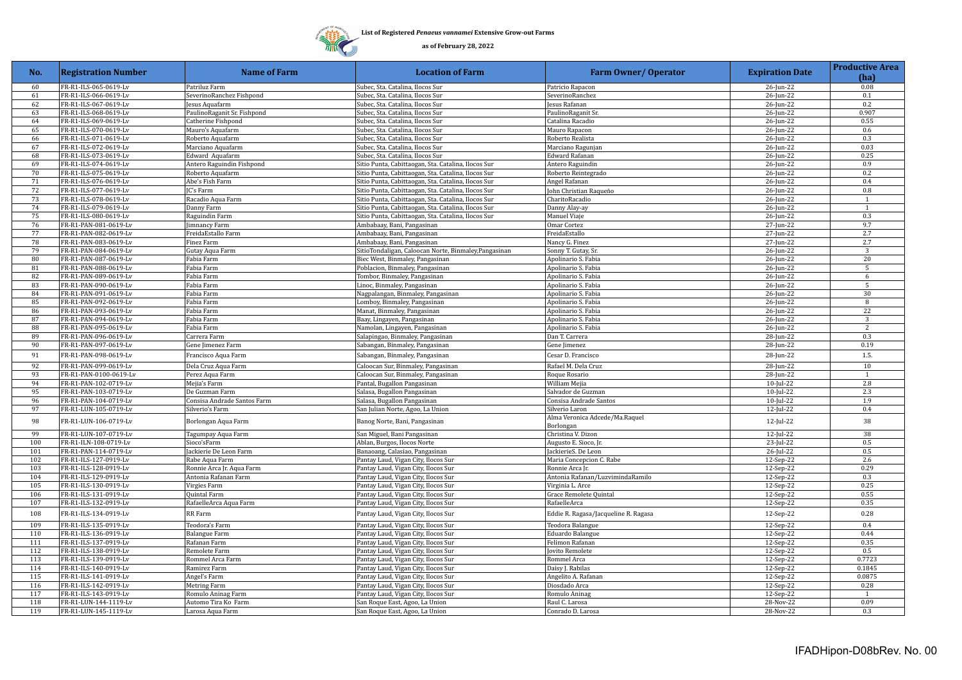

| No. | <b>Registration Number</b> | <b>Name of Farm</b>         | <b>Location of Farm</b>                               | <b>Farm Owner/ Operator</b>                 | <b>Expiration Date</b> | <b>Productive Area</b><br>(ha) |
|-----|----------------------------|-----------------------------|-------------------------------------------------------|---------------------------------------------|------------------------|--------------------------------|
| 60  | FR-R1-ILS-065-0619-Lv      | Patriluz Farm               | Subec, Sta. Catalina, Ilocos Sur                      | Patricio Rapacon                            | 26-Jun-22              | 0.08                           |
| 61  | FR-R1-ILS-066-0619-Lv      | SeverinoRanchez Fishpond    | Subec, Sta. Catalina, Ilocos Sur                      | SeverinoRanchez                             | 26-Jun-22              | 0.1                            |
| 62  | FR-R1-ILS-067-0619-Lv      | esus Aquafarm               | Subec, Sta. Catalina, Ilocos Sur                      | esus Rafanan                                | 26-Jun-22              | 0.2                            |
| 63  | FR-R1-ILS-068-0619-Lv      | PaulinoRaganit Sr. Fishpond | Subec, Sta. Catalina, Ilocos Sur                      | PaulinoRaganit Sr.                          | 26-Jun-22              | 0.907                          |
| 64  | FR-R1-ILS-069-0619-Lv      | Catherine Fishpond          | Subec, Sta. Catalina, Ilocos Sur                      | Catalina Racadio                            | 26-Jun-22              | 0.55                           |
| 65  | FR-R1-ILS-070-0619-Lv      | Mauro's Aquafarm            | Subec, Sta. Catalina, Ilocos Sur                      | Mauro Rapacon                               | 26-Jun-22              | 0.6                            |
| 66  | FR-R1-ILS-071-0619-Lv      | Roberto Aquafarm            | Subec, Sta. Catalina, Ilocos Sur                      | Roberto Realista                            | 26-Jun-22              | 0.3                            |
| 67  | FR-R1-ILS-072-0619-Lv      | Marciano Aquafarm           | Subec, Sta. Catalina, Ilocos Sur                      | Marciano Ragunjan                           | 26-Jun-22              | 0.03                           |
| 68  | FR-R1-ILS-073-0619-Lv      | Edward Aquafarm             | Subec, Sta. Catalina, Ilocos Sur                      | Edward Rafanan                              | 26-Jun-22              | 0.25                           |
| 69  | FR-R1-ILS-074-0619-Lv      | Antero Raguindin Fishpond   | Sitio Punta, Cabittaogan, Sta. Catalina, Ilocos Sur   | Antero Raguindin                            | 26-Jun-22              | 0.9                            |
| 70  | FR-R1-ILS-075-0619-Lv      | Roberto Aquafarm            | Sitio Punta, Cabittaogan, Sta. Catalina, Ilocos Sur   | Roberto Reintegrado                         | $26$ -Jun- $22$        | 0.2                            |
| 71  | FR-R1-ILS-076-0619-Lv      | Abe's Fish Farm             | Sitio Punta, Cabittaogan, Sta. Catalina, Ilocos Sur   | Angel Rafanan                               | 26-Jun-22              | 0.4                            |
| 72  | FR-R1-ILS-077-0619-Lv      | IC's Farm                   | Sitio Punta, Cabittaogan, Sta. Catalina, Ilocos Sur   | John Christian Raqueňo                      | 26-Jun-22              | 0.8                            |
| 73  | FR-R1-ILS-078-0619-Lv      | Racadio Aqua Farm           | Sitio Punta, Cabittaogan, Sta. Catalina, Ilocos Sur   | CharitoRacadio                              | $26$ -Jun-22           | $\mathbf{1}$                   |
| 74  | FR-R1-ILS-079-0619-Lv      | Danny Farm                  | Sitio Punta, Cabittaogan, Sta. Catalina, Ilocos Sur   | Danny Alay-ay                               | 26-Jun-22              | $\mathbf{1}$                   |
| 75  | FR-R1-ILS-080-0619-Lv      | Raguindin Farm              | Sitio Punta, Cabittaogan, Sta. Catalina, Ilocos Sur   | Manuel Viaje                                | 26-Jun-22              | 0.3                            |
| 76  | FR-R1-PAN-081-0619-Lv      | Jimnancy Farm               | Ambabaay, Bani, Pangasinan                            | Omar Cortez                                 | 27-Jun-22              | 9.7                            |
| 77  | FR-R1-PAN-082-0619-Lv      | FreidaEstallo Farm          | Ambabaay, Bani, Pangasinan                            | FreidaEstallo                               | 27-Jun-22              | 2.7                            |
| 78  | FR-R1-PAN-083-0619-Lv      | Finez Farm                  | Ambabaay, Bani, Pangasinan                            | Nancy G. Finez                              | 27-Jun-22              | 2.7                            |
| 79  | FR-R1-PAN-084-0619-Lv      | Gutay Aqua Farm             | SitioTondaligan, Caloocan Norte, Binmaley, Pangasinan | Sonny T. Gutay, Sr.                         | 26-Jun-22              | 3                              |
| 80  | FR-R1-PAN-087-0619-Lv      | Fabia Farm                  | Biec West, Binmaley, Pangasinan                       | Apolinario S. Fabia                         | 26-Jun-22              | $20\,$                         |
| 81  | FR-R1-PAN-088-0619-Lv      | Fabia Farm                  | Poblacion, Binmaley, Pangasinan                       | Apolinario S. Fabia                         | 26-Jun-22              | 5                              |
| 82  | FR-R1-PAN-089-0619-Lv      | Fabia Farm                  | Tombor, Binmaley, Pangasinan                          | Apolinario S. Fabia                         | 26-Jun-22              | 6                              |
| 83  | FR-R1-PAN-090-0619-Lv      | Fabia Farm                  | Linoc, Binmaley, Pangasinan                           | Apolinario S. Fabia                         | 26-Jun-22              | 5                              |
| 84  | FR-R1-PAN-091-0619-Lv      | Fabia Farm                  | Nagpalangan, Binmaley, Pangasinan                     | Apolinario S. Fabia                         | 26-Jun-22              | 30                             |
| 85  | FR-R1-PAN-092-0619-Lv      | Fabia Farm                  | Lomboy, Binmaley, Pangasinan                          | Apolinario S. Fabia                         | 26-Jun-22              | 8                              |
| 86  | FR-R1-PAN-093-0619-Lv      | Fabia Farm                  | Manat, Binmaley, Pangasinan                           | Apolinario S. Fabia                         | 26-Jun-22              | 22                             |
| 87  | FR-R1-PAN-094-0619-Lv      | Fabia Farm                  | Baay, Lingayen, Pangasinan                            | Apolinario S. Fabia                         | 26-Jun-22              | $\overline{3}$                 |
| 88  | FR-R1-PAN-095-0619-Lv      | Fabia Farm                  | Namolan, Lingayen, Pangasinan                         | Apolinario S. Fabia                         | 26-Jun-22              | $\overline{c}$                 |
| 89  | FR-R1-PAN-096-0619-Lv      | Carrera Farm                | Salapingao, Binmaley, Pangasinan                      | Dan T. Carrera                              | 28-Jun-22              | 0.3                            |
| 90  | FR-R1-PAN-097-0619-Lv      | Gene Jimenez Farm           | Sabangan, Binmaley, Pangasinan                        | Gene Jimenez                                | 28-Jun-22              | 0.19                           |
| 91  | FR-R1-PAN-098-0619-Lv      | Francisco Aqua Farm         | Sabangan, Binmaley, Pangasinan                        | Cesar D. Francisco                          | 28-Jun-22              | 1.5.                           |
| 92  | FR-R1-PAN-099-0619-Lv      | Dela Cruz Aqua Farm         | Caloocan Sur, Binmaley, Pangasinan                    | Rafael M. Dela Cruz                         | 28-Jun-22              | 10                             |
| 93  | FR-R1-PAN-0100-0619-Lv     | Perez Aqua Farm             | Caloocan Sur, Binmaley, Pangasinan                    | Roque Rosario                               | 28-Jun-22              | $\mathbf{1}$                   |
| 94  | FR-R1-PAN-102-0719-Lv      | Mejia's Farm                | Pantal, Bugallon Pangasinan                           | William Mejia                               | 10-Jul-22              | 2.8                            |
| 95  | FR-R1-PAN-103-0719-Lv      | De Guzman Farm              | Salasa, Bugallon Pangasinan                           | Salvador de Guzman                          | $10$ -Jul-22           | 2.3                            |
| 96  | FR-R1-PAN-104-0719-Lv      | Consisa Andrade Santos Farm | Salasa, Bugallon Pangasinan                           | Consisa Andrade Santos                      | $10$ -Jul-22           | 1.9                            |
| 97  | FR-R1-LUN-105-0719-Lv      | Silverio's Farm             | San Julian Norte, Agoo, La Union                      | Silverio Laron                              | 12-Jul-22              | 0.4                            |
| 98  | FR-R1-LUN-106-0719-Lv      | Borlongan Aqua Farm         | Banog Norte, Bani, Pangasinan                         | Alma Veronica Adcede/Ma.Raquel<br>Borlongan | 12-Jul-22              | 38                             |
| 99  | FR-R1-LUN-107-0719-Lv      | Tagumpay Aqua Farm          | San Miguel, Bani Pangasinan                           | Christina V. Dizon                          | $12$ -Jul-22           | 38                             |
| 100 | FR-R1-ILN-108-0719-Lv      | Sioco'sFarm                 | Ablan, Burgos, Ilocos Norte                           | Augusto E. Sioco, Jr.                       | 23-Jul-22              | 0.5                            |
| 101 | FR-R1-PAN-114-0719-Lv      | Jackierie De Leon Farm      | Banaoang, Calasiao, Pangasinan                        | JackierieS. De Leon                         | 26-Jul-22              | 0.5                            |
| 102 | FR-R1-ILS-127-0919-Lv      | Rabe Aqua Farm              | Pantay Laud, Vigan City, Ilocos Sur                   | Maria Concepcion C. Rabe                    | 12-Sep-22              | 2.6                            |
| 103 | FR-R1-ILS-128-0919-Lv      | Ronnie Arca Jr. Aqua Farm   | Pantay Laud, Vigan City, Ilocos Sur                   | Ronnie Arca Jr.                             | 12-Sep-22              | 0.29                           |
| 104 | FR-R1-ILS-129-0919-Lv      | Antonia Rafanan Farm        | Pantay Laud, Vigan City, Ilocos Sur                   | Antonia Rafanan/LuzvimindaRamilo            | 12-Sep-22              | 0.3                            |
| 105 | FR-R1-ILS-130-0919-Lv      | Virgies Farm                | Pantay Laud, Vigan City, Ilocos Sur                   | Virginia L. Arce                            | 12-Sep-22              | 0.25                           |
| 106 | FR-R1-ILS-131-0919-Lv      | Quintal Farm                | Pantay Laud, Vigan City, Ilocos Sur                   | Grace Remolete Quintal                      | 12-Sep-22              | 0.55                           |
| 107 | FR-R1-ILS-132-0919-Lv      | RafaelleArca Aqua Farm      | Pantay Laud, Vigan City, Ilocos Sur                   | RafaelleArca                                | 12-Sep-22              | 0.35                           |
| 108 | FR-R1-ILS-134-0919-Lv      | RR Farm                     | Pantay Laud, Vigan City, Ilocos Sur                   | Eddie R. Ragasa/Jacqueline R. Ragasa        | 12-Sep-22              | 0.28                           |
| 109 | FR-R1-ILS-135-0919-Lv      | Teodora's Farm              | Pantay Laud, Vigan City, Ilocos Sur                   | Teodora Balangue                            | 12-Sep-22              | 0.4                            |
| 110 | FR-R1-ILS-136-0919-Lv      | <b>Balangue Farm</b>        | Pantay Laud, Vigan City, Ilocos Sur                   | Eduardo Balangue                            | 12-Sep-22              | 0.44                           |
| 111 | FR-R1-ILS-137-0919-Lv      | Rafanan Farm                | Pantay Laud, Vigan City, Ilocos Sur                   | Felimon Rafanan                             | 12-Sep-22              | 0.35                           |
| 112 | FR-R1-ILS-138-0919-Lv      | Remolete Farm               | Pantay Laud, Vigan City, Ilocos Sur                   | ovito Remolete                              | 12-Sep-22              | 0.5                            |
| 113 | FR-R1-ILS-139-0919-Lv      | Rommel Arca Farm            | Pantay Laud, Vigan City, Ilocos Sur                   | Rommel Arca                                 | 12-Sep-22              | 0.7723                         |
| 114 | FR-R1-ILS-140-0919-Lv      | Ramirez Farm                | Pantay Laud, Vigan City, Ilocos Sur                   | Daisy J. Rabilas                            | 12-Sep-22              | 0.1845                         |
| 115 | FR-R1-ILS-141-0919-Lv      | Angel's Farm                | Pantay Laud, Vigan City, Ilocos Sur                   | Angelito A. Rafanan                         | 12-Sep-22              | 0.0875                         |
| 116 | FR-R1-ILS-142-0919-Lv      | Metring Farm                | Pantay Laud, Vigan City, Ilocos Sur                   | Diosdado Arca                               | 12-Sep-22              | 0.28                           |
| 117 | FR-R1-ILS-143-0919-Lv      | Romulo Aninag Farm          | Pantay Laud, Vigan City, Ilocos Sur                   | Romulo Aninag                               | 12-Sep-22              | 1                              |
| 118 | FR-R1-LUN-144-1119-Lv      | Automo Tira Ko Farm         | San Roque East, Agoo, La Union                        | Raul C. Larosa                              | 28-Nov-22              | 0.09                           |
| 119 | FR-R1-LUN-145-1119-Lv      | Larosa Aqua Farm            | San Roque East, Agoo, La Union                        | Conrado D. Larosa                           | 28-Nov-22              | 0.3                            |
|     |                            |                             |                                                       |                                             |                        |                                |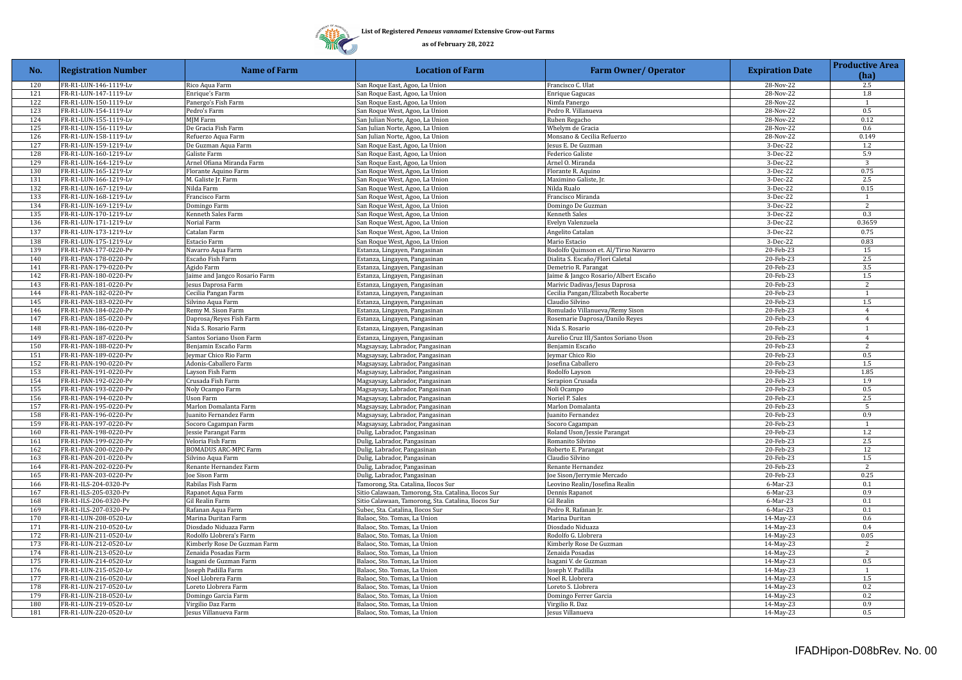

| No.        | <b>Registration Number</b>                     | <b>Name of Farm</b>                      | <b>Location of Farm</b>                                    | <b>Farm Owner/ Operator</b>            | <b>Expiration Date</b> | <b>Productive Area</b><br>(ha) |
|------------|------------------------------------------------|------------------------------------------|------------------------------------------------------------|----------------------------------------|------------------------|--------------------------------|
| 120        | FR-R1-LUN-146-1119-Lv                          | Rico Aqua Farm                           | San Roque East, Agoo, La Union                             | Francisco C. Ulat                      | 28-Nov-22              | 2.5                            |
| 121        | FR-R1-LUN-147-1119-Lv                          | Enrique's Farm                           | San Roque East, Agoo, La Union                             | <b>Enrique Gagucas</b>                 | 28-Nov-22              | 1.8                            |
| 122        | FR-R1-LUN-150-1119-Lv                          | Panergo's Fish Farm                      | San Roque East, Agoo, La Union                             | Nimfa Panergo                          | 28-Nov-22              | $\mathbf{1}$                   |
| 123        | FR-R1-LUN-154-1119-Lv                          | Pedro's Farm                             | San Roque West, Agoo, La Union                             | Pedro R. Villanueva                    | 28-Nov-22              | 0.5                            |
| 124        | FR-R1-LUN-155-1119-Lv                          | MJM Farm                                 | San Julian Norte, Agoo, La Union                           | Ruben Regacho                          | 28-Nov-22              | 0.12                           |
| 125        | FR-R1-LUN-156-1119-Lv                          | De Gracia Fish Farm                      | San Julian Norte, Agoo, La Union                           | Whelym de Gracia                       | 28-Nov-22              | 0.6                            |
| 126        | FR-R1-LUN-158-1119-Lv                          | Refuerzo Aqua Farm                       | San Julian Norte, Agoo, La Union                           | Monsano & Cecilia Refuerzo             | 28-Nov-22              | 0.149                          |
| 127        | FR-R1-LUN-159-1219-Lv                          | De Guzman Aqua Farm                      | San Roque East, Agoo, La Union                             | esus E. De Guzman                      | 3-Dec-22               | 1.2                            |
| 128        | FR-R1-LUN-160-1219-Lv                          | Galiste Farm                             | San Roque East, Agoo, La Union                             | Federico Galiste                       | 3-Dec-22               | 5.9                            |
| 129        | FR-R1-LUN-164-1219-Lv                          | Arnel Ofiana Miranda Farm                | San Roque East, Agoo, La Union                             | Arnel O. Miranda                       | 3-Dec-22               | 3                              |
| 130        | FR-R1-LUN-165-1219-Lv                          | Florante Aquino Farm                     | San Roque West, Agoo, La Union                             | Florante R. Aquino                     | 3-Dec-22               | 0.75                           |
| 131        | FR-R1-LUN-166-1219-Lv                          | M. Galiste Jr. Farm                      | San Roque West, Agoo, La Union                             | Maximino Galiste, Jr.                  | 3-Dec-22               | 2.5                            |
| 132        | FR-R1-LUN-167-1219-Lv                          | Nilda Farm                               | San Roque West, Agoo, La Union                             | Nilda Rualo                            | 3-Dec-22               | 0.15                           |
| 133        | FR-R1-LUN-168-1219-Lv                          | Francisco Farm                           | San Roque West, Agoo, La Union                             | Francisco Miranda                      | 3-Dec-22               | 1                              |
| 134        | FR-R1-LUN-169-1219-Lv                          | Domingo Farm                             | San Roque West, Agoo, La Union                             | Domingo De Guzman                      | 3-Dec-22               | 2                              |
| 135        | FR-R1-LUN-170-1219-Lv                          | Kenneth Sales Farm                       | San Roque West, Agoo, La Union                             | Kenneth Sales                          | 3-Dec-22               | 0.3                            |
| 136        | FR-R1-LUN-171-1219-Lv                          | Norial Farm                              | San Roque West, Agoo, La Union                             | Evelyn Valenzuela                      | 3-Dec-22               | 0.3659                         |
| 137        | FR-R1-LUN-173-1219-Lv                          | Catalan Farm                             | San Roque West, Agoo, La Union                             | Angelito Catalan                       | 3-Dec-22               | 0.75                           |
| 138        | FR-R1-LUN-175-1219-Lv                          | Estacio Farm                             | San Roque West, Agoo, La Union                             | Mario Estacio                          | 3-Dec-22               | 0.83                           |
| 139        | FR-R1-PAN-177-0220-Pv                          | Navarro Aqua Farm                        | Estanza, Lingayen, Pangasinan                              | Rodolfo Quimson et. Al/Tirso Navarro   | 20-Feb-23              | 15                             |
| 140        | FR-R1-PAN-178-0220-Pv                          | Escaño Fish Farm                         | Estanza, Lingayen, Pangasinan                              | Dialita S. Escaño/Flori Caletal        | 20-Feb-23              | 2.5                            |
| 141        | FR-R1-PAN-179-0220-Pv                          | Agido Farm                               | Estanza, Lingayen, Pangasinan                              | Demetrio R. Parangat                   | 20-Feb-23              | 3.5                            |
| 142        | FR-R1-PAN-180-0220-Pv                          | aime and Jangco Rosario Farm             | Estanza, Lingayen, Pangasinan                              | aime & Jangco Rosario/Albert Escaño    | 20-Feb-23              | 1.5                            |
| 143        | FR-R1-PAN-181-0220-Pv                          | esus Daprosa Farm                        | Estanza, Lingayen, Pangasinan                              | Marivic Dadivas/Jesus Daprosa          | 20-Feb-23              | 2                              |
| 144        | FR-R1-PAN-182-0220-Pv                          | Cecilia Pangan Farm                      | Estanza, Lingayen, Pangasinan                              | Cecilia Pangan/Elizabeth Rocaberte     | 20-Feb-23              | $\mathbf{1}$                   |
| 145        | FR-R1-PAN-183-0220-Pv                          | Silvino Aqua Farm                        | Estanza, Lingayen, Pangasinan                              | Claudio Silvino                        | 20-Feb-23              | 1.5                            |
| 146        | FR-R1-PAN-184-0220-Pv                          | Remy M. Sison Farm                       | Estanza, Lingayen, Pangasinan                              | Romulado Villanueva/Remy Sison         | 20-Feb-23              | $\overline{4}$                 |
| 147        | FR-R1-PAN-185-0220-Pv                          | Daprosa/Reyes Fish Farm                  | Estanza, Lingayen, Pangasinan                              | Rosemarie Daprosa/Danilo Reyes         | 20-Feb-23              | $\overline{4}$                 |
| 148        | FR-R1-PAN-186-0220-Pv                          | Nida S. Rosario Farm                     | Estanza, Lingayen, Pangasinan                              | Nida S. Rosario                        | 20-Feb-23              | 1                              |
| 149        | FR-R1-PAN-187-0220-Pv                          | Santos Soriano Uson Farm                 | Estanza, Lingayen, Pangasinan                              | Aurelio Cruz III/Santos Soriano Uson   | 20-Feb-23              | $\overline{4}$                 |
| 150        | FR-R1-PAN-188-0220-Pv                          | Benjamin Escaño Farm                     | Magsaysay, Labrador, Pangasinan                            | Benjamin Escaño                        | 20-Feb-23              | $\overline{2}$                 |
| 151        | FR-R1-PAN-189-0220-Pv                          | eymar Chico Rio Farm                     | Magsaysay, Labrador, Pangasinan                            | eymar Chico Rio                        | 20-Feb-23              | 0.5                            |
| 152        | FR-R1-PAN-190-0220-Pv                          | Adonis-Caballero Farm                    | Magsaysay, Labrador, Pangasinan                            | osefina Caballero                      | 20-Feb-23              | 1.5                            |
| 153        | FR-R1-PAN-191-0220-Pv                          | Layson Fish Farm                         | Magsaysay, Labrador, Pangasinan                            | Rodolfo Layson                         | 20-Feb-23              | 1.85                           |
| 154        | FR-R1-PAN-192-0220-Pv                          | Crusada Fish Farm                        | Magsaysay, Labrador, Pangasinan                            | Serapion Crusada                       | 20-Feb-23              | 1.9                            |
| 155        | FR-R1-PAN-193-0220-Pv                          | Noly Ocampo Farm                         | Magsaysay, Labrador, Pangasinan                            | Noli Ocampo                            | $20$ -Feb-23           | 0.5                            |
| 156        | FR-R1-PAN-194-0220-Pv                          | Uson Farm                                | Magsaysay, Labrador, Pangasinan                            | Noriel P. Sales                        | 20-Feb-23              | 2.5                            |
| 157        | FR-R1-PAN-195-0220-Pv                          | Marlon Domalanta Farm                    | Magsaysay, Labrador, Pangasinan                            | Marlon Domalanta                       | 20-Feb-23              | 5                              |
| 158        | FR-R1-PAN-196-0220-Pv                          | uanito Fernandez Farm                    | Magsaysay, Labrador, Pangasinan                            | uanito Fernandez                       | 20-Feb-23              | 0.9<br>$\mathbf{1}$            |
| 159        | FR-R1-PAN-197-0220-Pv                          | Socoro Cagampan Farm                     | Magsaysay, Labrador, Pangasinan                            | Socoro Cagampan                        | 20-Feb-23              |                                |
| 160<br>161 | FR-R1-PAN-198-0220-Pv                          | essie Parangat Farm<br>Veloria Fish Farm | Dulig, Labrador, Pangasinan                                | Roland Uson/Jessie Parangat            | 20-Feb-23<br>20-Feb-23 | 1.2<br>2.5                     |
| 162        | FR-R1-PAN-199-0220-Pv<br>FR-R1-PAN-200-0220-Pv | <b>BOMADUS ARC-MPC Farm</b>              | Dulig, Labrador, Pangasinan                                | Romanito Silvino                       | 20-Feb-23              | 12                             |
| 163        | FR-R1-PAN-201-0220-Pv                          | Silvino Aqua Farm                        | Dulig, Labrador, Pangasinan<br>Dulig, Labrador, Pangasinan | Roberto E. Parangat<br>Claudio Silvino | 20-Feb-23              | $1.5\,$                        |
| 164        | FR-R1-PAN-202-0220-Pv                          | Renante Hernandez Farm                   | Dulig, Labrador, Pangasinan                                | Renante Hernandez                      | 20-Feb-23              | 2                              |
| 165        | FR-R1-PAN-203-0220-Pv                          | oe Sison Farm                            | Dulig, Labrador, Pangasinan                                | oe Sison/Jerrymie Mercado              | 20-Feb-23              | 0.25                           |
| 166        | FR-R1-ILS-204-0320-Pv                          | Rabilas Fish Farm                        | Tamorong, Sta. Catalina, Ilocos Sur                        | Leovino Realin/Josefina Realin         | 6-Mar-23               | 0.1                            |
| 167        | FR-R1-ILS-205-0320-Pv                          | Rapanot Aqua Farm                        | Sitio Calawaan, Tamorong, Sta. Catalina, Ilocos Sur        | Dennis Rapanot                         | 6-Mar-23               | 0.9                            |
| 168        | FR-R1-ILS-206-0320-Pv                          | Gil Realin Farm                          | Sitio Calawaan, Tamorong, Sta. Catalina, Ilocos Sur        | Gil Realin                             | 6-Mar-23               | 0.1                            |
| 169        | FR-R1-ILS-207-0320-Pv                          | Rafanan Aqua Farm                        | Subec, Sta. Catalina, Ilocos Sur                           | Pedro R. Rafanan Jr.                   | 6-Mar-23               | 0.1                            |
| 170        | FR-R1-LUN-208-0520-Lv                          | Marina Duritan Farm                      | Balaoc, Sto. Tomas, La Union                               | Marina Duritan                         | 14-May-23              | 0.6                            |
| 171        | FR-R1-LUN-210-0520-Lv                          | Diosdado Niduaza Farm                    | Balaoc, Sto. Tomas, La Union                               | Diosdado Niduaza                       | 14-May-23              | 0.4                            |
| 172        | FR-R1-LUN-211-0520-Lv                          | Rodolfo Llobrera's Farm                  | Balaoc, Sto. Tomas, La Union                               | Rodolfo G. Llobrera                    | 14-May-23              | 0.05                           |
| 173        | FR-R1-LUN-212-0520-Lv                          | Kimberly Rose De Guzman Farm             | Balaoc, Sto. Tomas, La Union                               | Kimberly Rose De Guzman                | $14$ -May-23           | $\overline{2}$                 |
| 174        | FR-R1-LUN-213-0520-Lv                          | Zenaida Posadas Farm                     | Balaoc, Sto. Tomas, La Union                               | Zenaida Posadas                        | 14-May-23              | 2                              |
| 175        | FR-R1-LUN-214-0520-Lv                          | Isagani de Guzman Farm                   | Balaoc, Sto. Tomas, La Union                               | sagani V. de Guzman                    | 14-May-23              | 0.5                            |
| 176        | FR-R1-LUN-215-0520-Lv                          | oseph Padilla Farm                       | Balaoc, Sto. Tomas, La Union                               | oseph V. Padilla                       | 14-May-23              | $\mathbf{1}$                   |
| 177        | FR-R1-LUN-216-0520-Lv                          | Noel Llobrera Farm                       | Balaoc, Sto. Tomas, La Union                               | Noel R. Llobrera                       | 14-May-23              | 1.5                            |
| 178        | FR-R1-LUN-217-0520-Lv                          | Loreto Llobrera Farm                     | Balaoc, Sto. Tomas, La Union                               | Loreto S. Llobrera                     | 14-May-23              | 0.2                            |
| 179        | FR-R1-LUN-218-0520-Lv                          | Domingo Garcia Farm                      | Balaoc, Sto. Tomas, La Union                               | Domingo Ferrer Garcia                  | 14-May-23              | 0.2                            |
| 180        | FR-R1-LUN-219-0520-Lv                          | Virgilio Daz Farm                        | Balaoc, Sto. Tomas, La Union                               | Virgilio R. Daz                        | 14-May-23              | 0.9                            |
| 181        | FR-R1-LUN-220-0520-Lv                          | Jesus Villanueva Farm                    | Balaoc, Sto. Tomas, La Union                               | Jesus Villanueva                       | 14-May-23              | 0.5                            |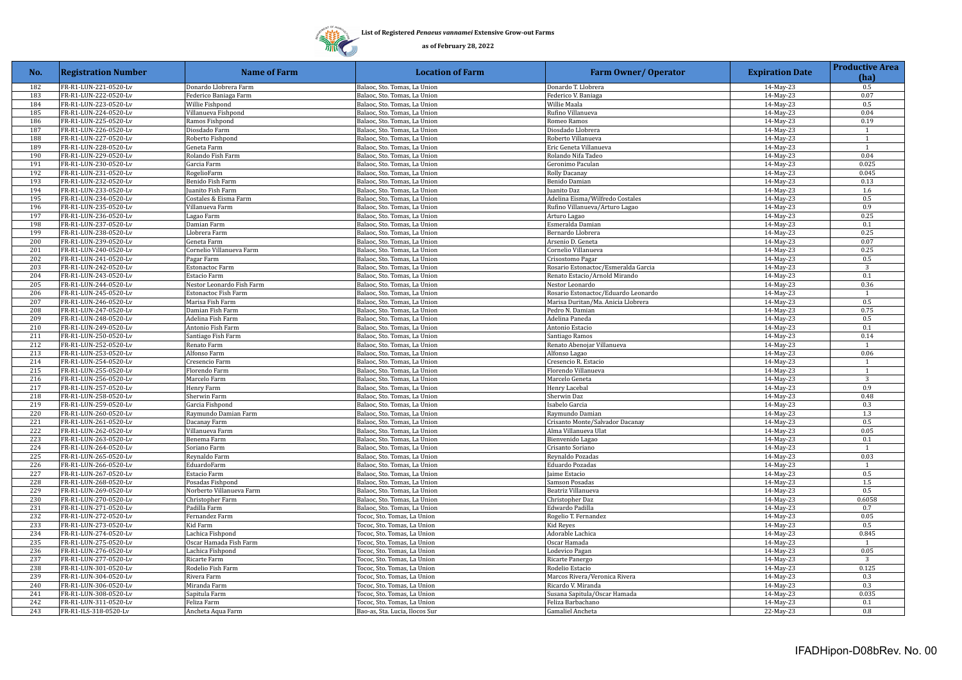

| No. | <b>Registration Number</b> | <b>Name of Farm</b>       | <b>Location of Farm</b>        | <b>Farm Owner/ Operator</b>         | <b>Expiration Date</b> | <b>Productive Area</b><br>(ha) |
|-----|----------------------------|---------------------------|--------------------------------|-------------------------------------|------------------------|--------------------------------|
| 182 | FR-R1-LUN-221-0520-Lv      | Donardo Llobrera Farm     | Balaoc, Sto. Tomas, La Union   | Donardo T. Llobrera                 | 14-May-23              | 0.5                            |
| 183 | FR-R1-LUN-222-0520-Lv      | Federico Baniaga Farm     | Balaoc, Sto. Tomas, La Union   | Federico V. Baniaga                 | 14-May-23              | 0.07                           |
| 184 | FR-R1-LUN-223-0520-Lv      | Willie Fishpond           | Balaoc, Sto. Tomas, La Union   | Willie Maala                        | 14-May-23              | 0.5                            |
| 185 | FR-R1-LUN-224-0520-Lv      | Villanueva Fishpond       | Balaoc, Sto. Tomas, La Union   | Rufino Villanueva                   | 14-May-23              | 0.04                           |
| 186 | FR-R1-LUN-225-0520-Lv      | Ramos Fishpond            | Balaoc, Sto. Tomas, La Union   | Romeo Ramos                         | 14-May-23              | 0.19                           |
| 187 | FR-R1-LUN-226-0520-Lv      | Diosdado Farm             | Balaoc, Sto. Tomas, La Union   | Diosdado Llobrera                   | 14-May-23              | $\mathbf{1}$                   |
| 188 | FR-R1-LUN-227-0520-Lv      | Roberto Fishpond          | Balaoc, Sto. Tomas, La Union   | Roberto Villanueva                  | 14-May-23              | -1                             |
| 189 | FR-R1-LUN-228-0520-Lv      | Geneta Farm               | Balaoc, Sto. Tomas, La Union   | Eric Geneta Villanueva              | 14-May-23              | $\mathbf{1}$                   |
| 190 | FR-R1-LUN-229-0520-Lv      | Rolando Fish Farm         | Balaoc, Sto. Tomas, La Union   | Rolando Nifa Tadeo                  | 14-May-23              | 0.04                           |
| 191 | FR-R1-LUN-230-0520-Lv      | Garcia Farm               | Balaoc, Sto. Tomas, La Union   | Geronimo Paculan                    | 14-May-23              | 0.025                          |
| 192 | FR-R1-LUN-231-0520-Lv      | RogelioFarm               | Balaoc, Sto. Tomas, La Union   | Rolly Dacanay                       | 14-May-23              | 0.045                          |
| 193 | FR-R1-LUN-232-0520-Lv      | Benido Fish Farm          | Balaoc, Sto. Tomas, La Union   | Benido Damian                       | 14-May-23              | 0.13                           |
| 194 | FR-R1-LUN-233-0520-Lv      | Juanito Fish Farm         | Balaoc, Sto. Tomas, La Union   | uanito Daz                          | 14-May-23              | 1.6                            |
| 195 | FR-R1-LUN-234-0520-Lv      | Costales & Eisma Farm     | Balaoc, Sto. Tomas, La Union   | Adelina Eisma/Wilfredo Costales     | 14-May-23              | 0.5                            |
| 196 | FR-R1-LUN-235-0520-Lv      | Villanueva Farm           | Balaoc, Sto. Tomas, La Union   | Rufino Villanueva/Arturo Lagao      | 14-May-23              | 0.9                            |
| 197 | FR-R1-LUN-236-0520-Lv      | Lagao Farm                | Balaoc, Sto. Tomas, La Union   | Arturo Lagao                        | 14-May-23              | 0.25                           |
| 198 | FR-R1-LUN-237-0520-Lv      | Damian Farm               | Balaoc, Sto. Tomas, La Union   | Esmeralda Damian                    | 14-May-23              | 0.1                            |
| 199 | FR-R1-LUN-238-0520-Lv      | Llobrera Farm             | Balaoc, Sto. Tomas, La Union   | Bernardo Llobrera                   | 14-May-23              | 0.25                           |
| 200 | FR-R1-LUN-239-0520-Lv      | Geneta Farm               | Balaoc, Sto. Tomas, La Union   | Arsenio D. Geneta                   | 14-May-23              | 0.07                           |
| 201 | FR-R1-LUN-240-0520-Lv      | Cornelio Villanueva Farm  | Balaoc, Sto. Tomas, La Union   | Cornelio Villanueva                 | 14-May-23              | 0.25                           |
| 202 | FR-R1-LUN-241-0520-Lv      | Pagar Farm                | Balaoc, Sto. Tomas, La Union   | Crisostomo Pagar                    | 14-May-23              | 0.5                            |
| 203 | FR-R1-LUN-242-0520-Lv      | Estonactoc Farm           | Balaoc, Sto. Tomas, La Union   | Rosario Estonactoc/Esmeralda Garcia | 14-May-23              | 3                              |
| 204 | FR-R1-LUN-243-0520-Lv      | Estacio Farm              | Balaoc, Sto. Tomas, La Union   | Renato Estacio/Arnold Mirando       | 14-May-23              | 0.1                            |
| 205 | FR-R1-LUN-244-0520-Lv      | Nestor Leonardo Fish Farm | Balaoc, Sto. Tomas, La Union   | Nestor Leonardo                     | 14-May-23              | 0.36                           |
| 206 | FR-R1-LUN-245-0520-Lv      | Estonactoc Fish Farm      | Balaoc, Sto. Tomas, La Union   | Rosario Estonactoc/Eduardo Leonardo | 14-May-23              | $\mathbf{1}$                   |
| 207 | FR-R1-LUN-246-0520-Lv      | Marisa Fish Farm          | Balaoc, Sto. Tomas, La Union   | Marisa Duritan/Ma. Anicia Llobrera  | 14-May-23              | 0.5                            |
| 208 | FR-R1-LUN-247-0520-Lv      | Damian Fish Farm          | Balaoc, Sto. Tomas, La Union   | Pedro N. Damian                     | 14-May-23              | 0.75                           |
| 209 | FR-R1-LUN-248-0520-Lv      | Adelina Fish Farm         | Balaoc, Sto. Tomas, La Union   | Adelina Paneda                      | 14-May-23              | 0.5                            |
| 210 | FR-R1-LUN-249-0520-Lv      | Antonio Fish Farm         | Balaoc, Sto. Tomas, La Union   | Antonio Estacio                     | 14-May-23              | 0.1                            |
| 211 | FR-R1-LUN-250-0520-Lv      | Santiago Fish Farm        | Balaoc, Sto. Tomas, La Union   | Santiago Ramos                      | 14-May-23              | 0.14                           |
| 212 | FR-R1-LUN-252-0520-Lv      | Renato Farm               | Balaoc, Sto. Tomas, La Union   | Renato Abenojar Villanueva          | 14-May-23              | 1                              |
| 213 | FR-R1-LUN-253-0520-Lv      | Alfonso Farm              | Balaoc, Sto. Tomas, La Union   | Alfonso Lagao                       | 14-May-23              | 0.06                           |
| 214 | FR-R1-LUN-254-0520-Lv      | Cresencio Farm            | Balaoc, Sto. Tomas, La Union   | Cresencio R. Estacio                | 14-May-23              | $\mathbf{1}$                   |
| 215 | FR-R1-LUN-255-0520-Lv      | Florendo Farm             | Balaoc, Sto. Tomas, La Union   | Florendo Villanueva                 | 14-May-23              | $\overline{1}$                 |
| 216 | FR-R1-LUN-256-0520-Lv      | Marcelo Farm              | Balaoc, Sto. Tomas, La Union   | Marcelo Geneta                      | 14-May-23              | $\overline{3}$                 |
| 217 | FR-R1-LUN-257-0520-Lv      |                           | Balaoc, Sto. Tomas, La Union   | Henry Lacebal                       |                        | 0.9                            |
|     |                            | Henry Farm                |                                |                                     | 14-May-23              |                                |
| 218 | FR-R1-LUN-258-0520-Lv      | Sherwin Farm              | Balaoc, Sto. Tomas, La Union   | Sherwin Daz                         | 14-May-23              | 0.48<br>0.3                    |
| 219 | FR-R1-LUN-259-0520-Lv      | Garcia Fishpond           | Balaoc, Sto. Tomas, La Union   | Isabelo Garcia                      | 14-May-23              |                                |
| 220 | FR-R1-LUN-260-0520-Lv      | Raymundo Damian Farm      | Balaoc, Sto. Tomas, La Union   | Raymundo Damian                     | 14-May-23              | 1.3                            |
| 221 | FR-R1-LUN-261-0520-Lv      | Dacanay Farm              | Balaoc, Sto. Tomas, La Union   | Crisanto Monte/Salvador Dacanay     | 14-May-23              | 0.5                            |
| 222 | FR-R1-LUN-262-0520-Lv      | Villanueva Farm           | Balaoc, Sto. Tomas, La Union   | Alma Villanueva Ulat                | 14-May-23              | 0.05                           |
| 223 | FR-R1-LUN-263-0520-Lv      | Benema Farm               | Balaoc, Sto. Tomas, La Union   | Bienvenido Lagao                    | 14-May-23              | 0.1                            |
| 224 | FR-R1-LUN-264-0520-Lv      | Soriano Farm              | Balaoc, Sto. Tomas, La Union   | Crisanto Soriano                    | 14-May-23              | 1                              |
| 225 | FR-R1-LUN-265-0520-Lv      | Reynaldo Farm             | Balaoc, Sto. Tomas, La Union   | Reynaldo Pozadas                    | 14-May-23              | 0.03                           |
| 226 | FR-R1-LUN-266-0520-Lv      | EduardoFarm               | Balaoc, Sto. Tomas, La Union   | Eduardo Pozadas                     | 14-May-23              | $\mathbf{1}$                   |
| 227 | FR-R1-LUN-267-0520-Lv      | Estacio Farm              | Balaoc, Sto. Tomas, La Union   | Jaime Estacio                       | 14-May-23              | 0.5                            |
| 228 | FR-R1-LUN-268-0520-Lv      | Posadas Fishpond          | Balaoc, Sto. Tomas, La Union   | Samson Posadas                      | 14-May-23              | 1.5                            |
| 229 | FR-R1-LUN-269-0520-Lv      | Norberto Villanueva Farm  | Balaoc, Sto. Tomas, La Union   | Beatriz Villanueva                  | 14-May-23              | 0.5                            |
| 230 | FR-R1-LUN-270-0520-Lv      | Christopher Farm          | Balaoc, Sto. Tomas, La Union   | Christopher Daz                     | 14-May-23              | 0.6058                         |
| 231 | FR-R1-LUN-271-0520-Lv      | Padilla Farm              | Balaoc, Sto. Tomas, La Union   | Edwardo Padilla                     | 14-May-23              | 0.7                            |
| 232 | FR-R1-LUN-272-0520-Lv      | Fernandez Farm            | Tococ, Sto. Tomas, La Union    | Rogelio T. Fernandez                | 14-May-23              | 0.05                           |
| 233 | FR-R1-LUN-273-0520-Lv      | Kid Farm                  | Tococ, Sto. Tomas, La Union    | Kid Reyes                           | 14-May-23              | 0.5                            |
| 234 | FR-R1-LUN-274-0520-Lv      | Lachica Fishpond          | Tococ, Sto. Tomas, La Union    | Adorable Lachica                    | 14-May-23              | 0.845                          |
| 235 | FR-R1-LUN-275-0520-Lv      | Oscar Hamada Fish Farm    | Tococ, Sto. Tomas, La Union    | Oscar Hamada                        | 14-May-23              | $\overline{1}$                 |
| 236 | FR-R1-LUN-276-0520-Lv      | Lachica Fishpond          | Tococ, Sto. Tomas, La Union    | Lodevico Pagan                      | 14-May-23              | 0.05                           |
| 237 | FR-R1-LUN-277-0520-Lv      | Ricarte Farm              | Tococ, Sto. Tomas, La Union    | Ricarte Panergo                     | 14-May-23              | 3                              |
| 238 | FR-R1-LUN-301-0520-Lv      | Rodelio Fish Farm         | Tococ, Sto. Tomas, La Union    | Rodelio Estacio                     | 14-May-23              | 0.125                          |
| 239 | FR-R1-LUN-304-0520-Lv      | Rivera Farm               | Tococ, Sto. Tomas, La Union    | Marcos Rivera/Veronica Rivera       | 14-May-23              | 0.3                            |
| 240 | FR-R1-LUN-306-0520-Lv      | Miranda Farm              | Tococ, Sto. Tomas, La Union    | Ricardo V. Miranda                  | 14-May-23              | 0.3                            |
| 241 | FR-R1-LUN-308-0520-Lv      | Sapitula Farm             | Tococ, Sto. Tomas, La Union    | Susana Sapitula/Oscar Hamada        | 14-May-23              | 0.035                          |
| 242 | FR-R1-LUN-311-0520-Lv      | Feliza Farm               | Tococ, Sto. Tomas, La Union    | Feliza Barbachano                   | 14-May-23              | 0.1                            |
| 243 | FR-R1-ILS-318-0520-Lv      | Ancheta Aqua Farm         | Bao-as, Sta. Lucia, Ilocos Sur | Gamaliel Ancheta                    | 22-May-23              | 0.8                            |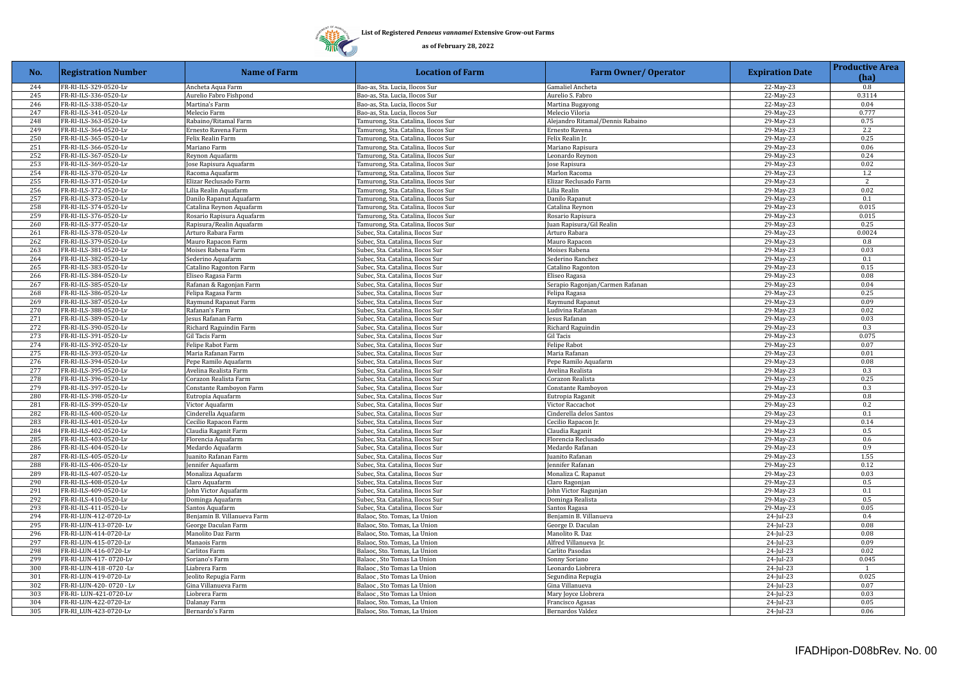

| No.        | <b>Registration Number</b>                     | <b>Name of Farm</b>         | <b>Location of Farm</b>                                              | <b>Farm Owner/ Operator</b>            | <b>Expiration Date</b> | <b>Productive Area</b><br>(ha) |
|------------|------------------------------------------------|-----------------------------|----------------------------------------------------------------------|----------------------------------------|------------------------|--------------------------------|
| 244        | FR-RI-ILS-329-0520-Lv                          | Ancheta Aqua Farm           | Bao-as, Sta. Lucia, Ilocos Sur                                       | Gamaliel Ancheta                       | 22-May-23              | 0.8                            |
| 245        | FR-RI-ILS-336-0520-Lv                          | Aurelio Fabro Fishpond      | Bao-as, Sta. Lucia, Ilocos Sur                                       | Aurelio S. Fabro                       | 22-May-23              | 0.3114                         |
| 246        | FR-RI-ILS-338-0520-Lv                          | Martina's Farm              | Bao-as, Sta. Lucia, Ilocos Sur                                       | Martina Bugayong                       | 22-May-23              | 0.04                           |
| 247        | FR-RI-ILS-341-0520-Lv                          | Melecio Farm                | Bao-as, Sta. Lucia, Ilocos Sur                                       | Melecio Viloria                        | 29-May-23              | 0.777                          |
| 248        | FR-RI-ILS-363-0520-Lv                          | Rabaino/Ritamal Farm        | Tamurong, Sta. Catalina, Ilocos Sur                                  | Alejandro Ritamal/Dennis Rabaino       | 29-May-23              | 0.75                           |
| 249        | FR-RI-ILS-364-0520-Lv                          | Ernesto Ravena Farm         | Tamurong, Sta. Catalina, Ilocos Sur                                  | Ernesto Ravena                         | 29-May-23              | 2.2                            |
| 250        | FR-RI-ILS-365-0520-Lv                          | Felix Realin Farm           | Tamurong, Sta. Catalina, Ilocos Sur                                  | Felix Realin Jr.                       | 29-May-23              | 0.25                           |
| 251        | FR-RI-ILS-366-0520-Lv                          | Mariano Farm                | Tamurong, Sta. Catalina, Ilocos Sur                                  | Mariano Rapisura                       | 29-May-23              | 0.06                           |
| 252        | FR-RI-ILS-367-0520-Lv                          | Reynon Aquafarm             | Tamurong, Sta. Catalina, Ilocos Sur                                  | Leonardo Reynon                        | 29-May-23              | 0.24                           |
| 253        | FR-RI-ILS-369-0520-Lv                          | ose Rapisura Aquafarm       | Tamurong, Sta. Catalina, Ilocos Sur                                  | Jose Rapisura                          | 29-May-23              | 0.02                           |
| 254        | FR-RI-ILS-370-0520-Lv                          | Racoma Aquafarm             | Tamurong, Sta. Catalina, Ilocos Sur                                  | Marlon Racoma                          | 29-May-23              | 1.2                            |
| 255        | FR-RI-ILS-371-0520-Lv                          | Elizar Reclusado Farm       | Tamurong, Sta. Catalina, Ilocos Sur                                  | Elizar Reclusado Farm                  | 29-May-23              | $\overline{2}$                 |
| 256        | FR-RI-ILS-372-0520-Lv                          | Lilia Realin Aquafarm       | Tamurong, Sta. Catalina, Ilocos Sur                                  | Lilia Realin                           | 29-May-23              | 0.02                           |
| 257        | FR-RI-ILS-373-0520-Lv                          | Danilo Rapanut Aquafarm     | Tamurong, Sta. Catalina, Ilocos Sur                                  | Danilo Rapanut                         | 29-May-23              | 0.1                            |
| 258        | FR-RI-ILS-374-0520-Lv                          | Catalina Reynon Aquafarm    | Tamurong, Sta. Catalina, Ilocos Sur                                  | Catalina Reynon                        | 29-May-23              | 0.015                          |
| 259        | FR-RI-ILS-376-0520-Lv                          | Rosario Rapisura Aquafarm   | Tamurong, Sta. Catalina, Ilocos Sur                                  | Rosario Rapisura                       | 29-May-23              | 0.015                          |
| 260        | FR-RI-ILS-377-0520-Lv                          | Rapisura/Realin Aquafarm    | Tamurong, Sta. Catalina, Ilocos Sur                                  | Juan Rapisura/Gil Realin               | 29-May-23              | 0.25                           |
| 261        | FR-RI-ILS-378-0520-Lv                          | Arturo Rabara Farm          | Subec, Sta. Catalina, Ilocos Sur                                     | Arturo Rabara                          | 29-May-23              | 0.0024                         |
| 262        | FR-RI-ILS-379-0520-Lv                          | Mauro Rapacon Farm          | Subec, Sta. Catalina, Ilocos Sur                                     | Mauro Rapacon                          | 29-May-23              | 0.8                            |
| 263        | FR-RI-ILS-381-0520-Lv                          | Moises Rabena Farm          | Subec, Sta. Catalina, Ilocos Sur                                     | Moises Rabena                          | 29-May-23              | 0.03                           |
| 264        | FR-RI-ILS-382-0520-Lv                          | Sederino Aquafarm           | Subec, Sta. Catalina, Ilocos Sur                                     | Sederino Ranchez                       | 29-May-23              | 0.1                            |
| 265        | FR-RI-ILS-383-0520-Lv                          | Catalino Ragonton Farm      | Subec, Sta. Catalina, Ilocos Sur                                     | Catalino Ragonton                      | 29-May-23              | 0.15                           |
| 266        | FR-RI-ILS-384-0520-Lv                          | Eliseo Ragasa Farm          | Subec, Sta. Catalina, Ilocos Sur                                     | Eliseo Ragasa                          | 29-May-23              | 0.08                           |
| 267        | FR-RI-ILS-385-0520-Lv                          | Rafanan & Ragonjan Farm     | Subec, Sta. Catalina, Ilocos Sur                                     | Serapio Ragonjan/Carmen Rafanan        | 29-May-23              | 0.04                           |
| 268        | FR-RI-ILS-386-0520-Lv                          | Felipa Ragasa Farm          | Subec, Sta. Catalina, Ilocos Sur                                     | Felipa Ragasa                          | 29-May-23              | 0.25                           |
| 269        | FR-RI-ILS-387-0520-Lv                          | Raymund Rapanut Farm        | Subec, Sta. Catalina, Ilocos Sur                                     | Raymund Rapanut                        | 29-May-23              | 0.09                           |
| 270        | FR-RI-ILS-388-0520-Lv                          | Rafanan's Farm              | Subec, Sta. Catalina, Ilocos Sur                                     | Ludivina Rafanan                       | 29-May-23              | 0.02                           |
| 271        | FR-RI-ILS-389-0520-Lv                          | esus Rafanan Farm           | Subec, Sta. Catalina, Ilocos Sur                                     | Jesus Rafanan                          | 29-May-23              | 0.03                           |
| 272        | FR-RI-ILS-390-0520-Lv                          | Richard Raguindin Farm      | Subec, Sta. Catalina, Ilocos Sur                                     | Richard Raguindin                      | 29-May-23              | 0.3                            |
| 273        | FR-RI-ILS-391-0520-Lv                          | Gil Tacis Farm              | Subec, Sta. Catalina, Ilocos Sur                                     | Gil Tacis                              | 29-May-23              | 0.075                          |
| 274        | FR-RI-ILS-392-0520-Lv                          | Felipe Rabot Farm           | Subec, Sta. Catalina, Ilocos Sur                                     | Felipe Rabot                           | 29-May-23              | 0.07                           |
| 275        | FR-RI-ILS-393-0520-Lv                          | Maria Rafanan Farm          | Subec, Sta. Catalina, Ilocos Sur                                     | Maria Rafanan                          | 29-May-23              | 0.01                           |
| 276        | FR-RI-ILS-394-0520-Lv                          | Pepe Ramilo Aquafarm        | Subec, Sta. Catalina, Ilocos Sur                                     | Pepe Ramilo Aquafarm                   | $29$ -May-23           | 0.08                           |
| 277        | FR-RI-ILS-395-0520-Lv                          | Avelina Realista Farm       | Subec, Sta. Catalina, Ilocos Sur                                     | Avelina Realista                       | 29-May-23              | 0.3                            |
| 278        | FR-RI-ILS-396-0520-Lv                          | Corazon Realista Farm       | Subec, Sta. Catalina, Ilocos Sur                                     | Corazon Realista                       | 29-May-23              | 0.25                           |
| 279        | FR-RI-ILS-397-0520-Lv                          | Constante Ramboyon Farm     | Subec, Sta. Catalina, Ilocos Sur                                     | Constante Ramboyon                     | 29-May-23              | 0.3                            |
| 280        | FR-RI-ILS-398-0520-Lv                          | Eutropia Aquafarm           | Subec, Sta. Catalina, Ilocos Sur                                     | Eutropia Raganit                       | 29-May-23              | 0.8                            |
| 281        | FR-RI-ILS-399-0520-Lv                          |                             |                                                                      | Victor Raccachot                       | 29-May-23              | 0.2                            |
| 282        | FR-RI-ILS-400-0520-Lv                          | Victor Aquafarm             | Subec, Sta. Catalina, Ilocos Sur                                     | Cinderella delos Santos                |                        | 0.1                            |
| 283        |                                                | Cinderella Aquafarm         | Subec, Sta. Catalina, Ilocos Sur<br>Subec, Sta. Catalina, Ilocos Sur |                                        | 29-May-23              | 0.14                           |
| 284        | FR-RI-ILS-401-0520-Lv<br>FR-RI-ILS-402-0520-Lv | Cecilio Rapacon Farm        | Subec, Sta. Catalina, Ilocos Sur                                     | Cecilio Rapacon Jr.                    | 29-May-23<br>29-May-23 | 0.5                            |
| 285        |                                                | Claudia Raganit Farm        |                                                                      | Claudia Raganit<br>Florencia Reclusado |                        | 0.6                            |
| 286        | FR-RI-ILS-403-0520-Lv                          | Florencia Aquafarm          | Subec, Sta. Catalina, Ilocos Sur                                     |                                        | 29-May-23              | 0.9                            |
|            | FR-RI-ILS-404-0520-Lv                          | Medardo Aquafarm            | Subec, Sta. Catalina, Ilocos Sur                                     | Medardo Rafanan                        | 29-May-23              |                                |
| 287<br>288 | FR-RI-ILS-405-0520-Lv                          | uanito Rafanan Farm         | Subec, Sta. Catalina, Ilocos Sur                                     | Juanito Rafanan                        | 29-May-23              | 1.55<br>0.12                   |
| 289        | FR-RI-ILS-406-0520-Lv                          | ennifer Aquafarm            | Subec, Sta. Catalina, Ilocos Sur                                     | Jennifer Rafanan                       | 29-May-23              | 0.03                           |
| 290        | FR-RI-ILS-407-0520-Lv                          | Monaliza Aquafarm           | Subec, Sta. Catalina, Ilocos Sur                                     | Monaliza C. Rapanut                    | 29-May-23              | 0.5                            |
|            | FR-RI-ILS-408-0520-Lv                          | Claro Aquafarm              | Subec, Sta. Catalina, Ilocos Sur                                     | Claro Ragonjan                         | 29-May-23              | 0.1                            |
| 291<br>292 | FR-RI-ILS-409-0520-Lv<br>FR-RI-ILS-410-0520-Lv | ohn Victor Aquafarm         | Subec, Sta. Catalina, Ilocos Sur                                     | John Victor Ragunjan                   | 29-May-23              | 0.5                            |
| 293        |                                                | Dominga Aquafarm            | Subec, Sta. Catalina, Ilocos Sur                                     | Dominga Realista                       | 29-May-23              | 0.05                           |
|            | FR-RI-ILS-411-0520-Lv                          | Santos Aquafarm             | Subec, Sta. Catalina, Ilocos Sur                                     | Santos Ragasa                          | 29-May-23              |                                |
| 294        | FR-RI-LUN-412-0720-Lv                          | Benjamin B. Villanueva Farm | Balaoc, Sto. Tomas, La Union                                         | Benjamin B. Villanueva                 | 24-Jul-23              | 0.4<br>0.08                    |
| 295        | FR-RI-LUN-413-0720-Lv                          | George Daculan Farm         | Balaoc, Sto. Tomas, La Union                                         | George D. Daculan                      | 24-Jul-23              | 0.08                           |
| 296        | FR-RI-LUN-414-0720-Lv                          | Manolito Daz Farm           | Balaoc, Sto. Tomas, La Union                                         | Manolito R. Daz                        | $24$ -Jul-23           |                                |
| 297        | FR-RI-LUN-415-0720-Lv                          | Manaois Farm                | Balaoc, Sto. Tomas, La Union                                         | Alfred Villanueva Jr                   | 24-Jul-23              | 0.09                           |
| 298        | FR-RI-LUN-416-0720-Lv                          | Carlitos Farm               | Balaoc, Sto. Tomas, La Union                                         | Carlito Pasodas                        | 24-Jul-23              | 0.02                           |
| 299        | FR-RI-LUN-417-0720-Lv                          | Soriano's Farm              | Balaoc, Sto Tomas La Union                                           | Sonny Soriano                          | 24-Jul-23              | 0.045                          |
| 300        | FR-RI-LUN-418 -0720 -Lv                        | Liabrera Farm               | Balaoc, Sto Tomas La Union                                           | Leonardo Liobrera                      | 24-Jul-23              | 1                              |
| 301        | FR-RI-LUN-419-0720-Lv                          | eolito Repugia Farm         | Balaoc, Sto Tomas La Union                                           | Segundina Repugia                      | 24-Jul-23              | 0.025                          |
| 302        | FR-RI-LUN-420-0720 - Lv                        | Gina Villanueva Farm        | Balaoc, Sto Tomas La Union                                           | Gina Villanueva                        | 24-Jul-23              | 0.07                           |
| 303        | FR-RI-LUN-421-0720-Lv                          | .iobrera Farm               | Balaoc, Sto Tomas La Union                                           | Mary Joyce Llobrera                    | 24-Jul-23              | 0.03                           |
| 304        | FR-RI-LUN-422-0720-Lv                          | Dalanay Farm                | Balaoc, Sto. Tomas, La Union                                         | Francisco Agasas                       | 24-Jul-23              | 0.05                           |
| 305        | FR-RL_LUN-423-0720-Lv                          | Bernardo's Farm             | Balaoc, Sto. Tomas, La Union                                         | Bernardos Valdez                       | 24-Jul-23              | 0.06                           |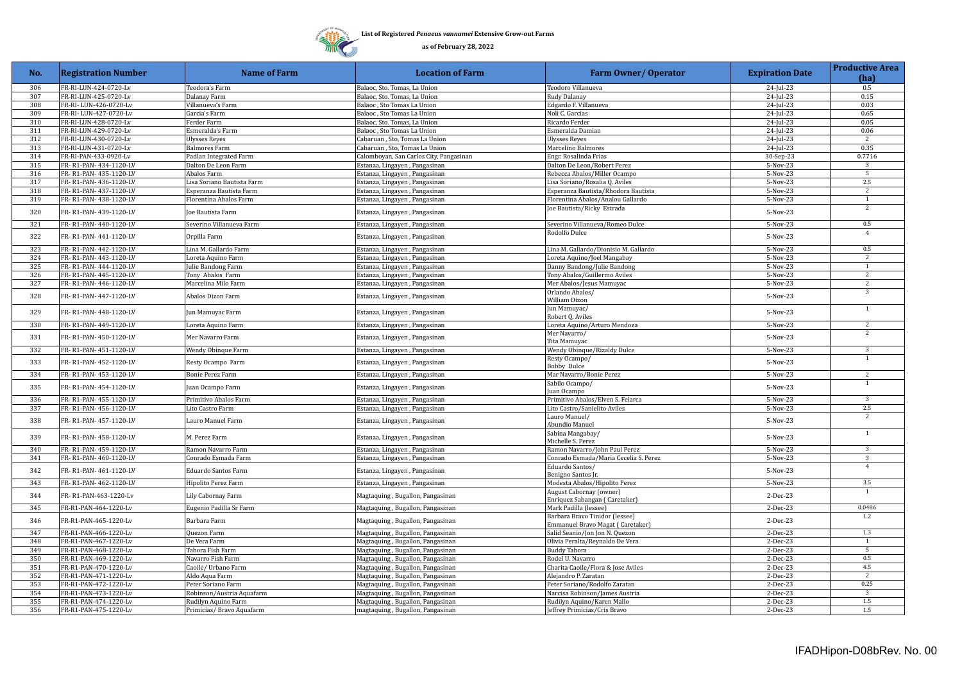

| No. | <b>Registration Number</b> | <b>Name of Farm</b>        | <b>Location of Farm</b>                 | <b>Farm Owner/ Operator</b>                                        | <b>Expiration Date</b> | <b>Productive Area</b><br>(ha) |
|-----|----------------------------|----------------------------|-----------------------------------------|--------------------------------------------------------------------|------------------------|--------------------------------|
| 306 | FR-RI-LUN-424-0720-Lv      | Teodora's Farm             | Balaoc, Sto. Tomas, La Union            | Teodoro Villanueva                                                 | 24-Jul-23              | 0.5                            |
| 307 | FR-RI-LUN-425-0720-Lv      | Dalanay Farm               | Balaoc, Sto. Tomas, La Union            | Rudy Dalanay                                                       | 24-Jul-23              | 0.15                           |
| 308 | FR-RI-LUN-426-0720-Lv      | Villanueva's Farm          | Balaoc, Sto Tomas La Union              | Edgardo F. Villanueva                                              | 24-Jul-23              | 0.03                           |
| 309 | FR-RI-LUN-427-0720-Lv      | Garcia's Farm              | Balaoc, Sto Tomas La Union              | Noli C. Garcias                                                    | 24-Jul-23              | 0.65                           |
| 310 | FR-RI-LUN-428-0720-Lv      | Ferder Farm                | Balaoc, Sto. Tomas, La Union            | Ricardo Ferder                                                     | 24-Jul-23              | 0.05                           |
| 311 | FR-RI-LUN-429-0720-Lv      | Esmeralda's Farm           | Balaoc, Sto Tomas La Union              | Esmeralda Damian                                                   | 24-Jul-23              | 0.06                           |
| 312 | FR-RI-LUN-430-0720-Lv      | Ulysses Reyes              | Cabaruan, Sto, Tomas La Union           | <b>Ulysses Reyes</b>                                               | 24-Jul-23              | 2                              |
| 313 | FR-RI-LUN-431-0720-Lv      | <b>Balmores Farm</b>       | Cabaruan, Sto, Tomas La Union           | Marcelino Balmores                                                 | 24-Jul-23              | 0.35                           |
| 314 | FR-RI-PAN-433-0920-Lv      | Padlan Integrated Farm     | Calomboyan, San Carlos City, Pangasinan | Engr. Rosalinda Frias                                              | 30-Sep-23              | 0.7716                         |
| 315 | FR-R1-PAN-434-1120-LV      | Dalton De Leon Farm        | Estanza, Lingayen, Pangasinan           | Dalton De Leon/Robert Perez                                        | 5-Nov-23               | 3                              |
| 316 | FR-R1-PAN-435-1120-LV      | Abalos Farm                | Estanza, Lingayen, Pangasinan           | Rebecca Abalos/Miller Ocampo                                       | 5-Nov-23               | $5\overline{)}$                |
| 317 | FR-R1-PAN-436-1120-LV      | Lisa Soriano Bautista Farm | Estanza, Lingayen, Pangasinan           | Lisa Soriano/Rosalia Q. Aviles                                     | 5-Nov-23               | 2.5<br>$\overline{2}$          |
| 318 | FR-R1-PAN-437-1120-LV      | Esperanza Bautista Farm    | Estanza, Lingayen, Pangasinan           | Esperanza Bautista/Rhodora Bautista                                | 5-Nov-23               |                                |
| 319 | FR-R1-PAN-438-1120-LV      | Florentina Abalos Farm     | Estanza, Lingayen, Pangasinan           | Florentina Abalos/Analou Gallardo                                  | 5-Nov-23               | 1<br>$\overline{2}$            |
| 320 | FR-R1-PAN-439-1120-LV      | Joe Bautista Farm          | Estanza, Lingayen, Pangasinan           | Joe Bautista/Ricky Estrada                                         | 5-Nov-23               |                                |
| 321 | FR-R1-PAN-440-1120-LV      | Severino Villanueva Farm   | Estanza, Lingayen, Pangasinan           | Severino Villanueva/Romeo Dulce                                    | 5-Nov-23               | 0.5                            |
| 322 | FR-R1-PAN-441-1120-LV      | Orpilla Farm               | Estanza, Lingayen, Pangasinan           | Rodolfo Dulce                                                      | 5-Nov-23               | $\overline{4}$                 |
| 323 | FR-R1-PAN-442-1120-LV      | Lina M. Gallardo Farm      | Estanza, Lingayen, Pangasinan           | Lina M. Gallardo/Dionisio M. Gallardo                              | 5-Nov-23               | 0.5                            |
| 324 | FR-R1-PAN-443-1120-LV      | Loreta Aquino Farm         | Estanza, Lingayen, Pangasinan           | Loreta Aquino/Joel Mangabay                                        | 5-Nov-23               | 2                              |
| 325 | FR-R1-PAN-444-1120-LV      | Julie Bandong Farm         | Estanza, Lingayen, Pangasinan           | Danny Bandong/Julie Bandong                                        | 5-Nov-23               | 1                              |
| 326 | FR-R1-PAN-445-1120-LV      | Tony Abalos Farm           | Estanza, Lingayen, Pangasinan           | Tony Abalos/Guillermo Aviles                                       | 5-Nov-23               | 2                              |
| 327 | FR-R1-PAN-446-1120-LV      | Marcelina Milo Farm        | Estanza, Lingayen, Pangasinan           | Mer Abalos/Jesus Mamuyac                                           | 5-Nov-23               | $\overline{2}$                 |
| 328 | FR-R1-PAN-447-1120-LV      | Abalos Dizon Farm          | Estanza, Lingayen, Pangasinan           | Orlando Abalos/<br>William Dizon                                   | 5-Nov-23               | 3                              |
| 329 | FR-R1-PAN-448-1120-LV      | Jun Mamuyac Farm           | Estanza, Lingayen, Pangasinan           | Jun Mamuyac/<br>Robert Q. Aviles                                   | 5-Nov-23               | $\mathbf{1}$                   |
| 330 | FR-R1-PAN-449-1120-LV      | Loreta Aquino Farm         | Estanza, Lingayen, Pangasinan           | Loreta Aquino/Arturo Mendoza                                       | 5-Nov-23               | $\overline{c}$                 |
| 331 | FR-R1-PAN-450-1120-LV      | Mer Navarro Farm           | Estanza, Lingayen, Pangasinan           | Mer Navarro/<br>Tita Mamuyac                                       | 5-Nov-23               | $\overline{2}$                 |
| 332 | FR-R1-PAN-451-1120-LV      | Wendy Obinque Farm         | Estanza, Lingayen, Pangasinan           | Wendy Obinque/Rizaldy Dulce                                        | 5-Nov-23               | $\overline{3}$                 |
| 333 | FR-R1-PAN-452-1120-LV      | Resty Ocampo Farm          | Estanza, Lingayen, Pangasinan           | Resty Ocampo/<br><b>Bobby Dulce</b>                                | 5-Nov-23               | $\mathbf{1}$                   |
| 334 | FR-R1-PAN-453-1120-LV      | Bonie Perez Farm           | Estanza, Lingayen, Pangasinan           | Mar Navarro/Bonie Perez                                            | 5-Nov-23               | $\overline{2}$                 |
| 335 | FR-R1-PAN-454-1120-LV      | Juan Ocampo Farm           | Estanza, Lingayen, Pangasinan           | Sabilo Ocampo/<br>Juan Ocampo                                      | 5-Nov-23               | 1                              |
| 336 | FR-R1-PAN-455-1120-LV      | Primitivo Abalos Farm      | Estanza, Lingayen, Pangasinan           | Primitivo Abalos/Elven S. Felarca                                  | $5-Nov-23$             | 3                              |
| 337 | FR-R1-PAN-456-1120-LV      | Lito Castro Farm           | Estanza, Lingayen, Pangasinan           | Lito Castro/Sanielito Aviles                                       | 5-Nov-23               | 2.5                            |
| 338 | FR-R1-PAN-457-1120-LV      | Lauro Manuel Farm          | Estanza, Lingayen, Pangasinan           | Lauro Manuel/<br>Abundio Manuel                                    | 5-Nov-23               | $\overline{2}$                 |
| 339 | FR-R1-PAN-458-1120-LV      | M. Perez Farm              | Estanza, Lingayen, Pangasinan           | Sabina Mangabay/<br>Michelle S. Perez                              | 5-Nov-23               | <sup>1</sup>                   |
| 340 | FR-R1-PAN-459-1120-LV      | Ramon Navarro Farm         | Estanza, Lingayen, Pangasinan           | Ramon Navarro/John Paul Perez                                      | 5-Nov-23               | $\overline{3}$                 |
| 341 | FR-R1-PAN-460-1120-LV      | Conrado Esmada Farm        | Estanza, Lingayen, Pangasinan           | Conrado Esmada/Maria Cecelia S. Perez                              | 5-Nov-23               | 3                              |
| 342 | FR-R1-PAN-461-1120-LV      | Eduardo Santos Farm        | Estanza, Lingayen, Pangasinan           | Eduardo Santos/<br>Benigno Santos Jr.                              | 5-Nov-23               | $\overline{4}$                 |
| 343 | FR-R1-PAN-462-1120-LV      | Hipolito Perez Farm        | Estanza, Lingayen, Pangasinan           | Modesta Abalos/Hipolito Perez                                      | 5-Nov-23               | 3.5                            |
| 344 | FR-R1-PAN-463-1220-Lv      | Lily Cabornay Farm         | Magtaquing, Bugallon, Pangasinan        | August Cabornay (owner)<br>Enriquez Sabangan (Caretaker)           | $2$ -Dec-23            | $\mathbf{1}$                   |
| 345 | FR-R1-PAN-464-1220-Lv      | Eugenio Padilla Sr Farm    | Magtaquing, Bugallon, Pangasinan        | Mark Padilla (lessee)                                              | $2-Dec-23$             | 0.0486                         |
| 346 | FR-R1-PAN-465-1220-Lv      | Barbara Farm               | Magtaquing, Bugallon, Pangasinan        | Barbara Bravo Tinidor (lessee)<br>Emmanuel Bravo Magat (Caretaker) | 2-Dec-23               | 1.2                            |
| 347 | FR-R1-PAN-466-1220-Lv      | Quezon Farm                | Magtaquing, Bugallon, Pangasinan        | Salid Seanio/Jon Jon N. Quezon                                     | $2-Dec-23$             | 1.3                            |
| 348 | FR-R1-PAN-467-1220-Lv      | De Vera Farm               | Magtaquing, Bugallon, Pangasinan        | Olivia Peralta/Reynaldo De Vera                                    | 2-Dec-23               | <sup>1</sup>                   |
| 349 | FR-R1-PAN-468-1220-Lv      | Tabora Fish Farm           | Magtaquing, Bugallon, Pangasinan        | <b>Buddy Tabora</b>                                                | $2-Dec-23$             | 5                              |
| 350 | FR-R1-PAN-469-1220-Lv      | Navarro Fish Farm          | Magtaquing, Bugallon, Pangasinan        | Rodel U. Navarro                                                   | 2-Dec-23               | 0.5                            |
| 351 | FR-R1-PAN-470-1220-Lv      | Caoile/ Urbano Farm        | Magtaquing, Bugallon, Pangasinan        | Charita Caoile/Flora & Jose Aviles                                 | 2-Dec-23               | 4.5                            |
| 352 | FR-R1-PAN-471-1220-Lv      | Aldo Aqua Farm             | Magtaquing, Bugallon, Pangasinan        | Alejandro P. Zaratan                                               | 2-Dec-23               | $\overline{2}$                 |
| 353 | FR-R1-PAN-472-1220-Lv      | Peter Soriano Farm         | Magtaquing, Bugallon, Pangasinan        | Peter Soriano/Rodolfo Zaratan                                      | 2-Dec-23               | 0.25                           |
| 354 | FR-R1-PAN-473-1220-Lv      | Robinson/Austria Aquafarm  | Magtaquing, Bugallon, Pangasinan        | Narcisa Robinson/James Austria                                     | 2-Dec-23               | $\overline{\mathbf{3}}$        |
| 355 | FR-R1-PAN-474-1220-Lv      | Rudilyn Aquino Farm        | Magtaquing, Bugallon, Pangasinan        | Rudilyn Aquino/Karen Mallo                                         | $2-Dec-23$             | 1.5                            |
| 356 | FR-R1-PAN-475-1220-Lv      | Primicias/Bravo Aquafarm   | magtaquing, Bugallon, Pangasinan        | Jeffrey Primicias/Cris Bravo                                       | 2-Dec-23               | $1.5\,$                        |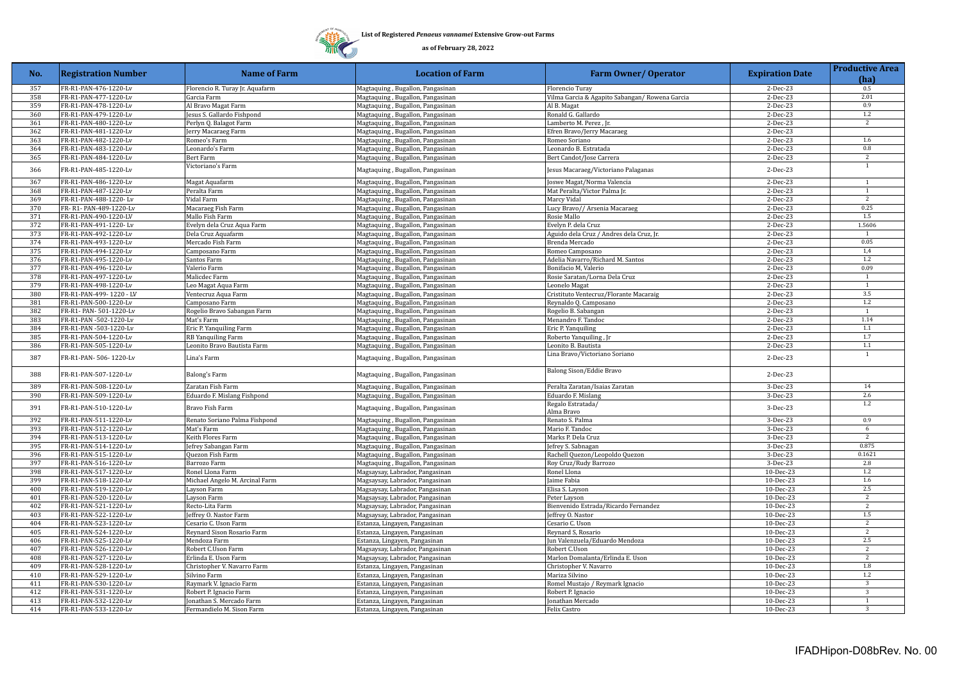

| No. | <b>Registration Number</b> | <b>Name of Farm</b>             | <b>Location of Farm</b>          | <b>Farm Owner/ Operator</b>                    | <b>Expiration Date</b> | <b>Productive Area</b><br>(ha) |
|-----|----------------------------|---------------------------------|----------------------------------|------------------------------------------------|------------------------|--------------------------------|
| 357 | FR-R1-PAN-476-1220-Lv      | Florencio R. Turay Jr. Aquafarm | Magtaquing, Bugallon, Pangasinan | <b>Florencio Turay</b>                         | $2-Dec-23$             | 0.5                            |
| 358 | FR-R1-PAN-477-1220-Lv      | Garcia Farm                     | Magtaquing, Bugallon, Pangasinan | Vilma Garcia & Agapito Sabangan/ Rowena Garcia | 2-Dec-23               | 2.01                           |
| 359 | FR-R1-PAN-478-1220-Lv      | Al Bravo Magat Farm             | Magtaquing, Bugallon, Pangasinan | Al B. Magat                                    | 2-Dec-23               | 0.9                            |
| 360 | FR-R1-PAN-479-1220-Lv      | Jesus S. Gallardo Fishpond      | Magtaquing, Bugallon, Pangasinan | Ronald G. Gallardo                             | 2-Dec-23               | 1.2                            |
| 361 | FR-R1-PAN-480-1220-Lv      | Perlyn Q. Balagot Farm          | Magtaquing, Bugallon, Pangasinan | Lamberto M. Perez, Jr.                         | 2-Dec-23               | 2                              |
| 362 | FR-R1-PAN-481-1220-Lv      | Jerry Macaraeg Farm             | Magtaquing, Bugallon, Pangasinan | Efren Bravo/Jerry Macaraeg                     | 2-Dec-23               |                                |
| 363 | FR-R1-PAN-482-1220-Lv      | Romeo's Farm                    | Magtaquing, Bugallon, Pangasinan | Romeo Soriano                                  | 2-Dec-23               | 1.6                            |
| 364 | FR-R1-PAN-483-1220-Lv      | Leonardo's Farm                 | Magtaquing, Bugallon, Pangasinan | Leonardo B. Estratada                          | 2-Dec-23               | $0.8\,$                        |
| 365 | FR-R1-PAN-484-1220-Lv      | Bert Farm                       | Magtaquing, Bugallon, Pangasinan | Bert Candot/Jose Carrera                       | 2-Dec-23               | $\overline{2}$                 |
| 366 | FR-R1-PAN-485-1220-Lv      | Victoriano's Farm               | Magtaquing, Bugallon, Pangasinan | Jesus Macaraeg/Victoriano Palaganas            | 2-Dec-23               | 1                              |
| 367 | FR-R1-PAN-486-1220-Lv      | Magat Aquafarm                  | Magtaquing, Bugallon, Pangasinan | Joswe Magat/Norma Valencia                     | $2-Dec-23$             | $\overline{1}$                 |
| 368 | FR-R1-PAN-487-1220-Lv      | Peralta Farm                    | Magtaquing, Bugallon, Pangasinan | Mat Peralta/Victor Palma Jr.                   | $2-Dec-23$             | $\mathbf{1}$                   |
| 369 | FR-R1-PAN-488-1220-Lv      | Vidal Farm                      | Magtaquing, Bugallon, Pangasinan | Marcy Vidal                                    | $2-Dec-23$             | 2                              |
| 370 | FR-R1-PAN-489-1220-Lv      | Macaraeg Fish Farm              | Magtaquing, Bugallon, Pangasinan | Lucy Bravo// Arsenia Macaraeg                  | 2-Dec-23               | 0.25                           |
| 371 | FR-R1-PAN-490-1220-LV      | Mallo Fish Farm                 | Magtaquing, Bugallon, Pangasinan | Rosie Mallo                                    | 2-Dec-23               | 1.5                            |
| 372 | FR-R1-PAN-491-1220-Lv      | Evelyn dela Cruz Aqua Farm      | Magtaquing, Bugallon, Pangasinan | Evelyn P. dela Cruz                            | 2-Dec-23               | 1.5606                         |
| 373 | FR-R1-PAN-492-1220-Lv      | Dela Cruz Aquafarm              | Magtaquing, Bugallon, Pangasinan | Aguido dela Cruz / Andres dela Cruz, Jr.       | 2-Dec-23               | <sup>1</sup>                   |
| 374 | FR-R1-PAN-493-1220-Lv      | Mercado Fish Farm               | Magtaquing, Bugallon, Pangasinan | Brenda Mercado                                 | 2-Dec-23               | 0.05                           |
| 375 | FR-R1-PAN-494-1220-Lv      | Camposano Farm                  | Magtaquing, Bugallon, Pangasinan | Romeo Camposano                                | 2-Dec-23               | 1,4                            |
| 376 | FR-R1-PAN-495-1220-Lv      | Santos Farm                     | Magtaquing, Bugallon, Pangasinan | Adelia Navarro/Richard M. Santos               | 2-Dec-23               | $1.2\,$                        |
| 377 | FR-R1-PAN-496-1220-Lv      | Valerio Farm                    | Magtaquing, Bugallon, Pangasinan | Bonifacio M, Valerio                           | 2-Dec-23               | 0.09                           |
| 378 | FR-R1-PAN-497-1220-Lv      | Malicdec Farm                   | Magtaquing, Bugallon, Pangasinan | Rosie Saratan/Lorna Dela Cruz                  | 2-Dec-23               | 1                              |
| 379 | FR-R1-PAN-498-1220-Lv      | Leo Magat Aqua Farm             | Magtaquing, Bugallon, Pangasinan | Leonelo Magat                                  | 2-Dec-23               | <sup>1</sup>                   |
| 380 | FR-R1-PAN-499-1220 - LV    | Ventecruz Aqua Farm             | Magtaquing, Bugallon, Pangasinan | Cristituto Ventecruz/Florante Macaraig         | 2-Dec-23               | $3.5\,$                        |
| 381 | FR-R1-PAN-500-1220-Lv      | Camposano Farm                  | Magtaquing, Bugallon, Pangasinan | Reynaldo Q. Camposano                          | 2-Dec-23               | $1.2\,$                        |
| 382 | FR-R1- PAN- 501-1220-Lv    | Rogelio Bravo Sabangan Farm     | Magtaquing, Bugallon, Pangasinan | Rogelio B. Sabangan                            | 2-Dec-23               | 1                              |
| 383 | FR-R1-PAN -502-1220-Lv     | Mat's Farm                      | Magtaquing, Bugallon, Pangasinan | Menandro F. Tandoc                             | 2-Dec-23               | 1.14                           |
| 384 | FR-R1-PAN -503-1220-Lv     | Eric P. Yanquiling Farm         | Magtaquing, Bugallon, Pangasinan | Eric P. Yanquiling                             | 2-Dec-23               | $1.1\,$                        |
| 385 | FR-R1-PAN-504-1220-Lv      | RB Yanquiling Farm              | Magtaquing, Bugallon, Pangasinan | Roberto Yanquiling, Jr                         | 2-Dec-23               | 1.7                            |
| 386 | FR-R1-PAN-505-1220-Lv      | Leonito Bravo Bautista Farm     | Magtaquing, Bugallon, Pangasinan | Leonito B. Bautista                            | 2-Dec-23               | $1.1\,$                        |
| 387 | FR-R1-PAN-506-1220-Lv      | Lina's Farm                     | Magtaquing, Bugallon, Pangasinan | Lina Bravo/Victoriano Soriano                  | 2-Dec-23               | $\mathbf{1}$                   |
| 388 | FR-R1-PAN-507-1220-Lv      | Balong's Farm                   | Magtaquing, Bugallon, Pangasinan | Balong Sison/Eddie Bravo                       | 2-Dec-23               |                                |
| 389 | FR-R1-PAN-508-1220-Lv      | Zaratan Fish Farm               | Magtaquing, Bugallon, Pangasinan | Peralta Zaratan/Isaias Zaratan                 | 3-Dec-23               | 14                             |
| 390 | FR-R1-PAN-509-1220-Lv      | Eduardo F. Mislang Fishpond     | Magtaquing, Bugallon, Pangasinan | Eduardo F. Mislang                             | 3-Dec-23               | 2.6                            |
| 391 | FR-R1-PAN-510-1220-Lv      | Bravo Fish Farm                 | Magtaquing, Bugallon, Pangasinan | Regalo Estratada/<br>Alma Bravo                | 3-Dec-23               | 1.2                            |
| 392 | FR-R1-PAN-511-1220-Lv      | Renato Soriano Palma Fishpond   | Magtaquing, Bugallon, Pangasinan | Renato S. Palma                                | 3-Dec-23               | 0.9                            |
| 393 | FR-R1-PAN-512-1220-Lv      | Mat's Farm                      | Magtaquing, Bugallon, Pangasinan | Mario F. Tandoc                                | 3-Dec-23               | 6                              |
| 394 | FR-R1-PAN-513-1220-Lv      | Keith Flores Farm               | Magtaquing, Bugallon, Pangasinan | Marks P. Dela Cruz                             | 3-Dec-23               | 2                              |
| 395 | FR-R1-PAN-514-1220-Lv      | Jefrey Sabangan Farm            | Magtaquing, Bugallon, Pangasinan | Jefrey S. Sabnagan                             | 3-Dec-23               | 0.875                          |
| 396 | FR-R1-PAN-515-1220-Lv      | Quezon Fish Farm                | Magtaquing, Bugallon, Pangasinan | Rachell Quezon/Leopoldo Quezon                 | 3-Dec-23               | 0.1621                         |
| 397 | FR-R1-PAN-516-1220-Lv      | Barrozo Farm                    | Magtaquing, Bugallon, Pangasinan | Roy Cruz/Rudy Barrozo                          | 3-Dec-23               | 2.8                            |
| 398 | FR-R1-PAN-517-1220-Lv      | Ronel Llona Farm                | Magsaysay, Labrador, Pangasinan  | Ronel Llona                                    | 10-Dec-23              | $1.2\,$                        |
| 399 | FR-R1-PAN-518-1220-Lv      | Michael Angelo M. Arcinal Farm  | Magsaysay, Labrador, Pangasinan  | Jaime Fabia                                    | 10-Dec-23              | 1.6                            |
| 400 | FR-R1-PAN-519-1220-Lv      | Layson Farm                     | Magsaysay, Labrador, Pangasinan  | Elisa S. Layson                                | 10-Dec-23              | 2.5                            |
| 401 | FR-R1-PAN-520-1220-Lv      | Layson Farm                     | Magsaysay, Labrador, Pangasinan  | Peter Layson                                   | 10-Dec-23              | $\overline{2}$                 |
| 402 | FR-R1-PAN-521-1220-Lv      | Recto-Lita Farm                 | Magsaysay, Labrador, Pangasinan  | Bienvenido Estrada/Ricardo Fernandez           | 10-Dec-23              | 2                              |
| 403 | FR-R1-PAN-522-1220-Lv      | Jeffrey O. Nastor Farm          | Magsaysay, Labrador, Pangasinan  | Jeffrey O. Nastor                              | 10-Dec-23              | 1.5                            |
| 404 | FR-R1-PAN-523-1220-Lv      | Cesario C. Uson Farm            | Estanza, Lingayen, Pangasinan    | Cesario C. Uson                                | 10-Dec-23              | $\overline{2}$                 |
| 405 | FR-R1-PAN-524-1220-Lv      | Reynard Sison Rosario Farm      | Estanza, Lingayen, Pangasinan    | Reynard S, Rosario                             | 10-Dec-23              | $\overline{2}$                 |
| 406 | FR-R1-PAN-525-1220-Lv      | Mendoza Farm                    | Estanza, Lingayen, Pangasinan    | Jun Valenzuela/Eduardo Mendoza                 | 10-Dec-23              | $2.5\,$                        |
| 407 | FR-R1-PAN-526-1220-Lv      | Robert C.Uson Farm              | Magsaysay, Labrador, Pangasinan  | Robert C.Uson                                  | 10-Dec-23              | 2                              |
| 408 | FR-R1-PAN-527-1220-Lv      | Erlinda E. Uson Farm            | Magsaysay, Labrador, Pangasinan  | Marlon Domalanta/Erlinda E. Uson               | 10-Dec-23              | 2                              |
| 409 | FR-R1-PAN-528-1220-Lv      | Christopher V. Navarro Farm     | Estanza, Lingayen, Pangasinan    | Christopher V. Navarro                         | 10-Dec-23              | 1.8                            |
| 410 | FR-R1-PAN-529-1220-Lv      | Silvino Farm                    | Estanza, Lingayen, Pangasinan    | Mariza Silvino                                 | 10-Dec-23              | $1.2\,$                        |
| 411 | FR-R1-PAN-530-1220-Lv      | Raymark V. Ignacio Farm         | Estanza, Lingayen, Pangasinan    | Romel Mustajo / Reymark Ignacio                | 10-Dec-23              | $\overline{3}$                 |
| 412 | FR-R1-PAN-531-1220-Lv      | Robert P. Ignacio Farm          | Estanza, Lingayen, Pangasinan    | Robert P. Ignacio                              | 10-Dec-23              | 3                              |
| 413 | FR-R1-PAN-532-1220-Lv      | Jonathan S. Mercado Farm        | Estanza, Lingayen, Pangasinan    | Jonathan Mercado                               | 10-Dec-23              | 1                              |
| 414 | FR-R1-PAN-533-1220-Lv      | Fermandielo M. Sison Farm       | Estanza, Lingayen, Pangasinan    | Felix Castro                                   | 10-Dec-23              | 3                              |
|     |                            |                                 |                                  |                                                |                        |                                |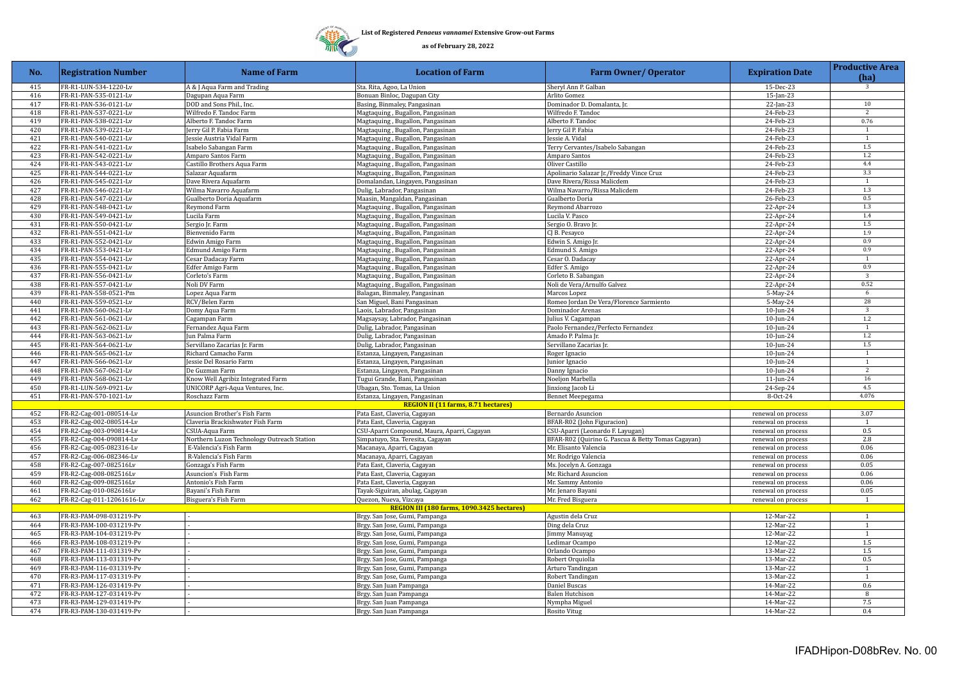

| No. | <b>Registration Number</b> | <b>Name of Farm</b>                        | <b>Location of Farm</b>                     | <b>Farm Owner/ Operator</b>                        | <b>Expiration Date</b> | <b>Productive Area</b><br>(ha) |
|-----|----------------------------|--------------------------------------------|---------------------------------------------|----------------------------------------------------|------------------------|--------------------------------|
| 415 | FR-R1-LUN-534-1220-Lv      | A & J Aqua Farm and Trading                | Sta. Rita, Agoo, La Union                   | Sheryl Ann P. Galban                               | 15-Dec-23              | $\overline{3}$                 |
| 416 | FR-R1-PAN-535-0121-Lv      | Dagupan Aqua Farm                          | Bonuan Binloc, Dagupan City                 | Arlito Gomez                                       | $15$ -Jan-23           |                                |
| 417 | FR-R1-PAN-536-0121-Lv      | DOD and Sons Phil., Inc.                   | Basing, Binmaley, Pangasinan                | Dominador D. Domalanta, Jr.                        | 22-Jan-23              | 10                             |
| 418 | FR-R1-PAN-537-0221-Lv      | Wilfredo F. Tandoc Farm                    | Magtaquing, Bugallon, Pangasinan            | Wilfredo F. Tandoc                                 | 24-Feb-23              | 2                              |
| 419 | FR-R1-PAN-538-0221-Lv      | Alberto F. Tandoc Farm                     | Magtaquing, Bugallon, Pangasinan            | Alberto F. Tandoc                                  | 24-Feb-23              | 0.76                           |
| 420 | FR-R1-PAN-539-0221-Lv      | erry Gil P. Fabia Farm                     | Magtaquing, Bugallon, Pangasinan            | erry Gil P. Fabia                                  | 24-Feb-23              | $\mathbf{1}$                   |
| 421 | FR-R1-PAN-540-0221-Lv      | essie Austria Vidal Farm                   | Magtaquing, Bugallon, Pangasinan            | essie A. Vidal                                     | 24-Feb-23              | $\overline{1}$                 |
| 422 | FR-R1-PAN-541-0221-Lv      | Isabelo Sabangan Farm                      | Magtaquing, Bugallon, Pangasinan            | Terry Cervantes/Isabelo Sabangan                   | 24-Feb-23              | 1.5                            |
| 423 | FR-R1-PAN-542-0221-Lv      | Amparo Santos Farm                         | Magtaquing, Bugallon, Pangasinan            | Amparo Santos                                      | 24-Feb-23              | 1.2                            |
| 424 | FR-R1-PAN-543-0221-Lv      | Castillo Brothers Aqua Farm                | Magtaquing, Bugallon, Pangasinan            | Oliver Castillo                                    | 24-Feb-23              | 4.4                            |
| 425 | FR-R1-PAN-544-0221-Lv      | Salazar Aquafarm                           | Magtaquing, Bugallon, Pangasinan            | Apolinario Salazar Jr./Freddy Vince Cruz           | 24-Feb-23              | 3.3                            |
| 426 | FR-R1-PAN-545-0221-Lv      | Dave Rivera Aquafarm                       | Domalandan, Lingayen, Pangasinan            | Dave Rivera/Rissa Malicdem                         | 24-Feb-23              | $\mathbf{1}$                   |
| 427 | FR-R1-PAN-546-0221-Lv      | Wilma Navarro Aquafarm                     | Dulig, Labrador, Pangasinan                 | Wilma Navarro/Rissa Malicdem                       | 24-Feb-23              | 1.3                            |
| 428 | FR-R1-PAN-547-0221-Lv      | Gualberto Doria Aquafarm                   | Maasin, Mangaldan, Pangasinan               | Gualberto Doria                                    | 26-Feb-23              | 0.5                            |
| 429 |                            |                                            |                                             |                                                    |                        | 1.3                            |
|     | FR-R1-PAN-548-0421-Lv      | Reymond Farm                               | Magtaquing, Bugallon, Pangasinan            | Reymond Abarrozo                                   | 22-Apr-24              |                                |
| 430 | FR-R1-PAN-549-0421-Lv      | Lucila Farm                                | Magtaquing, Bugallon, Pangasinan            | Lucila V. Pasco                                    | 22-Apr-24              | 1.4                            |
| 431 | FR-R1-PAN-550-0421-Lv      | Sergio Jr. Farm                            | Magtaquing, Bugallon, Pangasinan            | Sergio O. Bravo Jr.                                | 22-Apr-24              | 1.5                            |
| 432 | FR-R1-PAN-551-0421-Lv      | Bienvenido Farm                            | Magtaquing, Bugallon, Pangasinan            | CJ B. Pesayco                                      | $22$ -Apr-24           | 1.9                            |
| 433 | FR-R1-PAN-552-0421-Lv      | Edwin Amigo Farm                           | Magtaquing, Bugallon, Pangasinan            | Edwin S. Amigo Jr.                                 | 22-Apr-24              | 0.9                            |
| 434 | FR-R1-PAN-553-0421-Lv      | Edmund Amigo Farm                          | Magtaquing, Bugallon, Pangasinan            | Edmund S. Amigo                                    | 22-Apr-24              | 0.9                            |
| 435 | FR-R1-PAN-554-0421-Lv      | Cesar Dadacay Farm                         | Magtaquing, Bugallon, Pangasinan            | Cesar O. Dadacay                                   | 22-Apr-24              | <sup>1</sup>                   |
| 436 | FR-R1-PAN-555-0421-Lv      | Edfer Amigo Farm                           | Magtaquing, Bugallon, Pangasinan            | Edfer S. Amigo                                     | 22-Apr-24              | 0.9                            |
| 437 | FR-R1-PAN-556-0421-Lv      | Corleto's Farm                             | Magtaquing, Bugallon, Pangasinan            | Corleto B. Sabangan                                | 22-Apr-24              | 3                              |
| 438 | FR-R1-PAN-557-0421-Lv      | Noli DV Farm                               | Magtaquing, Bugallon, Pangasinan            | Noli de Vera/Arnulfo Galvez                        | 22-Apr-24              | 0.52                           |
| 439 | FR-R1-PAN-558-0521-Pm      | Lopez Aqua Farm                            | Balagan, Binmaley, Pangasinan               | Marcos Lopez                                       | 5-May-24               | 6                              |
| 440 | FR-R1-PAN-559-0521-Lv      | RCV/Belen Farm                             | San Miguel, Bani Pangasinan                 | Romeo Jordan De Vera/Florence Sarmiento            | 5-May-24               | 28                             |
| 441 | FR-R1-PAN-560-0621-Lv      | Domy Aqua Farm                             | Laois, Labrador, Pangasinan                 | Dominador Arenas                                   | 10-Jun-24              | $\overline{\mathbf{3}}$        |
| 442 | FR-R1-PAN-561-0621-Lv      | Cagampan Farm                              | Magsaysay, Labrador, Pangasinan             | ulius V. Cagampan                                  | $10$ -Jun-24           | $1.2\,$                        |
| 443 | FR-R1-PAN-562-0621-Lv      | Fernandez Aqua Farm                        | Dulig, Labrador, Pangasinan                 | Paolo Fernandez/Perfecto Fernandez                 | 10-Jun-24              | $\overline{1}$                 |
| 444 | FR-R1-PAN-563-0621-Lv      | un Palma Farm                              | Dulig, Labrador, Pangasinan                 | Amado P. Palma Jr.                                 | $10$ -Jun-24           | 1.2                            |
| 445 | FR-R1-PAN-564-0621-Lv      | Servillano Zacarias Jr. Farm               | Dulig, Labrador, Pangasinan                 | Servillano Zacarias Jr.                            | 10-Jun-24              | 1.5                            |
| 446 | FR-R1-PAN-565-0621-Lv      | Richard Camacho Farm                       | Estanza, Lingayen, Pangasinan               | Roger Ignacio                                      | $10$ -Jun-24           | 1                              |
| 447 | FR-R1-PAN-566-0621-Lv      | essie Del Rosario Farm                     | Estanza, Lingayen, Pangasinan               | unior Ignacio                                      | $10$ -Jun-24           | 1                              |
| 448 | FR-R1-PAN-567-0621-Lv      | De Guzman Farm                             | Estanza, Lingayen, Pangasinan               | Danny Ignacio                                      | 10-Jun-24              | $\overline{2}$                 |
| 449 | FR-R1-PAN-568-0621-Lv      | Know Well Agribiz Integrated Farm          | Tugui Grande, Bani, Pangasinan              | Noeljon Marbella                                   | $11$ -Jun-24           | 16                             |
| 450 | FR-R1-LUN-569-0921-Lv      | UNICORP Agri-Aqua Ventures, Inc.           | Ubagan, Sto. Tomas, La Union                | Jinxiong Jacob Li                                  | 24-Sep-24              | 4.5                            |
|     |                            |                                            |                                             |                                                    |                        | 4.076                          |
| 451 | FR-R1-PAN-570-1021-Lv      | Roschazz Farm                              | Estanza, Lingayen, Pangasinan               | Bennet Meepegama                                   | 8-Oct-24               |                                |
|     |                            |                                            | <b>REGION II (11 farms, 8.71 hectares)</b>  |                                                    |                        |                                |
| 452 | FR-R2-Cag-001-080514-Lv    | Asuncion Brother's Fish Farm               | Pata East, Claveria, Cagayan                | Bernardo Asuncion                                  | renewal on process     | 3.07                           |
| 453 | FR-R2-Cag-002-080514-Lv    | Claveria Brackishwater Fish Farm           | Pata East, Claveria, Cagayan                | BFAR-R02 (John Figuracion)                         | renewal on process     | $\mathbf{1}$                   |
| 454 | FR-R2-Cag-003-090814-Lv    | CSUA-Aqua Farm                             | CSU-Aparri Compound, Maura, Aparri, Cagayan | CSU-Aparri (Leonardo F. Layugan)                   | renewal on process     | 0.5                            |
| 455 | FR-R2-Cag-004-090814-Lv    | Northern Luzon Technology Outreach Station | Simpatuyo, Sta. Teresita, Cagayan           | BFAR-R02 (Quirino G. Pascua & Betty Tomas Cagayan) | renewal on process     | 2.8                            |
| 456 | FR-R2-Cag-005-082316-Lv    | E-Valencia's Fish Farm                     | Macanaya, Aparri, Cagayan                   | Mr. Elisanto Valencia                              | renewal on process     | 0.06                           |
| 457 | FR-R2-Cag-006-082346-Lv    | R-Valencia's Fish Farm                     | Macanaya, Aparri, Cagayan                   | Mr. Rodrigo Valencia                               | renewal on process     | 0.06                           |
| 458 | FR-R2-Cag-007-082516Lv     | Gonzaga's Fish Farm                        | Pata East, Claveria, Cagayan                | Ms. Jocelyn A. Gonzaga                             | renewal on process     | 0.05                           |
| 459 | FR-R2-Cag-008-082516Lv     | Asuncion's Fish Farm                       | Pata East, Claveria, Cagayan                | Mr. Richard Asuncion                               | renewal on process     | 0.06                           |
| 460 | FR-R2-Cag-009-082516Lv     | Antonio's Fish Farm                        | Pata East, Claveria, Cagayan                | Mr. Sammy Antonio                                  | renewal on process     | 0.06                           |
| 461 | FR-R2-Cag-010-082616Lv     | Bayani's Fish Farm                         | Tayak-Siguiran, abulag, Cagayan             | Mr. Jenaro Bayani                                  | renewal on process     | 0.05                           |
| 462 | FR-R2-Cag-011-12061616-Lv  | Bisguera's Fish Farm                       | Quezon, Nueva, Vizcaya                      | Mr. Fred Bisguera                                  | renewal on process     | 1                              |
|     |                            |                                            | REGION III (180 farms, 1090.3425 hectares)  |                                                    |                        |                                |
| 463 | FR-R3-PAM-098-031219-Pv    |                                            | Brgy. San Jose, Gumi, Pampanga              | Agustin dela Cruz                                  | 12-Mar-22              | $\mathbf{1}$                   |
| 464 | FR-R3-PAM-100-031219-Pv    |                                            | Brgy. San Jose, Gumi, Pampanga              | Ding dela Cruz                                     | 12-Mar-22              | $\mathbf{1}$                   |
| 465 | FR-R3-PAM-104-031219-Pv    |                                            | Brgy. San Jose, Gumi, Pampanga              | immy Manuyag                                       | 12-Mar-22              | 1                              |
| 466 | FR-R3-PAM-108-031219-Pv    |                                            | Brgy. San Jose, Gumi, Pampanga              | Ledimar Ocampo                                     | 12-Mar-22              | 1.5                            |
| 467 | FR-R3-PAM-111-031319-Pv    |                                            | Brgy. San Jose, Gumi, Pampanga              | Orlando Ocampo                                     | 13-Mar-22              | 1.5                            |
| 468 | FR-R3-PAM-113-031319-Pv    |                                            | Brgy. San Jose, Gumi, Pampanga              | Robert Orquiolla                                   | 13-Mar-22              | 0.5                            |
|     |                            |                                            |                                             |                                                    |                        | $\mathbf{1}$                   |
| 469 | FR-R3-PAM-116-031319-Pv    |                                            | Brgy. San Jose, Gumi, Pampanga              | Arturo Tandingan                                   | 13-Mar-22              |                                |
| 470 | FR-R3-PAM-117-031319-Pv    |                                            | Brgy. San Jose, Gumi, Pampanga              | Robert Tandingan                                   | 13-Mar-22              | $\mathbf{1}$                   |
| 471 | FR-R3-PAM-126-031419-Pv    |                                            | Brgy. San Juan Pampanga                     | Daniel Buscas                                      | 14-Mar-22              | 0.6                            |
| 472 | FR-R3-PAM-127-031419-Pv    |                                            | Brgy. San Juan Pampanga                     | Balen Hutchison                                    | 14-Mar-22              | 8                              |
| 473 | FR-R3-PAM-129-031419-Pv    |                                            | Brgy. San Juan Pampanga                     | Nympha Miguel                                      | 14-Mar-22              | 7.5                            |
| 474 | FR-R3-PAM-130-031419-Pv    |                                            | Brgy. San Juan Pampanga                     | <b>Rosito Vitug</b>                                | 14-Mar-22              | 0.4                            |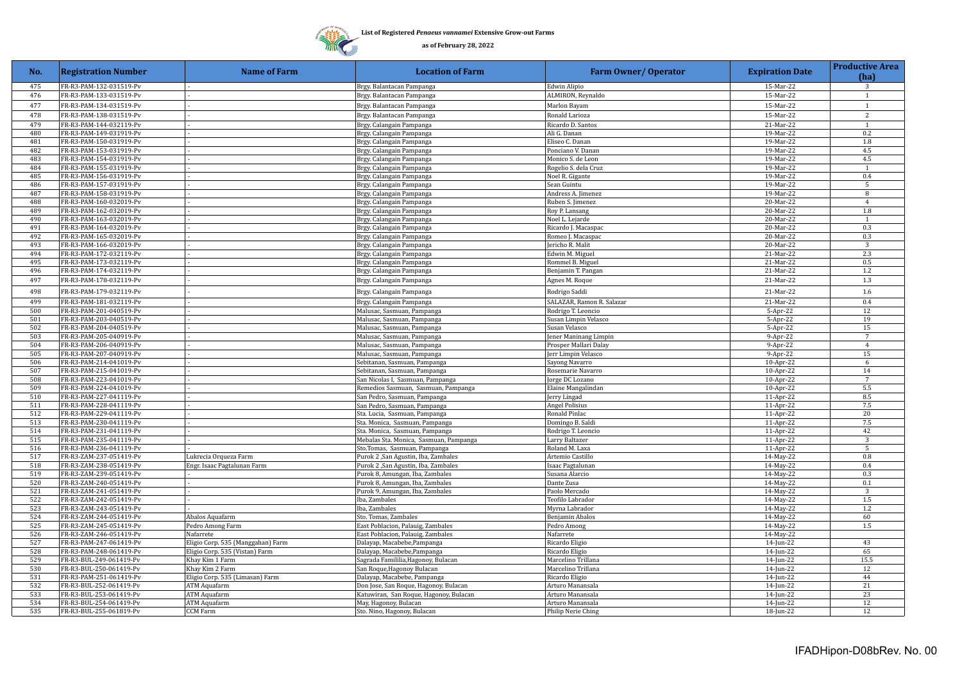## 珊  $\mathcal{W}$

**List of Registered** *Penaeus vannamei* **Extensive Grow-out Farms**

| No.        | <b>Registration Number</b>                         | <b>Name of Farm</b>                                | <b>Location of Farm</b>                                      | <b>Farm Owner/ Operator</b>           | <b>Expiration Date</b> | <b>Productive Area</b> |
|------------|----------------------------------------------------|----------------------------------------------------|--------------------------------------------------------------|---------------------------------------|------------------------|------------------------|
|            |                                                    |                                                    |                                                              |                                       |                        | (ha)                   |
| 475        | FR-R3-PAM-132-031519-Pv                            |                                                    | Brgy. Balantacan Pampanga                                    | Edwin Alipio                          | 15-Mar-22              | 3                      |
| 476        | FR-R3-PAM-133-031519-Pv                            |                                                    | Brgy. Balantacan Pampanga                                    | ALMIRON, Reynaldo                     | 15-Mar-22              | 1                      |
| 477        | FR-R3-PAM-134-031519-Pv                            |                                                    | Brgy. Balantacan Pampanga                                    | Marlon Bayam                          | 15-Mar-22              | $\mathbf{1}$           |
| 478        | FR-R3-PAM-138-031519-Pv                            |                                                    | Brgy. Balantacan Pampanga                                    | Ronald Larioza                        | 15-Mar-22              | 2                      |
| 479        | FR-R3-PAM-144-032119-Pv                            |                                                    | Brgy. Calangain Pampanga                                     | Ricardo D. Santos                     | 21-Mar-22              | 1                      |
| 480        | FR-R3-PAM-149-031919-Pv                            |                                                    | Brgy. Calangain Pampanga                                     | Ali G. Danan                          | 19-Mar-22              | 0.2                    |
| 481        | FR-R3-PAM-150-031919-Pv                            |                                                    | Brgy. Calangain Pampanga                                     | Eliseo C. Danan                       | 19-Mar-22              | 1.8                    |
| 482        | FR-R3-PAM-153-031919-Pv                            |                                                    | Brgy. Calangain Pampanga                                     | Ponciano V. Danan                     | 19-Mar-22              | 4.5                    |
| 483        | FR-R3-PAM-154-031919-Pv                            |                                                    | Brgy. Calangain Pampanga                                     | Monico S. de Leon                     | 19-Mar-22              | 4.5                    |
| 484<br>485 | FR-R3-PAM-155-031919-Pv<br>FR-R3-PAM-156-031919-Pv |                                                    | Brgy. Calangain Pampanga                                     | Rogelio S. dela Cruz                  | 19-Mar-22<br>19-Mar-22 | 1<br>0.4               |
| 486        | FR-R3-PAM-157-031919-Pv                            |                                                    | Brgy. Calangain Pampanga<br>Brgy. Calangain Pampanga         | Noel R. Gigante<br>Sean Guintu        | 19-Mar-22              | 5                      |
| 487        | FR-R3-PAM-158-031919-Pv                            |                                                    | Brgy. Calangain Pampanga                                     | Andress A. Jimenez                    | 19-Mar-22              | 8                      |
| 488        | FR-R3-PAM-160-032019-Pv                            |                                                    | Brgy. Calangain Pampanga                                     | Ruben S. Jimenez                      | 20-Mar-22              | $\overline{4}$         |
| 489        | FR-R3-PAM-162-032019-Pv                            |                                                    | Brgy. Calangain Pampanga                                     | Roy P. Lansang                        | 20-Mar-22              | 1.8                    |
| 490        | FR-R3-PAM-163-032019-Pv                            |                                                    | Brgy. Calangain Pampanga                                     | Noel L. Lejarde                       | 20-Mar-22              | $\mathbf{1}$           |
| 491        | FR-R3-PAM-164-032019-Pv                            |                                                    | Brgy. Calangain Pampanga                                     | Ricardo J. Macaspac                   | 20-Mar-22              | 0.3                    |
| 492        | FR-R3-PAM-165-032019-Pv                            |                                                    | Brgy. Calangain Pampanga                                     | Romeo J. Macaspac                     | 20-Mar-22              | 0.3                    |
| 493        | FR-R3-PAM-166-032019-Pv                            |                                                    | Brgy. Calangain Pampanga                                     | Jericho R. Malit                      | 20-Mar-22              | 3                      |
| 494        | FR-R3-PAM-172-032119-Pv                            |                                                    | Brgy. Calangain Pampanga                                     | Edwin M. Miguel                       | 21-Mar-22              | 2.3                    |
| 495        | FR-R3-PAM-173-032119-Pv                            |                                                    | Brgy. Calangain Pampanga                                     | Rommel B. Miguel                      | 21-Mar-22              | 0.5                    |
| 496        | FR-R3-PAM-174-032119-Pv                            |                                                    | Brgy. Calangain Pampanga                                     | Benjamin T. Pangan                    | 21-Mar-22              | $1.2\,$                |
| 497        | FR-R3-PAM-178-032119-Pv                            |                                                    | Brgy. Calangain Pampanga                                     | Agnes M. Roque                        | 21-Mar-22              | $1.3\,$                |
| 498        | FR-R3-PAM-179-032119-Pv                            |                                                    | Brgy. Calangain Pampanga                                     | Rodrigo Saddi                         | 21-Mar-22              | 1.6                    |
| 499        | FR-R3-PAM-181-032119-Pv                            |                                                    | Brgy. Calangain Pampanga                                     | SALAZAR, Ramon R. Salazar             | 21-Mar-22              | 0.4                    |
| 500        | FR-R3-PAM-201-040519-Pv                            |                                                    | Malusac, Sasmuan, Pampanga                                   | Rodrigo T. Leoncio                    | 5-Apr-22               | 12                     |
| 501        | FR-R3-PAM-203-040519-Pv                            |                                                    | Malusac, Sasmuan, Pampanga                                   | Susan Limpin Velasco                  | 5-Apr-22               | 19                     |
| 502        | FR-R3-PAM-204-040519-Pv                            |                                                    | Malusac, Sasmuan, Pampanga                                   | Susan Velasco                         | 5-Apr-22               | 15                     |
| 503        | FR-R3-PAM-205-040919-Pv                            |                                                    | Malusac, Sasmuan, Pampanga                                   | Jener Maninang Limpin                 | 9-Apr-22               | $7\phantom{.0}$        |
| 504        | FR-R3-PAM-206-040919-Pv                            |                                                    | Malusac, Sasmuan, Pampanga                                   | Prosper Mallari Dalay                 | 9-Apr-22               | $\overline{4}$         |
| 505        | FR-R3-PAM-207-040919-Pv                            |                                                    | Malusac, Sasmuan, Pampanga                                   | Jerr Limpin Velasco                   | $9-Apr-22$             | 15                     |
| 506        | FR-R3-PAM-214-041019-Pv                            |                                                    | Sebitanan, Sasmuan, Pampanga                                 | Sayong Navarro                        | 10-Apr-22              | 6                      |
| 507        | FR-R3-PAM-215-041019-Pv                            |                                                    | Sebitanan, Sasmuan, Pampanga                                 | Rosemarie Navarro                     | 10-Apr-22              | 14                     |
| 508        | FR-R3-PAM-223-041019-Pv                            |                                                    | San Nicolas I, Sasmuan, Pampanga                             | Jorge DC Lozano                       | 10-Apr-22              | $\overline{7}$         |
| 509<br>510 | FR-R3-PAM-224-041019-Pv<br>FR-R3-PAM-227-041119-Pv |                                                    | Remedios Sasmuan, Sasmuan, Pampanga                          | Elaine Mangalindan                    | 10-Apr-22              | 5.5<br>8.5             |
| 511        | FR-R3-PAM-228-041119-Pv                            |                                                    | San Pedro, Sasmuan, Pampanga<br>San Pedro, Sasmuan, Pampanga | Jerry Lingad<br><b>Angel Polisius</b> | 11-Apr-22<br>11-Apr-22 | $7.5\,$                |
| 512        | FR-R3-PAM-229-041119-Pv                            |                                                    | Sta. Lucia, Sasmuan, Pampanga                                | Ronald Pinlac                         | 11-Apr-22              | 20                     |
| 513        | FR-R3-PAM-230-041119-Pv                            |                                                    | Sta. Monica, Sasmuan, Pampanga                               | Domingo B. Saldi                      | 11-Apr-22              | 7.5                    |
| 514        | FR-R3-PAM-231-041119-Pv                            |                                                    | Sta. Monica, Sasmuan, Pampanga                               | Rodrigo T. Leoncio                    | 11-Apr-22              | 42                     |
| 515        | FR-R3-PAM-235-041119-Pv                            |                                                    | Mebalas Sta. Monica, Sasmuan, Pampanga                       | Larry Baltazer                        | 11-Apr-22              | $\overline{3}$         |
| 516        | FR-R3-PAM-236-041119-Pv                            |                                                    | Sto.Tomas, Sasmuan, Pampanga                                 | Roland M. Laxa                        | 11-Apr-22              | 5                      |
| 517        | FR-R3-ZAM-237-051419-Pv                            | Lukrecia Orqueza Farm                              | Purok 2, San Agustin, Iba, Zambales                          | Artemio Castillo                      | 14-May-22              | 0.8                    |
| 518        | FR-R3-ZAM-238-051419-Pv                            | Engr. Isaac Pagtalunan Farm                        | Purok 2, San Agustin, Iba, Zambales                          | Isaac Pagtalunan                      | 14-May-22              | 0.4                    |
| 519        | FR-R3-ZAM-239-051419-Pv                            |                                                    | Purok 8, Amungan, Iba, Zambales                              | Susana Alarcio                        | 14-May-22              | 0.3                    |
| 520        | FR-R3-ZAM-240-051419-Pv                            |                                                    | Purok 8, Amungan, Iba, Zambales                              | Dante Zusa                            | 14-May-22              | $0.1\,$                |
| 521        | FR-R3-ZAM-241-051419-Pv                            |                                                    | Purok 9, Amungan, Iba, Zambales                              | Paolo Mercado                         | 14-May-22              | $\overline{3}$         |
| 522        | FR-R3-ZAM-242-051419-Pv                            |                                                    | Iba, Zambales                                                | Teofilo Labrador                      | 14-May-22              | $1.5\,$                |
| 523        | FR-R3-ZAM-243-051419-Pv                            |                                                    | Iba, Zambales                                                | Myrna Labrador                        | 14-May-22              | 1.2                    |
| 524        | FR-R3-ZAM-244-051419-Pv                            | Abalos Aquafarm                                    | Sto. Tomas, Zambales                                         | Benjamin Abalos                       | 14-May-22              | 60                     |
| 525        | FR-R3-ZAM-245-051419-Pv                            | Pedro Among Farm                                   | East Poblacion, Palauig, Zambales                            | Pedro Among                           | 14-May-22              | 1.5                    |
| 526        | FR-R3-ZAM-246-051419-Pv                            | Nafarrete                                          | East Poblacion, Palauig, Zambales                            | Nafarrete                             | 14-May-22              |                        |
| 527        | FR-R3-PAM-247-061419-Pv                            | Eligio Corp. 535 (Manggahan) Farm                  | Dalayap, Macabebe, Pampanga                                  | Ricardo Eligio                        | 14-Jun-22              | 43                     |
| 528        | FR-R3-PAM-248-061419-Pv                            | Eligio Corp. 535 (Vistan) Farm                     | Dalayap, Macabebe, Pampanga                                  | Ricardo Eligio                        | 14-Jun-22              | 65                     |
| 529        | FR-R3-BUL-249-061419-Pv                            | Khay Kim 1 Farm                                    | Sagrada Famililia, Hagonoy, Bulacan                          | Marcelino Trillana                    | 14-Jun-22              | 15.5                   |
| 530<br>531 | FR-R3-BUL-250-061419-Pv<br>FR-R3-PAM-251-061419-Pv | Khay Kim 2 Farm<br>Eligio Corp. 535 (Limasan) Farm | San Roque, Hagonoy Bulacan<br>Dalayap, Macabebe, Pampanga    | Marcelino Trillana<br>Ricardo Eligio  | 14-Jun-22<br>14-Jun-22 | 12<br>44               |
| 532        | FR-R3-BUL-252-061419-Pv                            | ATM Aquafarm                                       | Don Jose, San Roque, Hagonoy, Bulacan                        | Arturo Manansala                      | 14-Jun-22              | 21                     |
| 533        | FR-R3-BUL-253-061419-Pv                            | ATM Aquafarm                                       | Katuwiran, San Roque, Hagonoy, Bulacan                       | Arturo Manansala                      | 14-Jun-22              | 23                     |
| 534        | FR-R3-BUL-254-061419-Pv                            | <b>ATM Aquafarm</b>                                | May, Hagonoy, Bulacan                                        | Arturo Manansala                      | 14-Jun-22              | 12                     |
| 535        | FR-R3-BUL-255-061819-Pv                            | CCM Farm                                           | Sto. Nino, Hagonoy, Bulacan                                  | Philip Nerie Ching                    | 18-Jun-22              | 12                     |
|            |                                                    |                                                    |                                                              |                                       |                        |                        |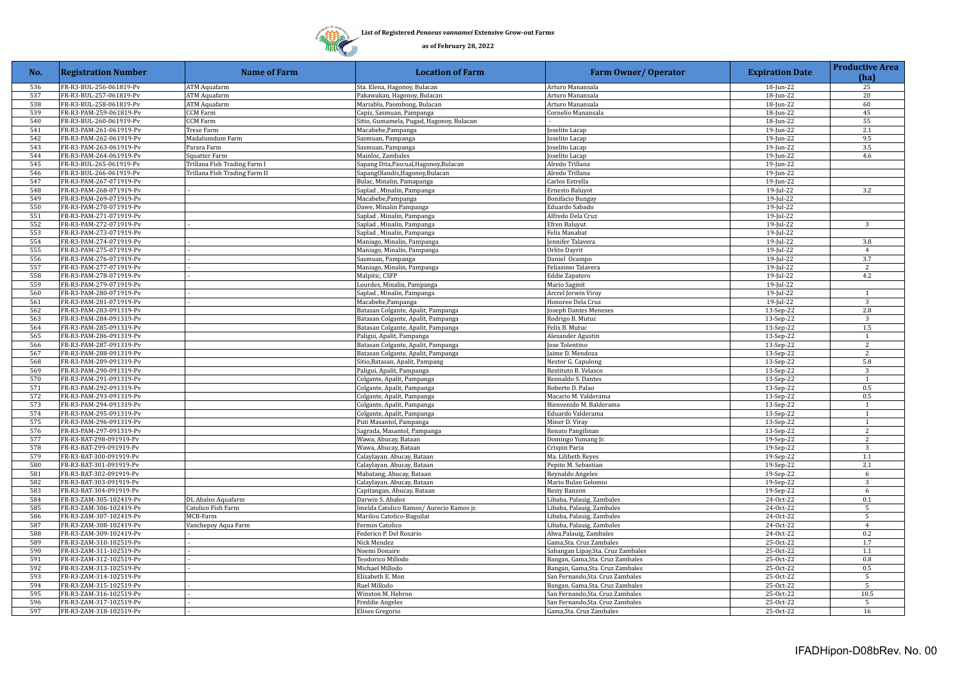

| No. | <b>Registration Number</b> | <b>Name of Farm</b>           | <b>Location of Farm</b>                  | <b>Farm Owner/ Operator</b>        | <b>Expiration Date</b> | <b>Productive Area</b><br>(ha) |
|-----|----------------------------|-------------------------------|------------------------------------------|------------------------------------|------------------------|--------------------------------|
| 536 | FR-R3-BUL-256-061819-Pv    | <b>ATM Aquafarm</b>           | Sta. Elena, Hagonoy, Bulacan             | Arturo Manansala                   | 18-Jun-22              | 25                             |
| 537 | FR-R3-BUL-257-061819-Pv    | ATM Aquafarm                  | Pakawakan, Hagonoy, Bulacan              | Arturo Manansala                   | 18-Jun-22              | 20                             |
| 538 | FR-R3-BUL-258-061819-Pv    | <b>ATM Aquafarm</b>           | Mariablu, Paombong, Bulacan              | Arturo Manansala                   | 18-Jun-22              | 60                             |
| 539 | FR-R3-PAM-259-061819-Pv    | CCM Farm                      | Capiz, Sasmuan, Pampanga                 | Cornelio Manansala                 | 18-Jun-22              | 45                             |
| 540 | FR-R3-BUL-260-061919-Pv    | <b>CCM Farm</b>               | Sitio, Gumamela, Pugad, Hagonoy, Bulacan |                                    | 18-Jun-22              | 55                             |
| 541 | FR-R3-PAM-261-061919-Pv    | Trese Farm                    | Macabebe, Pampanga                       | oselito Lacap                      | 19-Jun-22              | 2.1                            |
| 542 | FR-R3-PAM-262-061919-Pv    | Madalumdum Farm               | Sasmuan, Pampanga                        | oselito Lacap                      | 19-Jun-22              | 9.5                            |
| 543 | FR-R3-PAM-263-061919-Pv    | Parara Farm                   | Sasmuan, Pampanga                        | oselito Lacap                      | 19-Jun-22              | 3.5                            |
| 544 | FR-R3-PAM-264-061919-Pv    | Squatter Farm                 | Mainloc, Zambales                        | oselito Lacap                      | 19-Jun-22              | 4.6                            |
| 545 | FR-R3-BUL-265-061919-Pv    | Trillana Fish Trading Farm I  | Sapang Dita, Pascual, Hagonoy, Bulacan   | Alredo Trillana                    | 19-Jun-22              |                                |
| 546 | FR-R3-BUL-266-061919-Pv    | Trillana Fish Trading Farm II | SapangOlandis, Hagonoy, Bulacan          | Alredo Trillana                    | 19-Jun-22              |                                |
| 547 | FR-R3-PAM-267-071919-Pv    |                               | Bulac, Minalin, Pamapanga                | Carlos Estrella                    | 19-Jun-22              |                                |
| 548 | FR-R3-PAM-268-071919-Pv    |                               | Saplad, Minalin, Pampanga                | Ernesto Baluyot                    | 19-Jul-22              | 3.2                            |
| 549 | FR-R3-PAM-269-071919-Pv    |                               | Macabebe, Pampanga                       | <b>Bonifacio Bungay</b>            | 19-Jul-22              |                                |
| 550 | FR-R3-PAM-270-071919-Pv    |                               | Dawe, Minalin Pampanga                   | Eduardo Sabado                     | 19-Jul-22              |                                |
| 551 | FR-R3-PAM-271-071919-Pv    |                               | Saplad, Minalin, Pampanga                | Alfredo Dela Cruz                  | 19-Jul-22              |                                |
| 552 | FR-R3-PAM-272-071919-Pv    |                               | Saplad, Minalin, Pampanga                | Efren Baluyut                      | $19$ -Jul-22           | 3                              |
| 553 | FR-R3-PAM-273-071919-Pv    |                               | Saplad, Minalin, Pampanga                | Felix Manabat                      | 19-Jul-22              |                                |
| 554 | FR-R3-PAM-274-071919-Pv    |                               | Maniago, Minalin, Pampanga               | Jennifer Talavera                  | $19$ -Jul-22           | 3.8                            |
| 555 | FR-R3-PAM-275-071919-Pv    |                               | Maniago, Minalin, Pampanga               | Orlito Dayrit                      | 19-Jul-22              | $\overline{4}$                 |
| 556 | FR-R3-PAM-276-071919-Pv    |                               | Sasmuan, Pampanga                        | Daniel Ocampo                      | 19-Jul-22              | 3.7                            |
| 557 | FR-R3-PAM-277-071919-Pv    |                               | Maniago, Minalin, Pampanga               | Feliasimo Talavera                 | 19-Jul-22              | 2                              |
| 558 | FR-R3-PAM-278-071919-Pv    |                               | Malpitic, CSFP                           | <b>Eddie Zapatero</b>              | 19-Jul-22              | 4.2                            |
| 559 | FR-R3-PAM-279-071919-Pv    |                               | Lourdes, Minalin, Pampanga               | Mario Sagmit                       | 19-Jul-22              |                                |
| 560 | FR-R3-PAM-280-071919-Pv    |                               | Saplad, Minalin, Pampanga                | Arcrel Jerwin Viray                | 19-Jul-22              | $\overline{1}$                 |
| 561 | FR-R3-PAM-281-071919-Pv    |                               | Macabebe, Pampanga                       | Honoreo Dela Cruz                  | 19-Jul-22              | 3                              |
| 562 | FR-R3-PAM-283-091319-Pv    |                               | Batasan Colgante, Apalit, Pampanga       | Joseph Dantes Meneses              | 13-Sep-22              | 2.8                            |
| 563 | FR-R3-PAM-284-091319-Pv    |                               | Batasan Colgante, Apalit, Pampanga       | Rodrigo B. Mutuc                   | 13-Sep-22              | 3                              |
| 564 | FR-R3-PAM-285-091319-Pv    |                               | Batasan Colgante, Apalit, Pampanga       | Felix B. Mutuc                     | 13-Sep-22              | 1.5                            |
| 565 | FR-R3-PAM-286-091319-Pv    |                               | Paligui, Apalit, Pampanga                | Alexander Agustin                  | 13-Sep-22              | $\overline{1}$                 |
| 566 | FR-R3-PAM-287-091319-Pv    |                               | Batasan Colgante, Apalit, Pampanga       | Jose Tolentino                     | 13-Sep-22              | 2                              |
| 567 | FR-R3-PAM-288-091319-Pv    |                               | Batasan Colgante, Apalit, Pampanga       | Jaime D. Mendoza                   | 13-Sep-22              | $\overline{2}$                 |
| 568 | FR-R3-PAM-289-091319-Pv    |                               | Sitio, Batasan, Apalit, Pampang          | Nestor G. Capulong                 | 13-Sep-22              | 5.8                            |
| 569 | FR-R3-PAM-290-091319-Pv    |                               | Paligui, Apalit, Pampanga                | Restituto B. Velasco               | 13-Sep-22              | 3                              |
| 570 | FR-R3-PAM-291-091319-Pv    |                               | Colgante, Apalit, Pampanga               | Rennaldo S. Dantes                 | 13-Sep-22              | $\mathbf{1}$                   |
| 571 | FR-R3-PAM-292-091319-Pv    |                               | Colgante, Apalit, Pampanga               | Roberto D. Palao                   | 13-Sep-22              | 0.5                            |
| 572 | FR-R3-PAM-293-091319-Pv    |                               | Colgante, Apalit, Pampanga               | Macario M. Valderama               | 13-Sep-22              | 0.5                            |
| 573 | FR-R3-PAM-294-091319-Pv    |                               | Colgante, Apalit, Pampanga               | Bienvenido M. Balderama            | 13-Sep-22              | $\overline{1}$                 |
| 574 | FR-R3-PAM-295-091319-Pv    |                               | Colgante, Apalit, Pampanga               | Eduardo Valderama                  | 13-Sep-22              | $\overline{1}$                 |
| 575 | FR-R3-PAM-296-091319-Pv    |                               | Puti Masantol, Pampanga                  | Miner D. Viray                     | 13-Sep-22              | $\overline{1}$                 |
| 576 | FR-R3-PAM-297-091319-Pv    |                               | Sagrada, Masantol, Pampanga              | Renato Pangilinan                  | 13-Sep-22              | $\overline{c}$                 |
| 577 | FR-R3-BAT-298-091919-Pv    |                               | Wawa, Abucay, Bataan                     | Domingo Yumang Jr.                 | 19-Sep-22              | 2                              |
| 578 | FR-R3-BAT-299-091919-Pv    |                               | Wawa, Abucay, Bataan                     | Crispin Paria                      | 19-Sep-22              | 3                              |
| 579 | FR-R3-BAT-300-091919-Pv    |                               | Calaylayan. Abucay, Bataan               | Ma. Lilibeth Reyes                 | 19-Sep-22              | 1.1                            |
| 580 | FR-R3-BAT-301-091919-Pv    |                               | Calaylayan. Abucay, Bataan               | Pepito M. Sebastian                | 19-Sep-22              | 2.1                            |
| 581 | FR-R3-BAT-302-091919-Pv    |                               | Mabatang, Abucay, Bataan                 | Reynaldo Angeles                   | 19-Sep-22              | 6                              |
| 582 | FR-R3-BAT-303-091919-Pv    |                               | Calaylayan. Abucay, Bataan               | Mario Bulan Gelomio                | 19-Sep-22              | 3                              |
| 583 | FR-R3-BAT-304-091919-Pv    |                               | Capitangan, Abucay, Bataan               | <b>Resty Banzon</b>                | 19-Sep-22              | 6                              |
| 584 | FR-R3-ZAM-305-102419-Pv    | DL Abalos Aquafarm            | Darwin S. Abalos                         | Libaba, Palauig, Zambales          | 24-Oct-22              | 0.1                            |
| 585 | FR-R3-ZAM-306-102419-Pv    | Catolico Fish Farm            | Imelda Catolico Ramos/ Aurecio Ramos jr. | Libaba, Palauig, Zambales          | 24-Oct-22              | 5                              |
| 586 | FR-R3-ZAM-307-102419-Pv    | MCB-Farm                      | Marilou Catolico-Baguilat                | Libaba, Palauig, Zambales          | 24-Oct-22              | $\overline{5}$                 |
| 587 | FR-R3-ZAM-308-102419-Pv    | Vanchepoy Aqua Farm           | Fermin Catolico                          | Libaba, Palauig, Zambales          | 24-Oct-22              | $\overline{4}$                 |
| 588 | FR-R3-ZAM-309-102419-Pv    |                               | Federico P. Del Rosario                  | Alwa, Palauig, Zambales            | 24-Oct-22              | 0.2                            |
| 589 | FR-R3-ZAM-310-102519-Pv    |                               | Nick Mendez                              | Gama,Sta. Cruz Zambales            | 25-Oct-22              | 1.7                            |
| 590 | FR-R3-ZAM-311-102519-Pv    |                               | Noemi Donaire                            | Sabangan Lipay, Sta. Cruz Zambales | 25-Oct-22              | 1.1                            |
| 591 | FR-R3-ZAM-312-102519-Pv    |                               | Teodorico Millodo                        | Bangan, Gama,Sta. Cruz Zambales    | 25-Oct-22              | 0.8                            |
| 592 | FR-R3-ZAM-313-102519-Pv    |                               | Michael Millodo                          | Bangan, Gama, Sta. Cruz Zambales   | 25-Oct-22              | 0.5                            |
| 593 | FR-R3-ZAM-314-102519-Pv    |                               | Elizabeth E. Mon                         | San Fernando, Sta. Cruz Zambales   | 25-Oct-22              | 5                              |
| 594 | FR-R3-ZAM-315-102519-Pv    |                               | Ruel Millodo                             | Bangan, Gama,Sta. Cruz Zambales    | 25-Oct-22              | - 5                            |
| 595 | FR-R3-ZAM-316-102519-Pv    |                               | Winston M. Hebron                        | San Fernando, Sta. Cruz Zambales   | 25-Oct-22              | 10.5                           |
| 596 | FR-R3-ZAM-317-102519-Pv    |                               | <b>Freddie Angeles</b>                   | San Fernando, Sta. Cruz Zambales   | 25-Oct-22              | 5                              |
| 597 | FR-R3-ZAM-318-102519-Pv    |                               | Eliseo Gregorio                          | Gama, Sta. Cruz Zambales           | 25-Oct-22              | 16                             |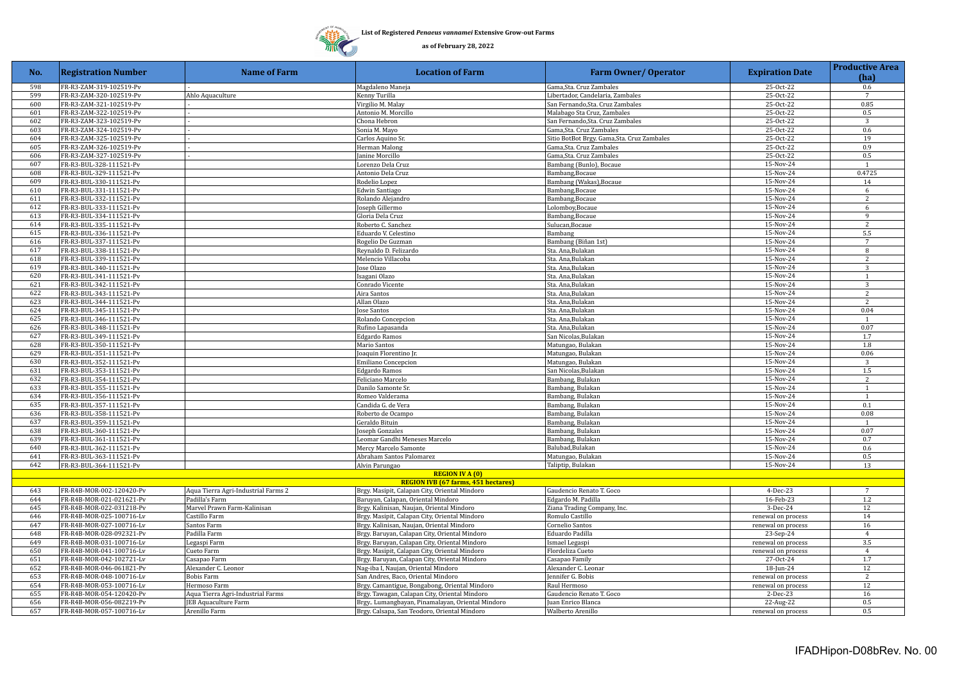

| No. | <b>Registration Number</b> | <b>Name of Farm</b>                 | <b>Location of Farm</b>                         | <b>Farm Owner/ Operator</b>                 | <b>Expiration Date</b> | <b>Productive Area</b><br>(ha) |
|-----|----------------------------|-------------------------------------|-------------------------------------------------|---------------------------------------------|------------------------|--------------------------------|
| 598 | FR-R3-ZAM-319-102519-Pv    |                                     | Magdaleno Maneja                                | Gama.Sta. Cruz Zambales                     | 25-Oct-22              | $0.6^{\circ}$                  |
| 599 | FR-R3-ZAM-320-102519-Pv    | Ahlo Aquaculture                    | Kenny Turilla                                   | Libertador, Candelaria, Zambales            | 25-Oct-22              | $7\overline{ }$                |
| 600 | FR-R3-ZAM-321-102519-Pv    |                                     | Virgilio M. Malay                               | San Fernando, Sta. Cruz Zambales            | 25-Oct-22              | 0.85                           |
| 601 | FR-R3-ZAM-322-102519-Pv    |                                     | Antonio M. Morcillo                             | Malabago Sta Cruz, Zambales                 | 25-Oct-22              | 0.5                            |
| 602 | FR-R3-ZAM-323-102519-Pv    |                                     | Chona Hebron                                    | San Fernando, Sta. Cruz Zambales            | 25-Oct-22              | 3                              |
| 603 | FR-R3-ZAM-324-102519-Pv    |                                     | Sonia M. Mayo                                   | Gama, Sta. Cruz Zambales                    | 25-Oct-22              | 0.6                            |
| 604 | FR-R3-ZAM-325-102519-Pv    |                                     | Carlos Aquino Sr.                               | Sitio BotBot Brgy. Gama, Sta. Cruz Zambales | 25-Oct-22              | 19                             |
| 605 | FR-R3-ZAM-326-102519-Pv    |                                     | Herman Malong                                   | Gama, Sta. Cruz Zambales                    | 25-Oct-22              | 0.9                            |
| 606 | FR-R3-ZAM-327-102519-Pv    |                                     | Janine Morcillo                                 | Gama, Sta. Cruz Zambales                    | 25-Oct-22              | 0.5                            |
| 607 | FR-R3-BUL-328-111521-Pv    |                                     | Lorenzo Dela Cruz                               | Bambang (Bunlo), Bocaue                     | 15-Nov-24              | $\overline{1}$                 |
| 608 | FR-R3-BUL-329-111521-Pv    |                                     | Antonio Dela Cruz                               | Bambang, Bocaue                             | 15-Nov-24              | 0.4725                         |
| 609 | FR-R3-BUL-330-111521-Pv    |                                     | Rodelio Lopez                                   | Bambang (Wakas), Bocaue                     | 15-Nov-24              | 14                             |
| 610 | FR-R3-BUL-331-111521-Pv    |                                     | <b>Edwin Santiago</b>                           | Bambang, Bocaue                             | 15-Nov-24              | 6                              |
| 611 | FR-R3-BUL-332-111521-Pv    |                                     | Rolando Alejandro                               | Bambang, Bocaue                             | 15-Nov-24              | $\overline{2}$                 |
| 612 | FR-R3-BUL-333-111521-Pv    |                                     | Joseph Gillermo                                 | Lolomboy, Bocaue                            | 15-Nov-24              | 6                              |
| 613 | FR-R3-BUL-334-111521-Pv    |                                     | Gloria Dela Cruz                                | Bambang, Bocaue                             | 15-Nov-24              | $\mathbf{Q}$                   |
| 614 | FR-R3-BUL-335-111521-Pv    |                                     | Roberto C. Sanchez                              | Sulucan, Bocaue                             | 15-Nov-24              | 2                              |
| 615 | FR-R3-BUL-336-111521-Pv    |                                     | Eduardo V. Celestino                            | Bambang                                     | 15-Nov-24              | 5.5                            |
| 616 | FR-R3-BUL-337-111521-Pv    |                                     | Rogelio De Guzman                               | Bambang (Biñan 1st)                         | 15-Nov-24              | $\overline{7}$                 |
| 617 | FR-R3-BUL-338-111521-Pv    |                                     | Reynaldo D. Felizardo                           | Sta. Ana,Bulakan                            | 15-Nov-24              | 8                              |
| 618 | FR-R3-BUL-339-111521-Pv    |                                     | Melencio Villacoba                              | Sta. Ana.Bulakan                            | 15-Nov-24              | 2                              |
| 619 | FR-R3-BUL-340-111521-Pv    |                                     | Jose Olazo                                      | Sta. Ana,Bulakan                            | 15-Nov-24              | 3                              |
| 620 | FR-R3-BUL-341-111521-Pv    |                                     | Isagani Olazo                                   | Sta. Ana,Bulakan                            | 15-Nov-24              | $\overline{1}$                 |
| 621 | FR-R3-BUL-342-111521-Pv    |                                     | Conrado Vicente                                 | Sta. Ana,Bulakan                            | 15-Nov-24              | 3                              |
| 622 | FR-R3-BUL-343-111521-Pv    |                                     | Aira Santos                                     | Sta. Ana,Bulakan                            | 15-Nov-24              | $\overline{2}$                 |
| 623 | FR-R3-BUL-344-111521-Pv    |                                     | Allan Olazo                                     | Sta. Ana,Bulakan                            | 15-Nov-24              | 2                              |
| 624 | FR-R3-BUL-345-111521-Pv    |                                     | Jose Santos                                     | Sta. Ana.Bulakan                            | 15-Nov-24              | 0.04                           |
| 625 | FR-R3-BUL-346-111521-Pv    |                                     | Rolando Concepcion                              | Sta. Ana,Bulakan                            | 15-Nov-24              | -1                             |
| 626 | FR-R3-BUL-348-111521-Pv    |                                     | Rufino Lapasanda                                | Sta. Ana,Bulakan                            | 15-Nov-24              | 0.07                           |
| 627 | FR-R3-BUL-349-111521-Pv    |                                     | Edgardo Ramos                                   | San Nicolas,Bulakan                         | 15-Nov-24              | 1.7                            |
| 628 | FR-R3-BUL-350-111521-Pv    |                                     | Mario Santos                                    | Matungao, Bulakan                           | 15-Nov-24              | 1.8                            |
| 629 | FR-R3-BUL-351-111521-Pv    |                                     | Joaquin Florentino Jr.                          | Matungao, Bulakan                           | 15-Nov-24              | 0.06                           |
| 630 | FR-R3-BUL-352-111521-Pv    |                                     | Emiliano Concepcion                             | Matungao, Bulakan                           | 15-Nov-24              | $\overline{3}$                 |
| 631 | FR-R3-BUL-353-111521-Pv    |                                     | Edgardo Ramos                                   | San Nicolas, Bulakan                        | 15-Nov-24              | $1.5\,$                        |
| 632 | FR-R3-BUL-354-111521-Pv    |                                     | Feliciano Marcelo                               | Bambang, Bulakan                            | 15-Nov-24              | $\overline{c}$                 |
| 633 | FR-R3-BUL-355-111521-Pv    |                                     | Danilo Samonte Sr.                              | Bambang, Bulakan                            | 15-Nov-24              | $\mathbf{1}$                   |
| 634 | FR-R3-BUL-356-111521-Pv    |                                     | Romeo Valderama                                 | Bambang, Bulakan                            | 15-Nov-24              | $\mathbf{1}$                   |
| 635 | FR-R3-BUL-357-111521-Pv    |                                     | Candida G. de Vera                              | Bambang, Bulakan                            | 15-Nov-24              | 0.1                            |
| 636 | FR-R3-BUL-358-111521-Pv    |                                     | Roberto de Ocampo                               | Bambang, Bulakan                            | 15-Nov-24              | 0.08                           |
| 637 | FR-R3-BUL-359-111521-Pv    |                                     | Geraldo Bituin                                  | Bambang, Bulakan                            | 15-Nov-24              | 1                              |
| 638 | FR-R3-BUL-360-111521-Pv    |                                     | Joseph Gonzales                                 | Bambang, Bulakan                            | 15-Nov-24              | 0.07                           |
| 639 | FR-R3-BUL-361-111521-Pv    |                                     | Leomar Gandhi Meneses Marcelo                   | Bambang, Bulakan                            | 15-Nov-24              | 0.7                            |
| 640 | FR-R3-BUL-362-111521-Pv    |                                     | Mercy Marcelo Samonte                           | Balubad, Bulakan                            | 15-Nov-24              | 0.6                            |
| 641 | FR-R3-BUL-363-111521-Pv    |                                     | Abraham Santos Palomarez                        | Matungao, Bulakan                           | 15-Nov-24              | 0.5                            |
| 642 | FR-R3-BUL-364-111521-Pv    |                                     | Alvin Parungao                                  | Taliptip, Bulakan                           | 15-Nov-24              | 13                             |
|     |                            |                                     | <b>REGION IV A (0)</b>                          |                                             |                        |                                |
|     |                            |                                     | <b>REGION IVB (67 farms, 451 hectares)</b>      |                                             |                        |                                |
| 643 | FR-R4B-MOR-002-120420-Pv   | Aqua Tierra Agri-Industrial Farms 2 | Brgy. Masipit, Calapan City, Oriental Mindoro   | Gaudencio Renato T. Goco                    | 4-Dec-23               | $7\phantom{.0}$                |
| 644 | FR-R4B-MOR-021-021621-Pv   | Padilla's Farm                      | Baruyan, Calapan, Oriental Mindoro              | Edgardo M. Padilla                          | 16-Feb-23              | 1.2                            |
| 645 | FR-R4B-MOR-022-031218-Pv   | Marvel Prawn Farm-Kalinisan         | Brgy. Kalinisan, Naujan, Oriental Mindoro       | Ziana Trading Company, Inc.                 | 3-Dec-24               | 12                             |
| 646 | FR-R4B-MOR-025-100716-Lv   | Castillo Farm                       | Brgy. Masipit, Calapan City, Oriental Mindoro   | Romulo Castillo                             | renewal on process     | 14                             |
| 647 | FR-R4B-MOR-027-100716-Lv   | Santos Farm                         | Brgy. Kalinisan, Naujan, Oriental Mindoro       | Cornelio Santos                             | renewal on process     | 16                             |
| 648 | FR-R4B-MOR-028-092321-Pv   | Padilla Farm                        | Brgy. Baruyan, Calapan City, Oriental Mindoro   | Eduardo Padilla                             | 23-Sep-24              | $\overline{4}$                 |
| 649 | FR-R4B-MOR-031-100716-Lv   | Legaspi Farm                        | Brgy. Baruyan, Calapan City, Oriental Mindoro   | Ismael Legaspi                              | renewal on process     | 3.5                            |
| 650 | FR-R4B-MOR-041-100716-Lv   | Cueto Farm                          | Brgy. Masipit, Calapan City, Oriental Mindoro   | Flordeliza Cueto                            | renewal on process     | $\overline{4}$                 |
| 651 | FR-R4B-MOR-042-102721-Lv   | Casapao Farm                        | Brgy. Baruyan, Calapan City, Oriental Mindoro   | Casapao Family                              | $27-0ct-24$            | 1.7                            |
| 652 | FR-R4B-MOR-046-061821-Pv   | Alexander C. Leonor                 | Nag-iba I, Naujan, Oriental Mindoro             | Alexander C. Leonar                         | 18-Jun-24              | 12                             |
| 653 | FR-R4B-MOR-048-100716-Lv   | <b>Bobis Farm</b>                   | San Andres, Baco, Oriental Mindoro              | Jennifer G. Bobis                           | renewal on process     | 2                              |
| 654 | FR-R4B-MOR-053-100716-Lv   | Hermoso Farm                        | Brgy. Camantigue, Bongabong, Oriental Mindoro   | Raul Hermoso                                | renewal on process     | 12                             |
| 655 | FR-R4B-MOR-054-120420-Pv   | Aqua Tierra Agri-Industrial Farms   | Brgy. Tawagan, Calapan City, Oriental Mindoro   | Gaudencio Renato T. Goco                    | 2-Dec-23               | 16                             |
| 656 | FR-R4B-MOR-056-082219-Pv   | JEB Aquaculture Farm                | Brgy Lumangbayan, Pinamalayan, Oriental Mindoro | Juan Enrico Blanca                          | 22-Aug-22              | 0.5                            |
| 657 | FR-R4B-MOR-057-100716-Lv   | Arenillo Farm                       | Brgy. Calsapa, San Teodoro, Oriental Mindoro    | Walberto Arenillo                           | renewal on process     | 0.5                            |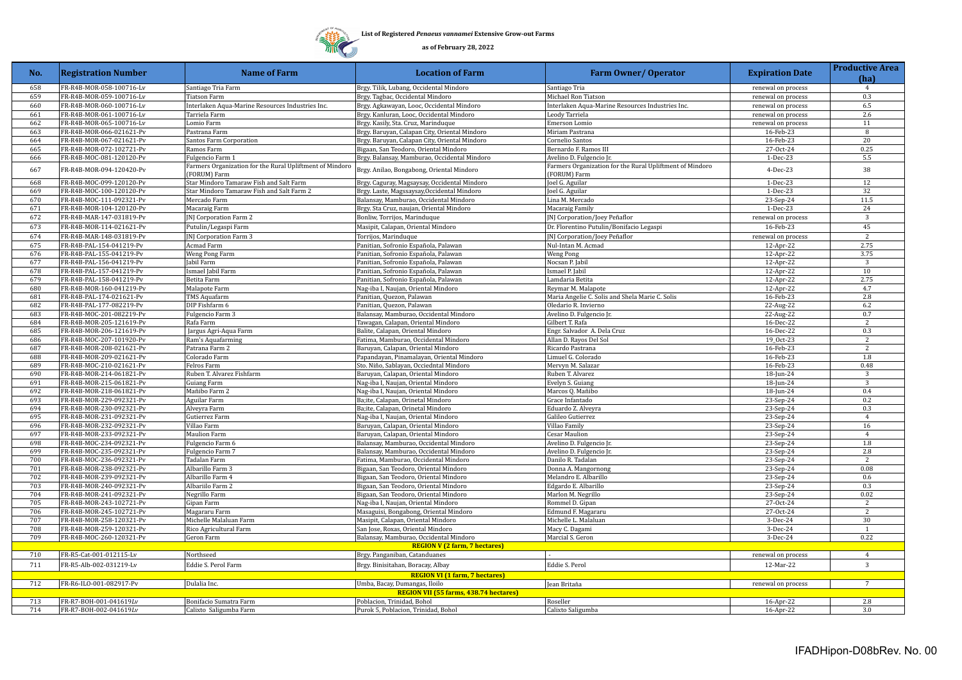

| 658<br>FR-R4B-MOR-058-100716-Lv<br>Santiago Tria Farm<br>Brgy. Tilik, Lubang, Occidental Mindoro<br>Santiago Tria<br>renewal on process<br>4<br>659<br>FR-R4B-MOR-059-100716-Lv<br>Tiatson Farm<br>Brgy. Tagbac, Occidental Mindoro<br>Michael Ron Tiatson<br>renewal on process<br>0.3<br>6.5<br>660<br>FR-R4B-MOR-060-100716-Lv<br>Interlaken Aqua-Marine Resources Industries Inc.<br>Brgy. Agkawayan, Looc, Occidental Mindoro<br>Interlaken Aqua-Marine Resources Industries Inc.<br>renewal on process<br>661<br>2.6<br>FR-R4B-MOR-061-100716-Lv<br>Tarriela Farm<br>Brgy. Kanluran, Looc, Occidental Mindoro<br>Leody Tarriela<br>renewal on process<br>FR-R4B-MOR-065-100716-Lv<br>11<br>662<br>Brgy. Kasily, Sta. Cruz, Marinduque<br>renewal on process<br>Lomio Farm<br>Emerson Lomio<br>663<br>FR-R4B-MOR-066-021621-Pv<br>Pastrana Farm<br>Brgy. Baruyan, Calapan City, Oriental Mindoro<br>Miriam Pastrana<br>16-Feb-23<br>8<br>664<br>FR-R4B-MOR-067-021621-Pv<br>Santos Farm Corporation<br>Cornelio Santos<br>16-Feb-23<br>20<br>Brgy. Baruyan, Calapan City, Oriental Mindoro<br>665<br>FR-R4B-MOR-072-102721-Pv<br>Bigaan, San Teodoro, Oriental Mindoro<br>27-Oct-24<br>0.25<br>Ramos Farm<br>Bernardo F. Ramos III<br>666<br>FR-R4B-MOC-081-120120-Pv<br>Fulgencio Farm 1<br>Brgy. Balansay, Mamburao, Occidental Mindoro<br>Avelino D. Fulgencio Jr.<br>1-Dec-23<br>5.5<br>Farmers Organization for the Rural Upliftment of Mindord<br>Farmers Organization for the Rural Upliftment of Mindoro<br>38<br>667<br>FR-R4B-MOR-094-120420-Pv<br>Brgy. Anilao, Bongabong, Oriental Mindoro<br>4-Dec-23<br>(FORUM) Farm<br>[FORUM] Farm<br>12<br>668<br>FR-R4B-MOC-099-120120-Pv<br>Star Mindoro Tamaraw Fish and Salt Farm<br>Brgy. Caguray, Magsaysay, Occidental Mindoro<br>Joel G. Aguilar<br>1-Dec-23<br>32<br>669<br>FR-R4B-MOC-100-120120-Pv<br>Star Mindoro Tamaraw Fish and Salt Farm 2<br>Brgy. Laste, Magssaysay, Occidental Mindoro<br>Joel G. Aguilar<br>$1-Dec-23$<br>23-Sep-24<br>670<br>FR-R4B-MOC-111-092321-Pv<br>Mercado Farm<br>Balansay, Mamburao, Occidental Mindoro<br>Lina M. Mercado<br>11.5<br>671<br>Brgy. Sta Cruz, naujan, Oriental Mindoro<br>24<br>FR-R4B-MOR-104-120120-Pv<br>Macaraig Farm<br>$1-Dec-23$<br>Macaraig Family<br>672<br>FR-R4B-MAR-147-031819-Pv<br>JNJ Corporation Farm 2<br>Bonliw, Torrijos, Marinduque<br>[N] Corporation/Joey Peñaflor<br>3<br>renewal on process<br>45<br>673<br>16-Feb-23<br>FR-R4B-MOR-114-021621-Pv<br>Putulin/Legaspi Farm<br>Masipit, Calapan, Oriental Mindoro<br>Dr. Florentino Putulin/Bonifacio Legaspi<br>$\overline{2}$<br>674<br>FR-R4B-MAR-148-031819-Pv<br>JNJ Corporation Farm 3<br>Torrijos, Marinduque<br>[N] Corporation/Joey Peñaflor<br>renewal on process<br>675<br>FR-R4B-PAL-154-041219-Pv<br>Acmad Farm<br>Panitian, Sofronio Española, Palawan<br>12-Apr-22<br>2.75<br>Nul-Intan M. Acmad<br>676<br>FR-R4B-PAL-155-041219-Pv<br>Weng Pong Farm<br>Panitian, Sofronio Española, Palawan<br><b>Weng Pong</b><br>12-Apr-22<br>3.75<br>677<br>FR-R4B-PAL-156-041219-Pv<br>Jabil Farm<br>Panitian, Sofronio Española, Palawan<br>Nocsan P. Jabil<br>12-Apr-22<br>$\overline{\mathbf{3}}$<br>678<br>FR-R4B-PAL-157-041219-Pv<br>Ismael Jabil Farm<br>Panitian, Sofronio Española, Palawan<br>Ismael P. Jabil<br>12-Apr-22<br>10<br>679<br>2.75<br>FR-R4B-PAL-158-041219-Pv<br>Betita Farm<br>Panitian, Sofronio Española, Palawan<br>Lamdaria Betita<br>12-Apr-22<br>680<br>4.7<br>FR-R4B-MOR-160-041219-Pv<br>Malapote Farm<br>Nag-iba I, Naujan, Oriental Mindoro<br>Reymar M. Malapote<br>12-Apr-22<br>681<br>Maria Angelie C. Solis and Shela Marie C. Solis<br>16-Feb-23<br>2.8<br>FR-R4B-PAL-174-021621-Pv<br>TMS Aquafarm<br>Panitian, Quezon, Palawan<br>682<br>FR-R4B-PAL-177-082219-Pv<br>Oledario R. Invierno<br>22-Aug-22<br>6.2<br>DIP Fishfarm 6<br>Panitian, Quezon, Palawan<br>683<br>FR-R4B-MOC-201-082219-Pv<br>Fulgencio Farm 3<br>Avelino D. Fulgencio Jr.<br>22-Aug-22<br>0.7<br>Balansay, Mamburao, Occidental Mindoro<br>684<br>FR-R4B-MOR-205-121619-Pv<br>Rafa Farm<br>Tawagan, Calapan, Oriental Mindoro<br>Gilbert T. Rafa<br>16-Dec-22<br>$\overline{2}$<br>0.3<br>685<br>FR-R4B-MOR-206-121619-Pv<br>Balite, Calapan, Oriental Mindoro<br>Engr. Salvador A. Dela Cruz<br>Jargus Agri-Aqua Farm<br>16-Dec-22<br>686<br>19 Oct-23<br>$\overline{2}$<br>FR-R4B-MOC-207-101920-Pv<br>Ram's Aquafarming<br>Fatima, Mamburao, Occidental Mindoro<br>Allan D. Rayos Del Sol<br>687<br>FR-R4B-MOR-208-021621-Pv<br>Baruyan, Calapan, Oriental Mindoro<br>Ricardo Pastrana<br>16-Feb-23<br>Patrana Farm 2<br>2<br>688<br>1.8<br>FR-R4B-MOR-209-021621-Pv<br>Colorado Farm<br>Papandayan, Pinamalayan, Oriental Mindoro<br>Limuel G. Colorado<br>16-Feb-23<br>689<br>FR-R4B-MOC-210-021621-Pv<br>Felros Farm<br>Sto. Niño, Sablayan, Occiedntal Mindoro<br>Mervyn M. Salazar<br>16-Feb-23<br>0.48<br>690<br>FR-R4B-MOR-214-061821-Pv<br>Ruben T. Alvarez Fishfarm<br>Baruyan, Calapan, Oriental Mindoro<br>Ruben T. Alvarez<br>18-Jun-24<br>$\overline{3}$<br>3<br>691<br>FR-R4B-MOR-215-061821-Pv<br>Nag-iba I, Naujan, Oriental Mindoro<br>Evelyn S. Guiang<br>18-Jun-24<br><b>Guiang Farm</b><br>692<br>FR-R4B-MOR-218-061821-Pv<br>Mañibo Farm 2<br>Nag-iba I, Naujan, Oriental Mindoro<br>Marcos Q. Mañibo<br>18-Jun-24<br>0.4<br>693<br>Aguilar Farm<br>23-Sep-24<br>0.2<br>FR-R4B-MOR-229-092321-Pv<br>Ba;ite, Calapan, Orinetal Mindoro<br>Grace Infantado<br>694<br>Ba;ite, Calapan, Orinetal Mindoro<br>0.3<br>FR-R4B-MOR-230-092321-Pv<br>Alveyra Farm<br>Eduardo Z. Alveyra<br>23-Sep-24<br>695<br>FR-R4B-MOR-231-092321-Pv<br>Nag-iba I, Naujan, Oriental Mindoro<br>$\overline{4}$<br>Gutierrez Farm<br>Galileo Gutierrez<br>23-Sep-24<br>696<br>FR-R4B-MOR-232-092321-Pv<br>Villao Farm<br>Baruyan, Calapan, Oriental Mindoro<br>Villao Family<br>16<br>23-Sep-24<br>697<br>FR-R4B-MOR-233-092321-Pv<br><b>Maulion Farm</b><br>Baruyan, Calapan, Oriental Mindoro<br>23-Sep-24<br>$\overline{4}$<br>Cesar Maulion<br>698<br>FR-R4B-MOC-234-092321-Pv<br>Fulgencio Farm 6<br>Balansay, Mamburao, Occidental Mindoro<br>Avelino D. Fulgencio Jr.<br>23-Sep-24<br>1.8<br>699<br>2.8<br>FR-R4B-MOC-235-092321-Pv<br>Balansay, Mamburao, Occidental Mindoro<br>Fulgencio Farm 7<br>Avelino D. Fulgencio Jr.<br>23-Sep-24<br>Fatima, Mamburao, Occidental Mindoro<br>700<br>FR-R4B-MOC-236-092321-Pv<br>Tadalan Farm<br>Danilo R. Tadalan<br>23-Sep-24<br>2<br>701<br>FR-R4B-MOR-238-092321-Pv<br>Albarillo Farm 3<br>Bigaan, San Teodoro, Oriental Mindoro<br>Donna A. Mangornong<br>23-Sep-24<br>0.08<br>702<br>FR-R4B-MOR-239-092321-Pv<br>Albarillo Farm 4<br>0.6<br>Bigaan, San Teodoro, Oriental Mindoro<br>Melandro E. Albarillo<br>23-Sep-24<br>703<br>FR-R4B-MOR-240-092321-Pv<br>Albariilo Farm 2<br>Bigaan, San Teodoro, Oriental Mindoro<br>Edgardo E. Albarillo<br>23-Sep-24<br>0.3<br>704<br>0.02<br>FR-R4B-MOR-241-092321-Pv<br>Negrillo Farm<br>Bigaan, San Teodoro, Oriental Mindoro<br>Marlon M. Negrillo<br>23-Sep-24<br>705<br>FR-R4B-MOR-243-102721-Pv<br>Gipan Farm<br>Nag-iba I, Naujan, Oriental Mindoro<br>Rommel D. Gipan<br>27-Oct-24<br>$\overline{2}$<br>706<br>FR-R4B-MOR-245-102721-Pv<br>Masaguisi, Bongabong, Oriental Mindoro<br>Edmund F. Magararu<br>Magararu Farm<br>27-Oct-24<br>2<br>30<br>707<br>FR-R4B-MOR-258-120321-Pv<br>Michelle Malaluan Farm<br>Masipit, Calapan, Oriental Mindoro<br>Michelle L. Malaluan<br>$3-Dec-24$<br>708<br>FR-R4B-MOR-259-120321-Pv<br>Rico Agricultural Farm<br>San Jose, Roxas, Oriental Mindoro<br>3-Dec-24<br>Macy C. Dagami<br>$\overline{1}$<br>709<br>FR-R4B-MOC-260-120321-Pv<br>Geron Farm<br>Balansay, Mamburao, Occidental Mindoro<br>Marcial S. Geron<br>$3-Dec-24$<br>0.22<br><b>REGION V (2 farm, 7 hectares)</b><br>710<br>FR-R5-Cat-001-012115-Lv<br>Northseed<br>Brgy. Panganiban, Catanduanes<br>renewal on process<br>$\overline{4}$<br>$\overline{3}$<br>711<br>FR-R5-Alb-002-031219-Lv<br>Brgy. Binisitahan, Boracay, Albay<br>Eddie S. Perol<br>12-Mar-22<br>Eddie S. Perol Farm<br><b>REGION VI (1 farm, 7 hectares)</b><br>712<br>FR-R6-ILO-001-082917-Pv<br>Dulalia Inc.<br>Umba, Bacay, Dumangas, Iloilo<br>$7\overline{ }$<br>Jean Britaña<br>renewal on process<br><b>REGION VII (55 farms, 438.74 hectares)</b><br>713<br>FR-R7-BOH-001-041619Lv<br>Poblacion, Trinidad, Bohol<br>2.8<br>Bonifacio Sumatra Farm<br>Roseller<br>16-Apr-22<br>714<br>FR-R7-BOH-002-041619Lv<br>Purok 5, Poblacion, Trinidad, Bohol<br>3.0<br>Calixto Saligumba Farm<br>Calixto Saligumba<br>16-Apr-22 | No. | <b>Registration Number</b> | <b>Name of Farm</b> | <b>Location of Farm</b> | <b>Farm Owner/ Operator</b> | <b>Expiration Date</b> | <b>Productive Area</b><br>(ha) |
|-----------------------------------------------------------------------------------------------------------------------------------------------------------------------------------------------------------------------------------------------------------------------------------------------------------------------------------------------------------------------------------------------------------------------------------------------------------------------------------------------------------------------------------------------------------------------------------------------------------------------------------------------------------------------------------------------------------------------------------------------------------------------------------------------------------------------------------------------------------------------------------------------------------------------------------------------------------------------------------------------------------------------------------------------------------------------------------------------------------------------------------------------------------------------------------------------------------------------------------------------------------------------------------------------------------------------------------------------------------------------------------------------------------------------------------------------------------------------------------------------------------------------------------------------------------------------------------------------------------------------------------------------------------------------------------------------------------------------------------------------------------------------------------------------------------------------------------------------------------------------------------------------------------------------------------------------------------------------------------------------------------------------------------------------------------------------------------------------------------------------------------------------------------------------------------------------------------------------------------------------------------------------------------------------------------------------------------------------------------------------------------------------------------------------------------------------------------------------------------------------------------------------------------------------------------------------------------------------------------------------------------------------------------------------------------------------------------------------------------------------------------------------------------------------------------------------------------------------------------------------------------------------------------------------------------------------------------------------------------------------------------------------------------------------------------------------------------------------------------------------------------------------------------------------------------------------------------------------------------------------------------------------------------------------------------------------------------------------------------------------------------------------------------------------------------------------------------------------------------------------------------------------------------------------------------------------------------------------------------------------------------------------------------------------------------------------------------------------------------------------------------------------------------------------------------------------------------------------------------------------------------------------------------------------------------------------------------------------------------------------------------------------------------------------------------------------------------------------------------------------------------------------------------------------------------------------------------------------------------------------------------------------------------------------------------------------------------------------------------------------------------------------------------------------------------------------------------------------------------------------------------------------------------------------------------------------------------------------------------------------------------------------------------------------------------------------------------------------------------------------------------------------------------------------------------------------------------------------------------------------------------------------------------------------------------------------------------------------------------------------------------------------------------------------------------------------------------------------------------------------------------------------------------------------------------------------------------------------------------------------------------------------------------------------------------------------------------------------------------------------------------------------------------------------------------------------------------------------------------------------------------------------------------------------------------------------------------------------------------------------------------------------------------------------------------------------------------------------------------------------------------------------------------------------------------------------------------------------------------------------------------------------------------------------------------------------------------------------------------------------------------------------------------------------------------------------------------------------------------------------------------------------------------------------------------------------------------------------------------------------------------------------------------------------------------------------------------------------------------------------------------------------------------------------------------------------------------------------------------------------------------------------------------------------------------------------------------------------------------------------------------------------------------------------------------------------------------------------------------------------------------------------------------------------------------------------------------------------------------------------------------------------------------------------------------------------------------------------------------------------------------------------------------------------------------------------------------------------------------------------------------------------------------------------------------------------------------------------------------------------------------------------------------------------------------------------------------------------------------------------------------------------------------------------------------------------------------------------------------------------------------------------------------------------------------------------------------------------------------------------------------------------------------------------------------------------------------------------------------------------------------------------------------------------------------------------------------------------------------------------------------------------------------------------------------------------------------------------------------------------------------------------------------------------------------------------------------------------------------------------------------------------------------------------------------------------------------------------------------------------------------------------------------------------------------------------------------------------------------------------------------------------------------------------------------------------------------------------------------------------------------------------------------------------------------------------------------------------------------------------------|-----|----------------------------|---------------------|-------------------------|-----------------------------|------------------------|--------------------------------|
|                                                                                                                                                                                                                                                                                                                                                                                                                                                                                                                                                                                                                                                                                                                                                                                                                                                                                                                                                                                                                                                                                                                                                                                                                                                                                                                                                                                                                                                                                                                                                                                                                                                                                                                                                                                                                                                                                                                                                                                                                                                                                                                                                                                                                                                                                                                                                                                                                                                                                                                                                                                                                                                                                                                                                                                                                                                                                                                                                                                                                                                                                                                                                                                                                                                                                                                                                                                                                                                                                                                                                                                                                                                                                                                                                                                                                                                                                                                                                                                                                                                                                                                                                                                                                                                                                                                                                                                                                                                                                                                                                                                                                                                                                                                                                                                                                                                                                                                                                                                                                                                                                                                                                                                                                                                                                                                                                                                                                                                                                                                                                                                                                                                                                                                                                                                                                                                                                                                                                                                                                                                                                                                                                                                                                                                                                                                                                                                                                                                                                                                                                                                                                                                                                                                                                                                                                                                                                                                                                                                                                                                                                                                                                                                                                                                                                                                                                                                                                                                                                                                                                                                                                                                                                                                                                                                                                                                                                                                                                                                                                                                                                                                                                                                                                                                                                                                                                                                                                                                                                                                                                                                                                             |     |                            |                     |                         |                             |                        |                                |
|                                                                                                                                                                                                                                                                                                                                                                                                                                                                                                                                                                                                                                                                                                                                                                                                                                                                                                                                                                                                                                                                                                                                                                                                                                                                                                                                                                                                                                                                                                                                                                                                                                                                                                                                                                                                                                                                                                                                                                                                                                                                                                                                                                                                                                                                                                                                                                                                                                                                                                                                                                                                                                                                                                                                                                                                                                                                                                                                                                                                                                                                                                                                                                                                                                                                                                                                                                                                                                                                                                                                                                                                                                                                                                                                                                                                                                                                                                                                                                                                                                                                                                                                                                                                                                                                                                                                                                                                                                                                                                                                                                                                                                                                                                                                                                                                                                                                                                                                                                                                                                                                                                                                                                                                                                                                                                                                                                                                                                                                                                                                                                                                                                                                                                                                                                                                                                                                                                                                                                                                                                                                                                                                                                                                                                                                                                                                                                                                                                                                                                                                                                                                                                                                                                                                                                                                                                                                                                                                                                                                                                                                                                                                                                                                                                                                                                                                                                                                                                                                                                                                                                                                                                                                                                                                                                                                                                                                                                                                                                                                                                                                                                                                                                                                                                                                                                                                                                                                                                                                                                                                                                                                                             |     |                            |                     |                         |                             |                        |                                |
|                                                                                                                                                                                                                                                                                                                                                                                                                                                                                                                                                                                                                                                                                                                                                                                                                                                                                                                                                                                                                                                                                                                                                                                                                                                                                                                                                                                                                                                                                                                                                                                                                                                                                                                                                                                                                                                                                                                                                                                                                                                                                                                                                                                                                                                                                                                                                                                                                                                                                                                                                                                                                                                                                                                                                                                                                                                                                                                                                                                                                                                                                                                                                                                                                                                                                                                                                                                                                                                                                                                                                                                                                                                                                                                                                                                                                                                                                                                                                                                                                                                                                                                                                                                                                                                                                                                                                                                                                                                                                                                                                                                                                                                                                                                                                                                                                                                                                                                                                                                                                                                                                                                                                                                                                                                                                                                                                                                                                                                                                                                                                                                                                                                                                                                                                                                                                                                                                                                                                                                                                                                                                                                                                                                                                                                                                                                                                                                                                                                                                                                                                                                                                                                                                                                                                                                                                                                                                                                                                                                                                                                                                                                                                                                                                                                                                                                                                                                                                                                                                                                                                                                                                                                                                                                                                                                                                                                                                                                                                                                                                                                                                                                                                                                                                                                                                                                                                                                                                                                                                                                                                                                                                             |     |                            |                     |                         |                             |                        |                                |
|                                                                                                                                                                                                                                                                                                                                                                                                                                                                                                                                                                                                                                                                                                                                                                                                                                                                                                                                                                                                                                                                                                                                                                                                                                                                                                                                                                                                                                                                                                                                                                                                                                                                                                                                                                                                                                                                                                                                                                                                                                                                                                                                                                                                                                                                                                                                                                                                                                                                                                                                                                                                                                                                                                                                                                                                                                                                                                                                                                                                                                                                                                                                                                                                                                                                                                                                                                                                                                                                                                                                                                                                                                                                                                                                                                                                                                                                                                                                                                                                                                                                                                                                                                                                                                                                                                                                                                                                                                                                                                                                                                                                                                                                                                                                                                                                                                                                                                                                                                                                                                                                                                                                                                                                                                                                                                                                                                                                                                                                                                                                                                                                                                                                                                                                                                                                                                                                                                                                                                                                                                                                                                                                                                                                                                                                                                                                                                                                                                                                                                                                                                                                                                                                                                                                                                                                                                                                                                                                                                                                                                                                                                                                                                                                                                                                                                                                                                                                                                                                                                                                                                                                                                                                                                                                                                                                                                                                                                                                                                                                                                                                                                                                                                                                                                                                                                                                                                                                                                                                                                                                                                                                                             |     |                            |                     |                         |                             |                        |                                |
|                                                                                                                                                                                                                                                                                                                                                                                                                                                                                                                                                                                                                                                                                                                                                                                                                                                                                                                                                                                                                                                                                                                                                                                                                                                                                                                                                                                                                                                                                                                                                                                                                                                                                                                                                                                                                                                                                                                                                                                                                                                                                                                                                                                                                                                                                                                                                                                                                                                                                                                                                                                                                                                                                                                                                                                                                                                                                                                                                                                                                                                                                                                                                                                                                                                                                                                                                                                                                                                                                                                                                                                                                                                                                                                                                                                                                                                                                                                                                                                                                                                                                                                                                                                                                                                                                                                                                                                                                                                                                                                                                                                                                                                                                                                                                                                                                                                                                                                                                                                                                                                                                                                                                                                                                                                                                                                                                                                                                                                                                                                                                                                                                                                                                                                                                                                                                                                                                                                                                                                                                                                                                                                                                                                                                                                                                                                                                                                                                                                                                                                                                                                                                                                                                                                                                                                                                                                                                                                                                                                                                                                                                                                                                                                                                                                                                                                                                                                                                                                                                                                                                                                                                                                                                                                                                                                                                                                                                                                                                                                                                                                                                                                                                                                                                                                                                                                                                                                                                                                                                                                                                                                                                             |     |                            |                     |                         |                             |                        |                                |
|                                                                                                                                                                                                                                                                                                                                                                                                                                                                                                                                                                                                                                                                                                                                                                                                                                                                                                                                                                                                                                                                                                                                                                                                                                                                                                                                                                                                                                                                                                                                                                                                                                                                                                                                                                                                                                                                                                                                                                                                                                                                                                                                                                                                                                                                                                                                                                                                                                                                                                                                                                                                                                                                                                                                                                                                                                                                                                                                                                                                                                                                                                                                                                                                                                                                                                                                                                                                                                                                                                                                                                                                                                                                                                                                                                                                                                                                                                                                                                                                                                                                                                                                                                                                                                                                                                                                                                                                                                                                                                                                                                                                                                                                                                                                                                                                                                                                                                                                                                                                                                                                                                                                                                                                                                                                                                                                                                                                                                                                                                                                                                                                                                                                                                                                                                                                                                                                                                                                                                                                                                                                                                                                                                                                                                                                                                                                                                                                                                                                                                                                                                                                                                                                                                                                                                                                                                                                                                                                                                                                                                                                                                                                                                                                                                                                                                                                                                                                                                                                                                                                                                                                                                                                                                                                                                                                                                                                                                                                                                                                                                                                                                                                                                                                                                                                                                                                                                                                                                                                                                                                                                                                                             |     |                            |                     |                         |                             |                        |                                |
|                                                                                                                                                                                                                                                                                                                                                                                                                                                                                                                                                                                                                                                                                                                                                                                                                                                                                                                                                                                                                                                                                                                                                                                                                                                                                                                                                                                                                                                                                                                                                                                                                                                                                                                                                                                                                                                                                                                                                                                                                                                                                                                                                                                                                                                                                                                                                                                                                                                                                                                                                                                                                                                                                                                                                                                                                                                                                                                                                                                                                                                                                                                                                                                                                                                                                                                                                                                                                                                                                                                                                                                                                                                                                                                                                                                                                                                                                                                                                                                                                                                                                                                                                                                                                                                                                                                                                                                                                                                                                                                                                                                                                                                                                                                                                                                                                                                                                                                                                                                                                                                                                                                                                                                                                                                                                                                                                                                                                                                                                                                                                                                                                                                                                                                                                                                                                                                                                                                                                                                                                                                                                                                                                                                                                                                                                                                                                                                                                                                                                                                                                                                                                                                                                                                                                                                                                                                                                                                                                                                                                                                                                                                                                                                                                                                                                                                                                                                                                                                                                                                                                                                                                                                                                                                                                                                                                                                                                                                                                                                                                                                                                                                                                                                                                                                                                                                                                                                                                                                                                                                                                                                                                             |     |                            |                     |                         |                             |                        |                                |
|                                                                                                                                                                                                                                                                                                                                                                                                                                                                                                                                                                                                                                                                                                                                                                                                                                                                                                                                                                                                                                                                                                                                                                                                                                                                                                                                                                                                                                                                                                                                                                                                                                                                                                                                                                                                                                                                                                                                                                                                                                                                                                                                                                                                                                                                                                                                                                                                                                                                                                                                                                                                                                                                                                                                                                                                                                                                                                                                                                                                                                                                                                                                                                                                                                                                                                                                                                                                                                                                                                                                                                                                                                                                                                                                                                                                                                                                                                                                                                                                                                                                                                                                                                                                                                                                                                                                                                                                                                                                                                                                                                                                                                                                                                                                                                                                                                                                                                                                                                                                                                                                                                                                                                                                                                                                                                                                                                                                                                                                                                                                                                                                                                                                                                                                                                                                                                                                                                                                                                                                                                                                                                                                                                                                                                                                                                                                                                                                                                                                                                                                                                                                                                                                                                                                                                                                                                                                                                                                                                                                                                                                                                                                                                                                                                                                                                                                                                                                                                                                                                                                                                                                                                                                                                                                                                                                                                                                                                                                                                                                                                                                                                                                                                                                                                                                                                                                                                                                                                                                                                                                                                                                                             |     |                            |                     |                         |                             |                        |                                |
|                                                                                                                                                                                                                                                                                                                                                                                                                                                                                                                                                                                                                                                                                                                                                                                                                                                                                                                                                                                                                                                                                                                                                                                                                                                                                                                                                                                                                                                                                                                                                                                                                                                                                                                                                                                                                                                                                                                                                                                                                                                                                                                                                                                                                                                                                                                                                                                                                                                                                                                                                                                                                                                                                                                                                                                                                                                                                                                                                                                                                                                                                                                                                                                                                                                                                                                                                                                                                                                                                                                                                                                                                                                                                                                                                                                                                                                                                                                                                                                                                                                                                                                                                                                                                                                                                                                                                                                                                                                                                                                                                                                                                                                                                                                                                                                                                                                                                                                                                                                                                                                                                                                                                                                                                                                                                                                                                                                                                                                                                                                                                                                                                                                                                                                                                                                                                                                                                                                                                                                                                                                                                                                                                                                                                                                                                                                                                                                                                                                                                                                                                                                                                                                                                                                                                                                                                                                                                                                                                                                                                                                                                                                                                                                                                                                                                                                                                                                                                                                                                                                                                                                                                                                                                                                                                                                                                                                                                                                                                                                                                                                                                                                                                                                                                                                                                                                                                                                                                                                                                                                                                                                                                             |     |                            |                     |                         |                             |                        |                                |
|                                                                                                                                                                                                                                                                                                                                                                                                                                                                                                                                                                                                                                                                                                                                                                                                                                                                                                                                                                                                                                                                                                                                                                                                                                                                                                                                                                                                                                                                                                                                                                                                                                                                                                                                                                                                                                                                                                                                                                                                                                                                                                                                                                                                                                                                                                                                                                                                                                                                                                                                                                                                                                                                                                                                                                                                                                                                                                                                                                                                                                                                                                                                                                                                                                                                                                                                                                                                                                                                                                                                                                                                                                                                                                                                                                                                                                                                                                                                                                                                                                                                                                                                                                                                                                                                                                                                                                                                                                                                                                                                                                                                                                                                                                                                                                                                                                                                                                                                                                                                                                                                                                                                                                                                                                                                                                                                                                                                                                                                                                                                                                                                                                                                                                                                                                                                                                                                                                                                                                                                                                                                                                                                                                                                                                                                                                                                                                                                                                                                                                                                                                                                                                                                                                                                                                                                                                                                                                                                                                                                                                                                                                                                                                                                                                                                                                                                                                                                                                                                                                                                                                                                                                                                                                                                                                                                                                                                                                                                                                                                                                                                                                                                                                                                                                                                                                                                                                                                                                                                                                                                                                                                                             |     |                            |                     |                         |                             |                        |                                |
|                                                                                                                                                                                                                                                                                                                                                                                                                                                                                                                                                                                                                                                                                                                                                                                                                                                                                                                                                                                                                                                                                                                                                                                                                                                                                                                                                                                                                                                                                                                                                                                                                                                                                                                                                                                                                                                                                                                                                                                                                                                                                                                                                                                                                                                                                                                                                                                                                                                                                                                                                                                                                                                                                                                                                                                                                                                                                                                                                                                                                                                                                                                                                                                                                                                                                                                                                                                                                                                                                                                                                                                                                                                                                                                                                                                                                                                                                                                                                                                                                                                                                                                                                                                                                                                                                                                                                                                                                                                                                                                                                                                                                                                                                                                                                                                                                                                                                                                                                                                                                                                                                                                                                                                                                                                                                                                                                                                                                                                                                                                                                                                                                                                                                                                                                                                                                                                                                                                                                                                                                                                                                                                                                                                                                                                                                                                                                                                                                                                                                                                                                                                                                                                                                                                                                                                                                                                                                                                                                                                                                                                                                                                                                                                                                                                                                                                                                                                                                                                                                                                                                                                                                                                                                                                                                                                                                                                                                                                                                                                                                                                                                                                                                                                                                                                                                                                                                                                                                                                                                                                                                                                                                             |     |                            |                     |                         |                             |                        |                                |
|                                                                                                                                                                                                                                                                                                                                                                                                                                                                                                                                                                                                                                                                                                                                                                                                                                                                                                                                                                                                                                                                                                                                                                                                                                                                                                                                                                                                                                                                                                                                                                                                                                                                                                                                                                                                                                                                                                                                                                                                                                                                                                                                                                                                                                                                                                                                                                                                                                                                                                                                                                                                                                                                                                                                                                                                                                                                                                                                                                                                                                                                                                                                                                                                                                                                                                                                                                                                                                                                                                                                                                                                                                                                                                                                                                                                                                                                                                                                                                                                                                                                                                                                                                                                                                                                                                                                                                                                                                                                                                                                                                                                                                                                                                                                                                                                                                                                                                                                                                                                                                                                                                                                                                                                                                                                                                                                                                                                                                                                                                                                                                                                                                                                                                                                                                                                                                                                                                                                                                                                                                                                                                                                                                                                                                                                                                                                                                                                                                                                                                                                                                                                                                                                                                                                                                                                                                                                                                                                                                                                                                                                                                                                                                                                                                                                                                                                                                                                                                                                                                                                                                                                                                                                                                                                                                                                                                                                                                                                                                                                                                                                                                                                                                                                                                                                                                                                                                                                                                                                                                                                                                                                                             |     |                            |                     |                         |                             |                        |                                |
|                                                                                                                                                                                                                                                                                                                                                                                                                                                                                                                                                                                                                                                                                                                                                                                                                                                                                                                                                                                                                                                                                                                                                                                                                                                                                                                                                                                                                                                                                                                                                                                                                                                                                                                                                                                                                                                                                                                                                                                                                                                                                                                                                                                                                                                                                                                                                                                                                                                                                                                                                                                                                                                                                                                                                                                                                                                                                                                                                                                                                                                                                                                                                                                                                                                                                                                                                                                                                                                                                                                                                                                                                                                                                                                                                                                                                                                                                                                                                                                                                                                                                                                                                                                                                                                                                                                                                                                                                                                                                                                                                                                                                                                                                                                                                                                                                                                                                                                                                                                                                                                                                                                                                                                                                                                                                                                                                                                                                                                                                                                                                                                                                                                                                                                                                                                                                                                                                                                                                                                                                                                                                                                                                                                                                                                                                                                                                                                                                                                                                                                                                                                                                                                                                                                                                                                                                                                                                                                                                                                                                                                                                                                                                                                                                                                                                                                                                                                                                                                                                                                                                                                                                                                                                                                                                                                                                                                                                                                                                                                                                                                                                                                                                                                                                                                                                                                                                                                                                                                                                                                                                                                                                             |     |                            |                     |                         |                             |                        |                                |
|                                                                                                                                                                                                                                                                                                                                                                                                                                                                                                                                                                                                                                                                                                                                                                                                                                                                                                                                                                                                                                                                                                                                                                                                                                                                                                                                                                                                                                                                                                                                                                                                                                                                                                                                                                                                                                                                                                                                                                                                                                                                                                                                                                                                                                                                                                                                                                                                                                                                                                                                                                                                                                                                                                                                                                                                                                                                                                                                                                                                                                                                                                                                                                                                                                                                                                                                                                                                                                                                                                                                                                                                                                                                                                                                                                                                                                                                                                                                                                                                                                                                                                                                                                                                                                                                                                                                                                                                                                                                                                                                                                                                                                                                                                                                                                                                                                                                                                                                                                                                                                                                                                                                                                                                                                                                                                                                                                                                                                                                                                                                                                                                                                                                                                                                                                                                                                                                                                                                                                                                                                                                                                                                                                                                                                                                                                                                                                                                                                                                                                                                                                                                                                                                                                                                                                                                                                                                                                                                                                                                                                                                                                                                                                                                                                                                                                                                                                                                                                                                                                                                                                                                                                                                                                                                                                                                                                                                                                                                                                                                                                                                                                                                                                                                                                                                                                                                                                                                                                                                                                                                                                                                                             |     |                            |                     |                         |                             |                        |                                |
|                                                                                                                                                                                                                                                                                                                                                                                                                                                                                                                                                                                                                                                                                                                                                                                                                                                                                                                                                                                                                                                                                                                                                                                                                                                                                                                                                                                                                                                                                                                                                                                                                                                                                                                                                                                                                                                                                                                                                                                                                                                                                                                                                                                                                                                                                                                                                                                                                                                                                                                                                                                                                                                                                                                                                                                                                                                                                                                                                                                                                                                                                                                                                                                                                                                                                                                                                                                                                                                                                                                                                                                                                                                                                                                                                                                                                                                                                                                                                                                                                                                                                                                                                                                                                                                                                                                                                                                                                                                                                                                                                                                                                                                                                                                                                                                                                                                                                                                                                                                                                                                                                                                                                                                                                                                                                                                                                                                                                                                                                                                                                                                                                                                                                                                                                                                                                                                                                                                                                                                                                                                                                                                                                                                                                                                                                                                                                                                                                                                                                                                                                                                                                                                                                                                                                                                                                                                                                                                                                                                                                                                                                                                                                                                                                                                                                                                                                                                                                                                                                                                                                                                                                                                                                                                                                                                                                                                                                                                                                                                                                                                                                                                                                                                                                                                                                                                                                                                                                                                                                                                                                                                                                             |     |                            |                     |                         |                             |                        |                                |
|                                                                                                                                                                                                                                                                                                                                                                                                                                                                                                                                                                                                                                                                                                                                                                                                                                                                                                                                                                                                                                                                                                                                                                                                                                                                                                                                                                                                                                                                                                                                                                                                                                                                                                                                                                                                                                                                                                                                                                                                                                                                                                                                                                                                                                                                                                                                                                                                                                                                                                                                                                                                                                                                                                                                                                                                                                                                                                                                                                                                                                                                                                                                                                                                                                                                                                                                                                                                                                                                                                                                                                                                                                                                                                                                                                                                                                                                                                                                                                                                                                                                                                                                                                                                                                                                                                                                                                                                                                                                                                                                                                                                                                                                                                                                                                                                                                                                                                                                                                                                                                                                                                                                                                                                                                                                                                                                                                                                                                                                                                                                                                                                                                                                                                                                                                                                                                                                                                                                                                                                                                                                                                                                                                                                                                                                                                                                                                                                                                                                                                                                                                                                                                                                                                                                                                                                                                                                                                                                                                                                                                                                                                                                                                                                                                                                                                                                                                                                                                                                                                                                                                                                                                                                                                                                                                                                                                                                                                                                                                                                                                                                                                                                                                                                                                                                                                                                                                                                                                                                                                                                                                                                                             |     |                            |                     |                         |                             |                        |                                |
|                                                                                                                                                                                                                                                                                                                                                                                                                                                                                                                                                                                                                                                                                                                                                                                                                                                                                                                                                                                                                                                                                                                                                                                                                                                                                                                                                                                                                                                                                                                                                                                                                                                                                                                                                                                                                                                                                                                                                                                                                                                                                                                                                                                                                                                                                                                                                                                                                                                                                                                                                                                                                                                                                                                                                                                                                                                                                                                                                                                                                                                                                                                                                                                                                                                                                                                                                                                                                                                                                                                                                                                                                                                                                                                                                                                                                                                                                                                                                                                                                                                                                                                                                                                                                                                                                                                                                                                                                                                                                                                                                                                                                                                                                                                                                                                                                                                                                                                                                                                                                                                                                                                                                                                                                                                                                                                                                                                                                                                                                                                                                                                                                                                                                                                                                                                                                                                                                                                                                                                                                                                                                                                                                                                                                                                                                                                                                                                                                                                                                                                                                                                                                                                                                                                                                                                                                                                                                                                                                                                                                                                                                                                                                                                                                                                                                                                                                                                                                                                                                                                                                                                                                                                                                                                                                                                                                                                                                                                                                                                                                                                                                                                                                                                                                                                                                                                                                                                                                                                                                                                                                                                                                             |     |                            |                     |                         |                             |                        |                                |
|                                                                                                                                                                                                                                                                                                                                                                                                                                                                                                                                                                                                                                                                                                                                                                                                                                                                                                                                                                                                                                                                                                                                                                                                                                                                                                                                                                                                                                                                                                                                                                                                                                                                                                                                                                                                                                                                                                                                                                                                                                                                                                                                                                                                                                                                                                                                                                                                                                                                                                                                                                                                                                                                                                                                                                                                                                                                                                                                                                                                                                                                                                                                                                                                                                                                                                                                                                                                                                                                                                                                                                                                                                                                                                                                                                                                                                                                                                                                                                                                                                                                                                                                                                                                                                                                                                                                                                                                                                                                                                                                                                                                                                                                                                                                                                                                                                                                                                                                                                                                                                                                                                                                                                                                                                                                                                                                                                                                                                                                                                                                                                                                                                                                                                                                                                                                                                                                                                                                                                                                                                                                                                                                                                                                                                                                                                                                                                                                                                                                                                                                                                                                                                                                                                                                                                                                                                                                                                                                                                                                                                                                                                                                                                                                                                                                                                                                                                                                                                                                                                                                                                                                                                                                                                                                                                                                                                                                                                                                                                                                                                                                                                                                                                                                                                                                                                                                                                                                                                                                                                                                                                                                                             |     |                            |                     |                         |                             |                        |                                |
|                                                                                                                                                                                                                                                                                                                                                                                                                                                                                                                                                                                                                                                                                                                                                                                                                                                                                                                                                                                                                                                                                                                                                                                                                                                                                                                                                                                                                                                                                                                                                                                                                                                                                                                                                                                                                                                                                                                                                                                                                                                                                                                                                                                                                                                                                                                                                                                                                                                                                                                                                                                                                                                                                                                                                                                                                                                                                                                                                                                                                                                                                                                                                                                                                                                                                                                                                                                                                                                                                                                                                                                                                                                                                                                                                                                                                                                                                                                                                                                                                                                                                                                                                                                                                                                                                                                                                                                                                                                                                                                                                                                                                                                                                                                                                                                                                                                                                                                                                                                                                                                                                                                                                                                                                                                                                                                                                                                                                                                                                                                                                                                                                                                                                                                                                                                                                                                                                                                                                                                                                                                                                                                                                                                                                                                                                                                                                                                                                                                                                                                                                                                                                                                                                                                                                                                                                                                                                                                                                                                                                                                                                                                                                                                                                                                                                                                                                                                                                                                                                                                                                                                                                                                                                                                                                                                                                                                                                                                                                                                                                                                                                                                                                                                                                                                                                                                                                                                                                                                                                                                                                                                                                             |     |                            |                     |                         |                             |                        |                                |
|                                                                                                                                                                                                                                                                                                                                                                                                                                                                                                                                                                                                                                                                                                                                                                                                                                                                                                                                                                                                                                                                                                                                                                                                                                                                                                                                                                                                                                                                                                                                                                                                                                                                                                                                                                                                                                                                                                                                                                                                                                                                                                                                                                                                                                                                                                                                                                                                                                                                                                                                                                                                                                                                                                                                                                                                                                                                                                                                                                                                                                                                                                                                                                                                                                                                                                                                                                                                                                                                                                                                                                                                                                                                                                                                                                                                                                                                                                                                                                                                                                                                                                                                                                                                                                                                                                                                                                                                                                                                                                                                                                                                                                                                                                                                                                                                                                                                                                                                                                                                                                                                                                                                                                                                                                                                                                                                                                                                                                                                                                                                                                                                                                                                                                                                                                                                                                                                                                                                                                                                                                                                                                                                                                                                                                                                                                                                                                                                                                                                                                                                                                                                                                                                                                                                                                                                                                                                                                                                                                                                                                                                                                                                                                                                                                                                                                                                                                                                                                                                                                                                                                                                                                                                                                                                                                                                                                                                                                                                                                                                                                                                                                                                                                                                                                                                                                                                                                                                                                                                                                                                                                                                                             |     |                            |                     |                         |                             |                        |                                |
|                                                                                                                                                                                                                                                                                                                                                                                                                                                                                                                                                                                                                                                                                                                                                                                                                                                                                                                                                                                                                                                                                                                                                                                                                                                                                                                                                                                                                                                                                                                                                                                                                                                                                                                                                                                                                                                                                                                                                                                                                                                                                                                                                                                                                                                                                                                                                                                                                                                                                                                                                                                                                                                                                                                                                                                                                                                                                                                                                                                                                                                                                                                                                                                                                                                                                                                                                                                                                                                                                                                                                                                                                                                                                                                                                                                                                                                                                                                                                                                                                                                                                                                                                                                                                                                                                                                                                                                                                                                                                                                                                                                                                                                                                                                                                                                                                                                                                                                                                                                                                                                                                                                                                                                                                                                                                                                                                                                                                                                                                                                                                                                                                                                                                                                                                                                                                                                                                                                                                                                                                                                                                                                                                                                                                                                                                                                                                                                                                                                                                                                                                                                                                                                                                                                                                                                                                                                                                                                                                                                                                                                                                                                                                                                                                                                                                                                                                                                                                                                                                                                                                                                                                                                                                                                                                                                                                                                                                                                                                                                                                                                                                                                                                                                                                                                                                                                                                                                                                                                                                                                                                                                                                             |     |                            |                     |                         |                             |                        |                                |
|                                                                                                                                                                                                                                                                                                                                                                                                                                                                                                                                                                                                                                                                                                                                                                                                                                                                                                                                                                                                                                                                                                                                                                                                                                                                                                                                                                                                                                                                                                                                                                                                                                                                                                                                                                                                                                                                                                                                                                                                                                                                                                                                                                                                                                                                                                                                                                                                                                                                                                                                                                                                                                                                                                                                                                                                                                                                                                                                                                                                                                                                                                                                                                                                                                                                                                                                                                                                                                                                                                                                                                                                                                                                                                                                                                                                                                                                                                                                                                                                                                                                                                                                                                                                                                                                                                                                                                                                                                                                                                                                                                                                                                                                                                                                                                                                                                                                                                                                                                                                                                                                                                                                                                                                                                                                                                                                                                                                                                                                                                                                                                                                                                                                                                                                                                                                                                                                                                                                                                                                                                                                                                                                                                                                                                                                                                                                                                                                                                                                                                                                                                                                                                                                                                                                                                                                                                                                                                                                                                                                                                                                                                                                                                                                                                                                                                                                                                                                                                                                                                                                                                                                                                                                                                                                                                                                                                                                                                                                                                                                                                                                                                                                                                                                                                                                                                                                                                                                                                                                                                                                                                                                                             |     |                            |                     |                         |                             |                        |                                |
|                                                                                                                                                                                                                                                                                                                                                                                                                                                                                                                                                                                                                                                                                                                                                                                                                                                                                                                                                                                                                                                                                                                                                                                                                                                                                                                                                                                                                                                                                                                                                                                                                                                                                                                                                                                                                                                                                                                                                                                                                                                                                                                                                                                                                                                                                                                                                                                                                                                                                                                                                                                                                                                                                                                                                                                                                                                                                                                                                                                                                                                                                                                                                                                                                                                                                                                                                                                                                                                                                                                                                                                                                                                                                                                                                                                                                                                                                                                                                                                                                                                                                                                                                                                                                                                                                                                                                                                                                                                                                                                                                                                                                                                                                                                                                                                                                                                                                                                                                                                                                                                                                                                                                                                                                                                                                                                                                                                                                                                                                                                                                                                                                                                                                                                                                                                                                                                                                                                                                                                                                                                                                                                                                                                                                                                                                                                                                                                                                                                                                                                                                                                                                                                                                                                                                                                                                                                                                                                                                                                                                                                                                                                                                                                                                                                                                                                                                                                                                                                                                                                                                                                                                                                                                                                                                                                                                                                                                                                                                                                                                                                                                                                                                                                                                                                                                                                                                                                                                                                                                                                                                                                                                             |     |                            |                     |                         |                             |                        |                                |
|                                                                                                                                                                                                                                                                                                                                                                                                                                                                                                                                                                                                                                                                                                                                                                                                                                                                                                                                                                                                                                                                                                                                                                                                                                                                                                                                                                                                                                                                                                                                                                                                                                                                                                                                                                                                                                                                                                                                                                                                                                                                                                                                                                                                                                                                                                                                                                                                                                                                                                                                                                                                                                                                                                                                                                                                                                                                                                                                                                                                                                                                                                                                                                                                                                                                                                                                                                                                                                                                                                                                                                                                                                                                                                                                                                                                                                                                                                                                                                                                                                                                                                                                                                                                                                                                                                                                                                                                                                                                                                                                                                                                                                                                                                                                                                                                                                                                                                                                                                                                                                                                                                                                                                                                                                                                                                                                                                                                                                                                                                                                                                                                                                                                                                                                                                                                                                                                                                                                                                                                                                                                                                                                                                                                                                                                                                                                                                                                                                                                                                                                                                                                                                                                                                                                                                                                                                                                                                                                                                                                                                                                                                                                                                                                                                                                                                                                                                                                                                                                                                                                                                                                                                                                                                                                                                                                                                                                                                                                                                                                                                                                                                                                                                                                                                                                                                                                                                                                                                                                                                                                                                                                                             |     |                            |                     |                         |                             |                        |                                |
|                                                                                                                                                                                                                                                                                                                                                                                                                                                                                                                                                                                                                                                                                                                                                                                                                                                                                                                                                                                                                                                                                                                                                                                                                                                                                                                                                                                                                                                                                                                                                                                                                                                                                                                                                                                                                                                                                                                                                                                                                                                                                                                                                                                                                                                                                                                                                                                                                                                                                                                                                                                                                                                                                                                                                                                                                                                                                                                                                                                                                                                                                                                                                                                                                                                                                                                                                                                                                                                                                                                                                                                                                                                                                                                                                                                                                                                                                                                                                                                                                                                                                                                                                                                                                                                                                                                                                                                                                                                                                                                                                                                                                                                                                                                                                                                                                                                                                                                                                                                                                                                                                                                                                                                                                                                                                                                                                                                                                                                                                                                                                                                                                                                                                                                                                                                                                                                                                                                                                                                                                                                                                                                                                                                                                                                                                                                                                                                                                                                                                                                                                                                                                                                                                                                                                                                                                                                                                                                                                                                                                                                                                                                                                                                                                                                                                                                                                                                                                                                                                                                                                                                                                                                                                                                                                                                                                                                                                                                                                                                                                                                                                                                                                                                                                                                                                                                                                                                                                                                                                                                                                                                                                             |     |                            |                     |                         |                             |                        |                                |
|                                                                                                                                                                                                                                                                                                                                                                                                                                                                                                                                                                                                                                                                                                                                                                                                                                                                                                                                                                                                                                                                                                                                                                                                                                                                                                                                                                                                                                                                                                                                                                                                                                                                                                                                                                                                                                                                                                                                                                                                                                                                                                                                                                                                                                                                                                                                                                                                                                                                                                                                                                                                                                                                                                                                                                                                                                                                                                                                                                                                                                                                                                                                                                                                                                                                                                                                                                                                                                                                                                                                                                                                                                                                                                                                                                                                                                                                                                                                                                                                                                                                                                                                                                                                                                                                                                                                                                                                                                                                                                                                                                                                                                                                                                                                                                                                                                                                                                                                                                                                                                                                                                                                                                                                                                                                                                                                                                                                                                                                                                                                                                                                                                                                                                                                                                                                                                                                                                                                                                                                                                                                                                                                                                                                                                                                                                                                                                                                                                                                                                                                                                                                                                                                                                                                                                                                                                                                                                                                                                                                                                                                                                                                                                                                                                                                                                                                                                                                                                                                                                                                                                                                                                                                                                                                                                                                                                                                                                                                                                                                                                                                                                                                                                                                                                                                                                                                                                                                                                                                                                                                                                                                                             |     |                            |                     |                         |                             |                        |                                |
|                                                                                                                                                                                                                                                                                                                                                                                                                                                                                                                                                                                                                                                                                                                                                                                                                                                                                                                                                                                                                                                                                                                                                                                                                                                                                                                                                                                                                                                                                                                                                                                                                                                                                                                                                                                                                                                                                                                                                                                                                                                                                                                                                                                                                                                                                                                                                                                                                                                                                                                                                                                                                                                                                                                                                                                                                                                                                                                                                                                                                                                                                                                                                                                                                                                                                                                                                                                                                                                                                                                                                                                                                                                                                                                                                                                                                                                                                                                                                                                                                                                                                                                                                                                                                                                                                                                                                                                                                                                                                                                                                                                                                                                                                                                                                                                                                                                                                                                                                                                                                                                                                                                                                                                                                                                                                                                                                                                                                                                                                                                                                                                                                                                                                                                                                                                                                                                                                                                                                                                                                                                                                                                                                                                                                                                                                                                                                                                                                                                                                                                                                                                                                                                                                                                                                                                                                                                                                                                                                                                                                                                                                                                                                                                                                                                                                                                                                                                                                                                                                                                                                                                                                                                                                                                                                                                                                                                                                                                                                                                                                                                                                                                                                                                                                                                                                                                                                                                                                                                                                                                                                                                                                             |     |                            |                     |                         |                             |                        |                                |
|                                                                                                                                                                                                                                                                                                                                                                                                                                                                                                                                                                                                                                                                                                                                                                                                                                                                                                                                                                                                                                                                                                                                                                                                                                                                                                                                                                                                                                                                                                                                                                                                                                                                                                                                                                                                                                                                                                                                                                                                                                                                                                                                                                                                                                                                                                                                                                                                                                                                                                                                                                                                                                                                                                                                                                                                                                                                                                                                                                                                                                                                                                                                                                                                                                                                                                                                                                                                                                                                                                                                                                                                                                                                                                                                                                                                                                                                                                                                                                                                                                                                                                                                                                                                                                                                                                                                                                                                                                                                                                                                                                                                                                                                                                                                                                                                                                                                                                                                                                                                                                                                                                                                                                                                                                                                                                                                                                                                                                                                                                                                                                                                                                                                                                                                                                                                                                                                                                                                                                                                                                                                                                                                                                                                                                                                                                                                                                                                                                                                                                                                                                                                                                                                                                                                                                                                                                                                                                                                                                                                                                                                                                                                                                                                                                                                                                                                                                                                                                                                                                                                                                                                                                                                                                                                                                                                                                                                                                                                                                                                                                                                                                                                                                                                                                                                                                                                                                                                                                                                                                                                                                                                                             |     |                            |                     |                         |                             |                        |                                |
|                                                                                                                                                                                                                                                                                                                                                                                                                                                                                                                                                                                                                                                                                                                                                                                                                                                                                                                                                                                                                                                                                                                                                                                                                                                                                                                                                                                                                                                                                                                                                                                                                                                                                                                                                                                                                                                                                                                                                                                                                                                                                                                                                                                                                                                                                                                                                                                                                                                                                                                                                                                                                                                                                                                                                                                                                                                                                                                                                                                                                                                                                                                                                                                                                                                                                                                                                                                                                                                                                                                                                                                                                                                                                                                                                                                                                                                                                                                                                                                                                                                                                                                                                                                                                                                                                                                                                                                                                                                                                                                                                                                                                                                                                                                                                                                                                                                                                                                                                                                                                                                                                                                                                                                                                                                                                                                                                                                                                                                                                                                                                                                                                                                                                                                                                                                                                                                                                                                                                                                                                                                                                                                                                                                                                                                                                                                                                                                                                                                                                                                                                                                                                                                                                                                                                                                                                                                                                                                                                                                                                                                                                                                                                                                                                                                                                                                                                                                                                                                                                                                                                                                                                                                                                                                                                                                                                                                                                                                                                                                                                                                                                                                                                                                                                                                                                                                                                                                                                                                                                                                                                                                                                             |     |                            |                     |                         |                             |                        |                                |
|                                                                                                                                                                                                                                                                                                                                                                                                                                                                                                                                                                                                                                                                                                                                                                                                                                                                                                                                                                                                                                                                                                                                                                                                                                                                                                                                                                                                                                                                                                                                                                                                                                                                                                                                                                                                                                                                                                                                                                                                                                                                                                                                                                                                                                                                                                                                                                                                                                                                                                                                                                                                                                                                                                                                                                                                                                                                                                                                                                                                                                                                                                                                                                                                                                                                                                                                                                                                                                                                                                                                                                                                                                                                                                                                                                                                                                                                                                                                                                                                                                                                                                                                                                                                                                                                                                                                                                                                                                                                                                                                                                                                                                                                                                                                                                                                                                                                                                                                                                                                                                                                                                                                                                                                                                                                                                                                                                                                                                                                                                                                                                                                                                                                                                                                                                                                                                                                                                                                                                                                                                                                                                                                                                                                                                                                                                                                                                                                                                                                                                                                                                                                                                                                                                                                                                                                                                                                                                                                                                                                                                                                                                                                                                                                                                                                                                                                                                                                                                                                                                                                                                                                                                                                                                                                                                                                                                                                                                                                                                                                                                                                                                                                                                                                                                                                                                                                                                                                                                                                                                                                                                                                                             |     |                            |                     |                         |                             |                        |                                |
|                                                                                                                                                                                                                                                                                                                                                                                                                                                                                                                                                                                                                                                                                                                                                                                                                                                                                                                                                                                                                                                                                                                                                                                                                                                                                                                                                                                                                                                                                                                                                                                                                                                                                                                                                                                                                                                                                                                                                                                                                                                                                                                                                                                                                                                                                                                                                                                                                                                                                                                                                                                                                                                                                                                                                                                                                                                                                                                                                                                                                                                                                                                                                                                                                                                                                                                                                                                                                                                                                                                                                                                                                                                                                                                                                                                                                                                                                                                                                                                                                                                                                                                                                                                                                                                                                                                                                                                                                                                                                                                                                                                                                                                                                                                                                                                                                                                                                                                                                                                                                                                                                                                                                                                                                                                                                                                                                                                                                                                                                                                                                                                                                                                                                                                                                                                                                                                                                                                                                                                                                                                                                                                                                                                                                                                                                                                                                                                                                                                                                                                                                                                                                                                                                                                                                                                                                                                                                                                                                                                                                                                                                                                                                                                                                                                                                                                                                                                                                                                                                                                                                                                                                                                                                                                                                                                                                                                                                                                                                                                                                                                                                                                                                                                                                                                                                                                                                                                                                                                                                                                                                                                                                             |     |                            |                     |                         |                             |                        |                                |
|                                                                                                                                                                                                                                                                                                                                                                                                                                                                                                                                                                                                                                                                                                                                                                                                                                                                                                                                                                                                                                                                                                                                                                                                                                                                                                                                                                                                                                                                                                                                                                                                                                                                                                                                                                                                                                                                                                                                                                                                                                                                                                                                                                                                                                                                                                                                                                                                                                                                                                                                                                                                                                                                                                                                                                                                                                                                                                                                                                                                                                                                                                                                                                                                                                                                                                                                                                                                                                                                                                                                                                                                                                                                                                                                                                                                                                                                                                                                                                                                                                                                                                                                                                                                                                                                                                                                                                                                                                                                                                                                                                                                                                                                                                                                                                                                                                                                                                                                                                                                                                                                                                                                                                                                                                                                                                                                                                                                                                                                                                                                                                                                                                                                                                                                                                                                                                                                                                                                                                                                                                                                                                                                                                                                                                                                                                                                                                                                                                                                                                                                                                                                                                                                                                                                                                                                                                                                                                                                                                                                                                                                                                                                                                                                                                                                                                                                                                                                                                                                                                                                                                                                                                                                                                                                                                                                                                                                                                                                                                                                                                                                                                                                                                                                                                                                                                                                                                                                                                                                                                                                                                                                                             |     |                            |                     |                         |                             |                        |                                |
|                                                                                                                                                                                                                                                                                                                                                                                                                                                                                                                                                                                                                                                                                                                                                                                                                                                                                                                                                                                                                                                                                                                                                                                                                                                                                                                                                                                                                                                                                                                                                                                                                                                                                                                                                                                                                                                                                                                                                                                                                                                                                                                                                                                                                                                                                                                                                                                                                                                                                                                                                                                                                                                                                                                                                                                                                                                                                                                                                                                                                                                                                                                                                                                                                                                                                                                                                                                                                                                                                                                                                                                                                                                                                                                                                                                                                                                                                                                                                                                                                                                                                                                                                                                                                                                                                                                                                                                                                                                                                                                                                                                                                                                                                                                                                                                                                                                                                                                                                                                                                                                                                                                                                                                                                                                                                                                                                                                                                                                                                                                                                                                                                                                                                                                                                                                                                                                                                                                                                                                                                                                                                                                                                                                                                                                                                                                                                                                                                                                                                                                                                                                                                                                                                                                                                                                                                                                                                                                                                                                                                                                                                                                                                                                                                                                                                                                                                                                                                                                                                                                                                                                                                                                                                                                                                                                                                                                                                                                                                                                                                                                                                                                                                                                                                                                                                                                                                                                                                                                                                                                                                                                                                             |     |                            |                     |                         |                             |                        |                                |
|                                                                                                                                                                                                                                                                                                                                                                                                                                                                                                                                                                                                                                                                                                                                                                                                                                                                                                                                                                                                                                                                                                                                                                                                                                                                                                                                                                                                                                                                                                                                                                                                                                                                                                                                                                                                                                                                                                                                                                                                                                                                                                                                                                                                                                                                                                                                                                                                                                                                                                                                                                                                                                                                                                                                                                                                                                                                                                                                                                                                                                                                                                                                                                                                                                                                                                                                                                                                                                                                                                                                                                                                                                                                                                                                                                                                                                                                                                                                                                                                                                                                                                                                                                                                                                                                                                                                                                                                                                                                                                                                                                                                                                                                                                                                                                                                                                                                                                                                                                                                                                                                                                                                                                                                                                                                                                                                                                                                                                                                                                                                                                                                                                                                                                                                                                                                                                                                                                                                                                                                                                                                                                                                                                                                                                                                                                                                                                                                                                                                                                                                                                                                                                                                                                                                                                                                                                                                                                                                                                                                                                                                                                                                                                                                                                                                                                                                                                                                                                                                                                                                                                                                                                                                                                                                                                                                                                                                                                                                                                                                                                                                                                                                                                                                                                                                                                                                                                                                                                                                                                                                                                                                                             |     |                            |                     |                         |                             |                        |                                |
|                                                                                                                                                                                                                                                                                                                                                                                                                                                                                                                                                                                                                                                                                                                                                                                                                                                                                                                                                                                                                                                                                                                                                                                                                                                                                                                                                                                                                                                                                                                                                                                                                                                                                                                                                                                                                                                                                                                                                                                                                                                                                                                                                                                                                                                                                                                                                                                                                                                                                                                                                                                                                                                                                                                                                                                                                                                                                                                                                                                                                                                                                                                                                                                                                                                                                                                                                                                                                                                                                                                                                                                                                                                                                                                                                                                                                                                                                                                                                                                                                                                                                                                                                                                                                                                                                                                                                                                                                                                                                                                                                                                                                                                                                                                                                                                                                                                                                                                                                                                                                                                                                                                                                                                                                                                                                                                                                                                                                                                                                                                                                                                                                                                                                                                                                                                                                                                                                                                                                                                                                                                                                                                                                                                                                                                                                                                                                                                                                                                                                                                                                                                                                                                                                                                                                                                                                                                                                                                                                                                                                                                                                                                                                                                                                                                                                                                                                                                                                                                                                                                                                                                                                                                                                                                                                                                                                                                                                                                                                                                                                                                                                                                                                                                                                                                                                                                                                                                                                                                                                                                                                                                                                             |     |                            |                     |                         |                             |                        |                                |
|                                                                                                                                                                                                                                                                                                                                                                                                                                                                                                                                                                                                                                                                                                                                                                                                                                                                                                                                                                                                                                                                                                                                                                                                                                                                                                                                                                                                                                                                                                                                                                                                                                                                                                                                                                                                                                                                                                                                                                                                                                                                                                                                                                                                                                                                                                                                                                                                                                                                                                                                                                                                                                                                                                                                                                                                                                                                                                                                                                                                                                                                                                                                                                                                                                                                                                                                                                                                                                                                                                                                                                                                                                                                                                                                                                                                                                                                                                                                                                                                                                                                                                                                                                                                                                                                                                                                                                                                                                                                                                                                                                                                                                                                                                                                                                                                                                                                                                                                                                                                                                                                                                                                                                                                                                                                                                                                                                                                                                                                                                                                                                                                                                                                                                                                                                                                                                                                                                                                                                                                                                                                                                                                                                                                                                                                                                                                                                                                                                                                                                                                                                                                                                                                                                                                                                                                                                                                                                                                                                                                                                                                                                                                                                                                                                                                                                                                                                                                                                                                                                                                                                                                                                                                                                                                                                                                                                                                                                                                                                                                                                                                                                                                                                                                                                                                                                                                                                                                                                                                                                                                                                                                                             |     |                            |                     |                         |                             |                        |                                |
|                                                                                                                                                                                                                                                                                                                                                                                                                                                                                                                                                                                                                                                                                                                                                                                                                                                                                                                                                                                                                                                                                                                                                                                                                                                                                                                                                                                                                                                                                                                                                                                                                                                                                                                                                                                                                                                                                                                                                                                                                                                                                                                                                                                                                                                                                                                                                                                                                                                                                                                                                                                                                                                                                                                                                                                                                                                                                                                                                                                                                                                                                                                                                                                                                                                                                                                                                                                                                                                                                                                                                                                                                                                                                                                                                                                                                                                                                                                                                                                                                                                                                                                                                                                                                                                                                                                                                                                                                                                                                                                                                                                                                                                                                                                                                                                                                                                                                                                                                                                                                                                                                                                                                                                                                                                                                                                                                                                                                                                                                                                                                                                                                                                                                                                                                                                                                                                                                                                                                                                                                                                                                                                                                                                                                                                                                                                                                                                                                                                                                                                                                                                                                                                                                                                                                                                                                                                                                                                                                                                                                                                                                                                                                                                                                                                                                                                                                                                                                                                                                                                                                                                                                                                                                                                                                                                                                                                                                                                                                                                                                                                                                                                                                                                                                                                                                                                                                                                                                                                                                                                                                                                                                             |     |                            |                     |                         |                             |                        |                                |
|                                                                                                                                                                                                                                                                                                                                                                                                                                                                                                                                                                                                                                                                                                                                                                                                                                                                                                                                                                                                                                                                                                                                                                                                                                                                                                                                                                                                                                                                                                                                                                                                                                                                                                                                                                                                                                                                                                                                                                                                                                                                                                                                                                                                                                                                                                                                                                                                                                                                                                                                                                                                                                                                                                                                                                                                                                                                                                                                                                                                                                                                                                                                                                                                                                                                                                                                                                                                                                                                                                                                                                                                                                                                                                                                                                                                                                                                                                                                                                                                                                                                                                                                                                                                                                                                                                                                                                                                                                                                                                                                                                                                                                                                                                                                                                                                                                                                                                                                                                                                                                                                                                                                                                                                                                                                                                                                                                                                                                                                                                                                                                                                                                                                                                                                                                                                                                                                                                                                                                                                                                                                                                                                                                                                                                                                                                                                                                                                                                                                                                                                                                                                                                                                                                                                                                                                                                                                                                                                                                                                                                                                                                                                                                                                                                                                                                                                                                                                                                                                                                                                                                                                                                                                                                                                                                                                                                                                                                                                                                                                                                                                                                                                                                                                                                                                                                                                                                                                                                                                                                                                                                                                                             |     |                            |                     |                         |                             |                        |                                |
|                                                                                                                                                                                                                                                                                                                                                                                                                                                                                                                                                                                                                                                                                                                                                                                                                                                                                                                                                                                                                                                                                                                                                                                                                                                                                                                                                                                                                                                                                                                                                                                                                                                                                                                                                                                                                                                                                                                                                                                                                                                                                                                                                                                                                                                                                                                                                                                                                                                                                                                                                                                                                                                                                                                                                                                                                                                                                                                                                                                                                                                                                                                                                                                                                                                                                                                                                                                                                                                                                                                                                                                                                                                                                                                                                                                                                                                                                                                                                                                                                                                                                                                                                                                                                                                                                                                                                                                                                                                                                                                                                                                                                                                                                                                                                                                                                                                                                                                                                                                                                                                                                                                                                                                                                                                                                                                                                                                                                                                                                                                                                                                                                                                                                                                                                                                                                                                                                                                                                                                                                                                                                                                                                                                                                                                                                                                                                                                                                                                                                                                                                                                                                                                                                                                                                                                                                                                                                                                                                                                                                                                                                                                                                                                                                                                                                                                                                                                                                                                                                                                                                                                                                                                                                                                                                                                                                                                                                                                                                                                                                                                                                                                                                                                                                                                                                                                                                                                                                                                                                                                                                                                                                             |     |                            |                     |                         |                             |                        |                                |
|                                                                                                                                                                                                                                                                                                                                                                                                                                                                                                                                                                                                                                                                                                                                                                                                                                                                                                                                                                                                                                                                                                                                                                                                                                                                                                                                                                                                                                                                                                                                                                                                                                                                                                                                                                                                                                                                                                                                                                                                                                                                                                                                                                                                                                                                                                                                                                                                                                                                                                                                                                                                                                                                                                                                                                                                                                                                                                                                                                                                                                                                                                                                                                                                                                                                                                                                                                                                                                                                                                                                                                                                                                                                                                                                                                                                                                                                                                                                                                                                                                                                                                                                                                                                                                                                                                                                                                                                                                                                                                                                                                                                                                                                                                                                                                                                                                                                                                                                                                                                                                                                                                                                                                                                                                                                                                                                                                                                                                                                                                                                                                                                                                                                                                                                                                                                                                                                                                                                                                                                                                                                                                                                                                                                                                                                                                                                                                                                                                                                                                                                                                                                                                                                                                                                                                                                                                                                                                                                                                                                                                                                                                                                                                                                                                                                                                                                                                                                                                                                                                                                                                                                                                                                                                                                                                                                                                                                                                                                                                                                                                                                                                                                                                                                                                                                                                                                                                                                                                                                                                                                                                                                                             |     |                            |                     |                         |                             |                        |                                |
|                                                                                                                                                                                                                                                                                                                                                                                                                                                                                                                                                                                                                                                                                                                                                                                                                                                                                                                                                                                                                                                                                                                                                                                                                                                                                                                                                                                                                                                                                                                                                                                                                                                                                                                                                                                                                                                                                                                                                                                                                                                                                                                                                                                                                                                                                                                                                                                                                                                                                                                                                                                                                                                                                                                                                                                                                                                                                                                                                                                                                                                                                                                                                                                                                                                                                                                                                                                                                                                                                                                                                                                                                                                                                                                                                                                                                                                                                                                                                                                                                                                                                                                                                                                                                                                                                                                                                                                                                                                                                                                                                                                                                                                                                                                                                                                                                                                                                                                                                                                                                                                                                                                                                                                                                                                                                                                                                                                                                                                                                                                                                                                                                                                                                                                                                                                                                                                                                                                                                                                                                                                                                                                                                                                                                                                                                                                                                                                                                                                                                                                                                                                                                                                                                                                                                                                                                                                                                                                                                                                                                                                                                                                                                                                                                                                                                                                                                                                                                                                                                                                                                                                                                                                                                                                                                                                                                                                                                                                                                                                                                                                                                                                                                                                                                                                                                                                                                                                                                                                                                                                                                                                                                             |     |                            |                     |                         |                             |                        |                                |
|                                                                                                                                                                                                                                                                                                                                                                                                                                                                                                                                                                                                                                                                                                                                                                                                                                                                                                                                                                                                                                                                                                                                                                                                                                                                                                                                                                                                                                                                                                                                                                                                                                                                                                                                                                                                                                                                                                                                                                                                                                                                                                                                                                                                                                                                                                                                                                                                                                                                                                                                                                                                                                                                                                                                                                                                                                                                                                                                                                                                                                                                                                                                                                                                                                                                                                                                                                                                                                                                                                                                                                                                                                                                                                                                                                                                                                                                                                                                                                                                                                                                                                                                                                                                                                                                                                                                                                                                                                                                                                                                                                                                                                                                                                                                                                                                                                                                                                                                                                                                                                                                                                                                                                                                                                                                                                                                                                                                                                                                                                                                                                                                                                                                                                                                                                                                                                                                                                                                                                                                                                                                                                                                                                                                                                                                                                                                                                                                                                                                                                                                                                                                                                                                                                                                                                                                                                                                                                                                                                                                                                                                                                                                                                                                                                                                                                                                                                                                                                                                                                                                                                                                                                                                                                                                                                                                                                                                                                                                                                                                                                                                                                                                                                                                                                                                                                                                                                                                                                                                                                                                                                                                                             |     |                            |                     |                         |                             |                        |                                |
|                                                                                                                                                                                                                                                                                                                                                                                                                                                                                                                                                                                                                                                                                                                                                                                                                                                                                                                                                                                                                                                                                                                                                                                                                                                                                                                                                                                                                                                                                                                                                                                                                                                                                                                                                                                                                                                                                                                                                                                                                                                                                                                                                                                                                                                                                                                                                                                                                                                                                                                                                                                                                                                                                                                                                                                                                                                                                                                                                                                                                                                                                                                                                                                                                                                                                                                                                                                                                                                                                                                                                                                                                                                                                                                                                                                                                                                                                                                                                                                                                                                                                                                                                                                                                                                                                                                                                                                                                                                                                                                                                                                                                                                                                                                                                                                                                                                                                                                                                                                                                                                                                                                                                                                                                                                                                                                                                                                                                                                                                                                                                                                                                                                                                                                                                                                                                                                                                                                                                                                                                                                                                                                                                                                                                                                                                                                                                                                                                                                                                                                                                                                                                                                                                                                                                                                                                                                                                                                                                                                                                                                                                                                                                                                                                                                                                                                                                                                                                                                                                                                                                                                                                                                                                                                                                                                                                                                                                                                                                                                                                                                                                                                                                                                                                                                                                                                                                                                                                                                                                                                                                                                                                             |     |                            |                     |                         |                             |                        |                                |
|                                                                                                                                                                                                                                                                                                                                                                                                                                                                                                                                                                                                                                                                                                                                                                                                                                                                                                                                                                                                                                                                                                                                                                                                                                                                                                                                                                                                                                                                                                                                                                                                                                                                                                                                                                                                                                                                                                                                                                                                                                                                                                                                                                                                                                                                                                                                                                                                                                                                                                                                                                                                                                                                                                                                                                                                                                                                                                                                                                                                                                                                                                                                                                                                                                                                                                                                                                                                                                                                                                                                                                                                                                                                                                                                                                                                                                                                                                                                                                                                                                                                                                                                                                                                                                                                                                                                                                                                                                                                                                                                                                                                                                                                                                                                                                                                                                                                                                                                                                                                                                                                                                                                                                                                                                                                                                                                                                                                                                                                                                                                                                                                                                                                                                                                                                                                                                                                                                                                                                                                                                                                                                                                                                                                                                                                                                                                                                                                                                                                                                                                                                                                                                                                                                                                                                                                                                                                                                                                                                                                                                                                                                                                                                                                                                                                                                                                                                                                                                                                                                                                                                                                                                                                                                                                                                                                                                                                                                                                                                                                                                                                                                                                                                                                                                                                                                                                                                                                                                                                                                                                                                                                                             |     |                            |                     |                         |                             |                        |                                |
|                                                                                                                                                                                                                                                                                                                                                                                                                                                                                                                                                                                                                                                                                                                                                                                                                                                                                                                                                                                                                                                                                                                                                                                                                                                                                                                                                                                                                                                                                                                                                                                                                                                                                                                                                                                                                                                                                                                                                                                                                                                                                                                                                                                                                                                                                                                                                                                                                                                                                                                                                                                                                                                                                                                                                                                                                                                                                                                                                                                                                                                                                                                                                                                                                                                                                                                                                                                                                                                                                                                                                                                                                                                                                                                                                                                                                                                                                                                                                                                                                                                                                                                                                                                                                                                                                                                                                                                                                                                                                                                                                                                                                                                                                                                                                                                                                                                                                                                                                                                                                                                                                                                                                                                                                                                                                                                                                                                                                                                                                                                                                                                                                                                                                                                                                                                                                                                                                                                                                                                                                                                                                                                                                                                                                                                                                                                                                                                                                                                                                                                                                                                                                                                                                                                                                                                                                                                                                                                                                                                                                                                                                                                                                                                                                                                                                                                                                                                                                                                                                                                                                                                                                                                                                                                                                                                                                                                                                                                                                                                                                                                                                                                                                                                                                                                                                                                                                                                                                                                                                                                                                                                                                             |     |                            |                     |                         |                             |                        |                                |
|                                                                                                                                                                                                                                                                                                                                                                                                                                                                                                                                                                                                                                                                                                                                                                                                                                                                                                                                                                                                                                                                                                                                                                                                                                                                                                                                                                                                                                                                                                                                                                                                                                                                                                                                                                                                                                                                                                                                                                                                                                                                                                                                                                                                                                                                                                                                                                                                                                                                                                                                                                                                                                                                                                                                                                                                                                                                                                                                                                                                                                                                                                                                                                                                                                                                                                                                                                                                                                                                                                                                                                                                                                                                                                                                                                                                                                                                                                                                                                                                                                                                                                                                                                                                                                                                                                                                                                                                                                                                                                                                                                                                                                                                                                                                                                                                                                                                                                                                                                                                                                                                                                                                                                                                                                                                                                                                                                                                                                                                                                                                                                                                                                                                                                                                                                                                                                                                                                                                                                                                                                                                                                                                                                                                                                                                                                                                                                                                                                                                                                                                                                                                                                                                                                                                                                                                                                                                                                                                                                                                                                                                                                                                                                                                                                                                                                                                                                                                                                                                                                                                                                                                                                                                                                                                                                                                                                                                                                                                                                                                                                                                                                                                                                                                                                                                                                                                                                                                                                                                                                                                                                                                                             |     |                            |                     |                         |                             |                        |                                |
|                                                                                                                                                                                                                                                                                                                                                                                                                                                                                                                                                                                                                                                                                                                                                                                                                                                                                                                                                                                                                                                                                                                                                                                                                                                                                                                                                                                                                                                                                                                                                                                                                                                                                                                                                                                                                                                                                                                                                                                                                                                                                                                                                                                                                                                                                                                                                                                                                                                                                                                                                                                                                                                                                                                                                                                                                                                                                                                                                                                                                                                                                                                                                                                                                                                                                                                                                                                                                                                                                                                                                                                                                                                                                                                                                                                                                                                                                                                                                                                                                                                                                                                                                                                                                                                                                                                                                                                                                                                                                                                                                                                                                                                                                                                                                                                                                                                                                                                                                                                                                                                                                                                                                                                                                                                                                                                                                                                                                                                                                                                                                                                                                                                                                                                                                                                                                                                                                                                                                                                                                                                                                                                                                                                                                                                                                                                                                                                                                                                                                                                                                                                                                                                                                                                                                                                                                                                                                                                                                                                                                                                                                                                                                                                                                                                                                                                                                                                                                                                                                                                                                                                                                                                                                                                                                                                                                                                                                                                                                                                                                                                                                                                                                                                                                                                                                                                                                                                                                                                                                                                                                                                                                             |     |                            |                     |                         |                             |                        |                                |
|                                                                                                                                                                                                                                                                                                                                                                                                                                                                                                                                                                                                                                                                                                                                                                                                                                                                                                                                                                                                                                                                                                                                                                                                                                                                                                                                                                                                                                                                                                                                                                                                                                                                                                                                                                                                                                                                                                                                                                                                                                                                                                                                                                                                                                                                                                                                                                                                                                                                                                                                                                                                                                                                                                                                                                                                                                                                                                                                                                                                                                                                                                                                                                                                                                                                                                                                                                                                                                                                                                                                                                                                                                                                                                                                                                                                                                                                                                                                                                                                                                                                                                                                                                                                                                                                                                                                                                                                                                                                                                                                                                                                                                                                                                                                                                                                                                                                                                                                                                                                                                                                                                                                                                                                                                                                                                                                                                                                                                                                                                                                                                                                                                                                                                                                                                                                                                                                                                                                                                                                                                                                                                                                                                                                                                                                                                                                                                                                                                                                                                                                                                                                                                                                                                                                                                                                                                                                                                                                                                                                                                                                                                                                                                                                                                                                                                                                                                                                                                                                                                                                                                                                                                                                                                                                                                                                                                                                                                                                                                                                                                                                                                                                                                                                                                                                                                                                                                                                                                                                                                                                                                                                                             |     |                            |                     |                         |                             |                        |                                |
|                                                                                                                                                                                                                                                                                                                                                                                                                                                                                                                                                                                                                                                                                                                                                                                                                                                                                                                                                                                                                                                                                                                                                                                                                                                                                                                                                                                                                                                                                                                                                                                                                                                                                                                                                                                                                                                                                                                                                                                                                                                                                                                                                                                                                                                                                                                                                                                                                                                                                                                                                                                                                                                                                                                                                                                                                                                                                                                                                                                                                                                                                                                                                                                                                                                                                                                                                                                                                                                                                                                                                                                                                                                                                                                                                                                                                                                                                                                                                                                                                                                                                                                                                                                                                                                                                                                                                                                                                                                                                                                                                                                                                                                                                                                                                                                                                                                                                                                                                                                                                                                                                                                                                                                                                                                                                                                                                                                                                                                                                                                                                                                                                                                                                                                                                                                                                                                                                                                                                                                                                                                                                                                                                                                                                                                                                                                                                                                                                                                                                                                                                                                                                                                                                                                                                                                                                                                                                                                                                                                                                                                                                                                                                                                                                                                                                                                                                                                                                                                                                                                                                                                                                                                                                                                                                                                                                                                                                                                                                                                                                                                                                                                                                                                                                                                                                                                                                                                                                                                                                                                                                                                                                             |     |                            |                     |                         |                             |                        |                                |
|                                                                                                                                                                                                                                                                                                                                                                                                                                                                                                                                                                                                                                                                                                                                                                                                                                                                                                                                                                                                                                                                                                                                                                                                                                                                                                                                                                                                                                                                                                                                                                                                                                                                                                                                                                                                                                                                                                                                                                                                                                                                                                                                                                                                                                                                                                                                                                                                                                                                                                                                                                                                                                                                                                                                                                                                                                                                                                                                                                                                                                                                                                                                                                                                                                                                                                                                                                                                                                                                                                                                                                                                                                                                                                                                                                                                                                                                                                                                                                                                                                                                                                                                                                                                                                                                                                                                                                                                                                                                                                                                                                                                                                                                                                                                                                                                                                                                                                                                                                                                                                                                                                                                                                                                                                                                                                                                                                                                                                                                                                                                                                                                                                                                                                                                                                                                                                                                                                                                                                                                                                                                                                                                                                                                                                                                                                                                                                                                                                                                                                                                                                                                                                                                                                                                                                                                                                                                                                                                                                                                                                                                                                                                                                                                                                                                                                                                                                                                                                                                                                                                                                                                                                                                                                                                                                                                                                                                                                                                                                                                                                                                                                                                                                                                                                                                                                                                                                                                                                                                                                                                                                                                                             |     |                            |                     |                         |                             |                        |                                |
|                                                                                                                                                                                                                                                                                                                                                                                                                                                                                                                                                                                                                                                                                                                                                                                                                                                                                                                                                                                                                                                                                                                                                                                                                                                                                                                                                                                                                                                                                                                                                                                                                                                                                                                                                                                                                                                                                                                                                                                                                                                                                                                                                                                                                                                                                                                                                                                                                                                                                                                                                                                                                                                                                                                                                                                                                                                                                                                                                                                                                                                                                                                                                                                                                                                                                                                                                                                                                                                                                                                                                                                                                                                                                                                                                                                                                                                                                                                                                                                                                                                                                                                                                                                                                                                                                                                                                                                                                                                                                                                                                                                                                                                                                                                                                                                                                                                                                                                                                                                                                                                                                                                                                                                                                                                                                                                                                                                                                                                                                                                                                                                                                                                                                                                                                                                                                                                                                                                                                                                                                                                                                                                                                                                                                                                                                                                                                                                                                                                                                                                                                                                                                                                                                                                                                                                                                                                                                                                                                                                                                                                                                                                                                                                                                                                                                                                                                                                                                                                                                                                                                                                                                                                                                                                                                                                                                                                                                                                                                                                                                                                                                                                                                                                                                                                                                                                                                                                                                                                                                                                                                                                                                             |     |                            |                     |                         |                             |                        |                                |
|                                                                                                                                                                                                                                                                                                                                                                                                                                                                                                                                                                                                                                                                                                                                                                                                                                                                                                                                                                                                                                                                                                                                                                                                                                                                                                                                                                                                                                                                                                                                                                                                                                                                                                                                                                                                                                                                                                                                                                                                                                                                                                                                                                                                                                                                                                                                                                                                                                                                                                                                                                                                                                                                                                                                                                                                                                                                                                                                                                                                                                                                                                                                                                                                                                                                                                                                                                                                                                                                                                                                                                                                                                                                                                                                                                                                                                                                                                                                                                                                                                                                                                                                                                                                                                                                                                                                                                                                                                                                                                                                                                                                                                                                                                                                                                                                                                                                                                                                                                                                                                                                                                                                                                                                                                                                                                                                                                                                                                                                                                                                                                                                                                                                                                                                                                                                                                                                                                                                                                                                                                                                                                                                                                                                                                                                                                                                                                                                                                                                                                                                                                                                                                                                                                                                                                                                                                                                                                                                                                                                                                                                                                                                                                                                                                                                                                                                                                                                                                                                                                                                                                                                                                                                                                                                                                                                                                                                                                                                                                                                                                                                                                                                                                                                                                                                                                                                                                                                                                                                                                                                                                                                                             |     |                            |                     |                         |                             |                        |                                |
|                                                                                                                                                                                                                                                                                                                                                                                                                                                                                                                                                                                                                                                                                                                                                                                                                                                                                                                                                                                                                                                                                                                                                                                                                                                                                                                                                                                                                                                                                                                                                                                                                                                                                                                                                                                                                                                                                                                                                                                                                                                                                                                                                                                                                                                                                                                                                                                                                                                                                                                                                                                                                                                                                                                                                                                                                                                                                                                                                                                                                                                                                                                                                                                                                                                                                                                                                                                                                                                                                                                                                                                                                                                                                                                                                                                                                                                                                                                                                                                                                                                                                                                                                                                                                                                                                                                                                                                                                                                                                                                                                                                                                                                                                                                                                                                                                                                                                                                                                                                                                                                                                                                                                                                                                                                                                                                                                                                                                                                                                                                                                                                                                                                                                                                                                                                                                                                                                                                                                                                                                                                                                                                                                                                                                                                                                                                                                                                                                                                                                                                                                                                                                                                                                                                                                                                                                                                                                                                                                                                                                                                                                                                                                                                                                                                                                                                                                                                                                                                                                                                                                                                                                                                                                                                                                                                                                                                                                                                                                                                                                                                                                                                                                                                                                                                                                                                                                                                                                                                                                                                                                                                                                             |     |                            |                     |                         |                             |                        |                                |
|                                                                                                                                                                                                                                                                                                                                                                                                                                                                                                                                                                                                                                                                                                                                                                                                                                                                                                                                                                                                                                                                                                                                                                                                                                                                                                                                                                                                                                                                                                                                                                                                                                                                                                                                                                                                                                                                                                                                                                                                                                                                                                                                                                                                                                                                                                                                                                                                                                                                                                                                                                                                                                                                                                                                                                                                                                                                                                                                                                                                                                                                                                                                                                                                                                                                                                                                                                                                                                                                                                                                                                                                                                                                                                                                                                                                                                                                                                                                                                                                                                                                                                                                                                                                                                                                                                                                                                                                                                                                                                                                                                                                                                                                                                                                                                                                                                                                                                                                                                                                                                                                                                                                                                                                                                                                                                                                                                                                                                                                                                                                                                                                                                                                                                                                                                                                                                                                                                                                                                                                                                                                                                                                                                                                                                                                                                                                                                                                                                                                                                                                                                                                                                                                                                                                                                                                                                                                                                                                                                                                                                                                                                                                                                                                                                                                                                                                                                                                                                                                                                                                                                                                                                                                                                                                                                                                                                                                                                                                                                                                                                                                                                                                                                                                                                                                                                                                                                                                                                                                                                                                                                                                                             |     |                            |                     |                         |                             |                        |                                |
|                                                                                                                                                                                                                                                                                                                                                                                                                                                                                                                                                                                                                                                                                                                                                                                                                                                                                                                                                                                                                                                                                                                                                                                                                                                                                                                                                                                                                                                                                                                                                                                                                                                                                                                                                                                                                                                                                                                                                                                                                                                                                                                                                                                                                                                                                                                                                                                                                                                                                                                                                                                                                                                                                                                                                                                                                                                                                                                                                                                                                                                                                                                                                                                                                                                                                                                                                                                                                                                                                                                                                                                                                                                                                                                                                                                                                                                                                                                                                                                                                                                                                                                                                                                                                                                                                                                                                                                                                                                                                                                                                                                                                                                                                                                                                                                                                                                                                                                                                                                                                                                                                                                                                                                                                                                                                                                                                                                                                                                                                                                                                                                                                                                                                                                                                                                                                                                                                                                                                                                                                                                                                                                                                                                                                                                                                                                                                                                                                                                                                                                                                                                                                                                                                                                                                                                                                                                                                                                                                                                                                                                                                                                                                                                                                                                                                                                                                                                                                                                                                                                                                                                                                                                                                                                                                                                                                                                                                                                                                                                                                                                                                                                                                                                                                                                                                                                                                                                                                                                                                                                                                                                                                             |     |                            |                     |                         |                             |                        |                                |
|                                                                                                                                                                                                                                                                                                                                                                                                                                                                                                                                                                                                                                                                                                                                                                                                                                                                                                                                                                                                                                                                                                                                                                                                                                                                                                                                                                                                                                                                                                                                                                                                                                                                                                                                                                                                                                                                                                                                                                                                                                                                                                                                                                                                                                                                                                                                                                                                                                                                                                                                                                                                                                                                                                                                                                                                                                                                                                                                                                                                                                                                                                                                                                                                                                                                                                                                                                                                                                                                                                                                                                                                                                                                                                                                                                                                                                                                                                                                                                                                                                                                                                                                                                                                                                                                                                                                                                                                                                                                                                                                                                                                                                                                                                                                                                                                                                                                                                                                                                                                                                                                                                                                                                                                                                                                                                                                                                                                                                                                                                                                                                                                                                                                                                                                                                                                                                                                                                                                                                                                                                                                                                                                                                                                                                                                                                                                                                                                                                                                                                                                                                                                                                                                                                                                                                                                                                                                                                                                                                                                                                                                                                                                                                                                                                                                                                                                                                                                                                                                                                                                                                                                                                                                                                                                                                                                                                                                                                                                                                                                                                                                                                                                                                                                                                                                                                                                                                                                                                                                                                                                                                                                                             |     |                            |                     |                         |                             |                        |                                |
|                                                                                                                                                                                                                                                                                                                                                                                                                                                                                                                                                                                                                                                                                                                                                                                                                                                                                                                                                                                                                                                                                                                                                                                                                                                                                                                                                                                                                                                                                                                                                                                                                                                                                                                                                                                                                                                                                                                                                                                                                                                                                                                                                                                                                                                                                                                                                                                                                                                                                                                                                                                                                                                                                                                                                                                                                                                                                                                                                                                                                                                                                                                                                                                                                                                                                                                                                                                                                                                                                                                                                                                                                                                                                                                                                                                                                                                                                                                                                                                                                                                                                                                                                                                                                                                                                                                                                                                                                                                                                                                                                                                                                                                                                                                                                                                                                                                                                                                                                                                                                                                                                                                                                                                                                                                                                                                                                                                                                                                                                                                                                                                                                                                                                                                                                                                                                                                                                                                                                                                                                                                                                                                                                                                                                                                                                                                                                                                                                                                                                                                                                                                                                                                                                                                                                                                                                                                                                                                                                                                                                                                                                                                                                                                                                                                                                                                                                                                                                                                                                                                                                                                                                                                                                                                                                                                                                                                                                                                                                                                                                                                                                                                                                                                                                                                                                                                                                                                                                                                                                                                                                                                                                             |     |                            |                     |                         |                             |                        |                                |
|                                                                                                                                                                                                                                                                                                                                                                                                                                                                                                                                                                                                                                                                                                                                                                                                                                                                                                                                                                                                                                                                                                                                                                                                                                                                                                                                                                                                                                                                                                                                                                                                                                                                                                                                                                                                                                                                                                                                                                                                                                                                                                                                                                                                                                                                                                                                                                                                                                                                                                                                                                                                                                                                                                                                                                                                                                                                                                                                                                                                                                                                                                                                                                                                                                                                                                                                                                                                                                                                                                                                                                                                                                                                                                                                                                                                                                                                                                                                                                                                                                                                                                                                                                                                                                                                                                                                                                                                                                                                                                                                                                                                                                                                                                                                                                                                                                                                                                                                                                                                                                                                                                                                                                                                                                                                                                                                                                                                                                                                                                                                                                                                                                                                                                                                                                                                                                                                                                                                                                                                                                                                                                                                                                                                                                                                                                                                                                                                                                                                                                                                                                                                                                                                                                                                                                                                                                                                                                                                                                                                                                                                                                                                                                                                                                                                                                                                                                                                                                                                                                                                                                                                                                                                                                                                                                                                                                                                                                                                                                                                                                                                                                                                                                                                                                                                                                                                                                                                                                                                                                                                                                                                                             |     |                            |                     |                         |                             |                        |                                |
|                                                                                                                                                                                                                                                                                                                                                                                                                                                                                                                                                                                                                                                                                                                                                                                                                                                                                                                                                                                                                                                                                                                                                                                                                                                                                                                                                                                                                                                                                                                                                                                                                                                                                                                                                                                                                                                                                                                                                                                                                                                                                                                                                                                                                                                                                                                                                                                                                                                                                                                                                                                                                                                                                                                                                                                                                                                                                                                                                                                                                                                                                                                                                                                                                                                                                                                                                                                                                                                                                                                                                                                                                                                                                                                                                                                                                                                                                                                                                                                                                                                                                                                                                                                                                                                                                                                                                                                                                                                                                                                                                                                                                                                                                                                                                                                                                                                                                                                                                                                                                                                                                                                                                                                                                                                                                                                                                                                                                                                                                                                                                                                                                                                                                                                                                                                                                                                                                                                                                                                                                                                                                                                                                                                                                                                                                                                                                                                                                                                                                                                                                                                                                                                                                                                                                                                                                                                                                                                                                                                                                                                                                                                                                                                                                                                                                                                                                                                                                                                                                                                                                                                                                                                                                                                                                                                                                                                                                                                                                                                                                                                                                                                                                                                                                                                                                                                                                                                                                                                                                                                                                                                                                             |     |                            |                     |                         |                             |                        |                                |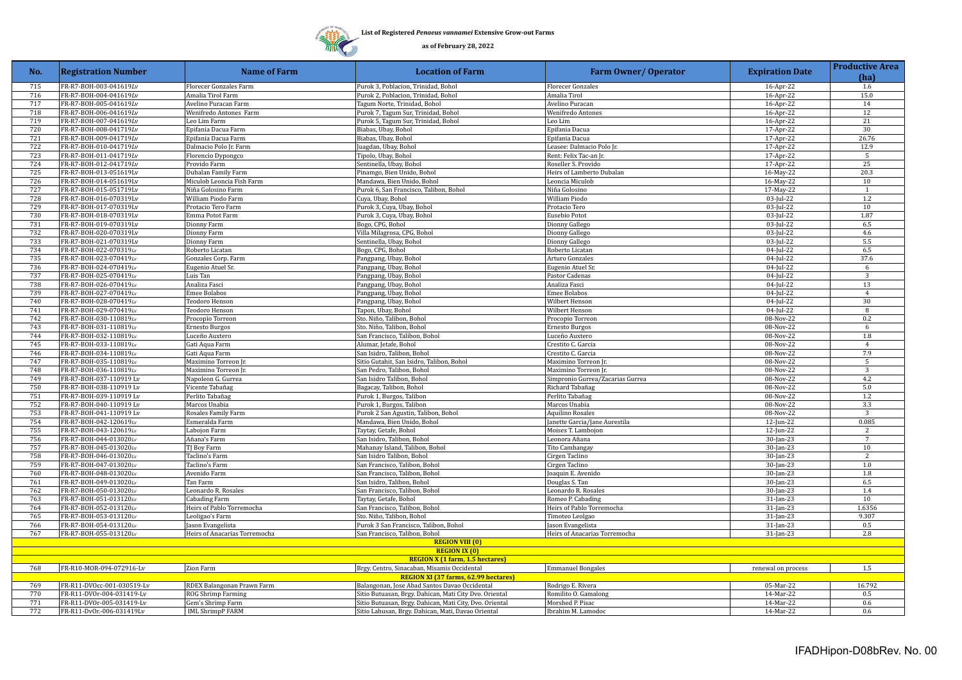## DD)

**List of Registered** *Penaeus vannamei* **Extensive Grow-out Farms**

| No.                                    | <b>Registration Number</b>                       | Name of Farm                               | <b>Location of Farm</b>                                 | <b>Farm Owner/ Operator</b>                    | <b>Expiration Date</b>       | <b>Productive Area</b><br>(ha) |
|----------------------------------------|--------------------------------------------------|--------------------------------------------|---------------------------------------------------------|------------------------------------------------|------------------------------|--------------------------------|
| 715                                    | FR-R7-BOH-003-041619Lv                           | <b>Florecer Gonzales Farm</b>              | Purok 3, Poblacion, Trinidad, Bohol                     | <b>Florecer Gonzales</b>                       | 16-Apr-22                    | 1.6                            |
| 716                                    | FR-R7-BOH-004-041619Lv                           | Amalia Tirol Farm                          | Purok 2, Poblacion, Trinidad, Bohol                     | Amalia Tirol                                   | 16-Apr-22                    | 15.0                           |
| 717                                    | FR-R7-BOH-005-041619Lv                           | Avelino Puracan Farm                       | Tagum Norte, Trinidad, Bohol                            | Avelino Puracan                                | 16-Apr-22                    | 14                             |
| 718                                    | FR-R7-BOH-006-041619Lv                           | Wenifredo Antones Farm                     | Purok 7, Tagum Sur, Trinidad, Bohol                     | Wenifredo Antones                              | 16-Apr-22                    | 12                             |
| 719                                    | FR-R7-BOH-007-041619Lv                           | Leo Lim Farm                               | Purok 5, Tagum Sur, Trinidad, Bohol                     | Leo Lim                                        | 16-Apr-22                    | 21                             |
| 720                                    | FR-R7-BOH-008-041719Lv                           | Epifania Dacua Farm                        | Biabas, Ubay, Bohol                                     | Epifania Dacua                                 | 17-Apr-22                    | 30                             |
| 721                                    | FR-R7-BOH-009-041719Lv                           | Epifania Dacua Farm                        | Biabas, Ubay, Bohol                                     | Epifania Dacua                                 | 17-Apr-22                    | 26.76                          |
| 722                                    | FR-R7-BOH-010-041719Lv                           | Dalmacio Polo Jr. Farm                     | Juagdan, Ubay, Bohol                                    | Leasee: Dalmacio Polo Jr.                      | 17-Apr-22                    | 12.9                           |
| 723                                    | FR-R7-BOH-011-041719Lv                           | Florencio Dypongco                         | Tipolo, Ubay, Bohol                                     | Rent: Felix Tac-an Jr.                         | $17-Apr-22$                  | $\overline{5}$                 |
| 724                                    | FR-R7-BOH-012-041719Lv                           | Provido Farm                               | Sentinella, Ubay, Bohol                                 | Roseller S. Provido                            | 17-Apr-22                    | 25                             |
| 725                                    | FR-R7-BOH-013-051619Lv                           | Dubalan Family Farm                        | Pinamgo, Bien Unido, Bohol                              | Heirs of Lamberto Dubalan                      | 16-May-22                    | 20.3                           |
| 726                                    | FR-R7-BOH-014-051619Lv                           | Miculob Leoncia Fish Farm                  | Mandawa, Bien Unido, Bohol                              | Leoncia Miculob                                | 16-May-22                    | 10                             |
| 727                                    | FR-R7-BOH-015-051719Lv                           | Niña Golosino Farm                         | Purok 6, San Francisco, Talibon, Bohol                  | Niña Golosino                                  | 17-May-22                    | $\overline{1}$                 |
| 728                                    | FR-R7-BOH-016-070319Lv                           | William Piodo Farm                         | Cuya, Ubay, Bohol                                       | William Piodo                                  | 03-Jul-22                    | 1.2                            |
| 729<br>730                             | FR-R7-BOH-017-070319Lv                           | Protacio Tero Farm                         | Purok 3, Cuya, Ubay, Bohol                              | Protacio Tero                                  | 03-Jul-22                    | 10<br>1.87                     |
| 731                                    | FR-R7-BOH-018-070319Lv<br>FR-R7-BOH-019-070319Lv | Emma Potot Farm<br>Dionny Farm             | Purok 3, Cuya, Ubay, Bohol<br>Bogo, CPG, Bohol          | Eusebio Potot<br>Dionny Gallego                | 03-Jul-22<br>03-Jul-22       | 6.5                            |
| 732                                    | FR-R7-BOH-020-070319Lv                           | Dionny Farm                                | Villa Milagrosa, CPG, Bohol                             | Dionny Gallego                                 | 03-Jul-22                    | 4.6                            |
| 733                                    | FR-R7-BOH-021-070319Lv                           | Dionny Farm                                | Sentinella, Ubay, Bohol                                 | Dionny Gallego                                 | 03-Jul-22                    | 5.5                            |
| 734                                    | FR-R7-BOH-022-070319Lv                           | Roberto Licatan                            | Bogo, CPG, Bohol                                        | Roberto Licatan                                | 04-Jul-22                    | 6.5                            |
| 735                                    | FR-R7-BOH-023-070419Lv                           | Gonzales Corp. Farm                        | Pangpang, Ubay, Bohol                                   | Arturo Gonzales                                | 04-Jul-22                    | 37.6                           |
| 736                                    | FR-R7-BOH-024-070419Lv                           | Eugenio Atuel Sr.                          | Pangpang, Ubay, Bohol                                   | Eugenio Atuel Sr.                              | 04-Jul-22                    | 6                              |
| 737                                    | FR-R7-BOH-025-070419Lv                           | Luis Tan                                   | Pangpang, Ubay, Bohol                                   | Pastor Cadenas                                 | $04$ -Jul-22                 | $\overline{\mathbf{3}}$        |
| 738                                    | FR-R7-BOH-026-070419Lv                           | Analiza Fasci                              | Pangpang, Ubay, Bohol                                   | Analiza Fasci                                  | 04-Jul-22                    | 13                             |
| 739                                    | FR-R7-BOH-027-070419Lv                           | Emee Bolabos                               | Pangpang, Ubay, Bohol                                   | Emee Bolabos                                   | 04-Jul-22                    | $\overline{4}$                 |
| 740                                    | FR-R7-B0H-028-070419Lv                           | Teodoro Henson                             | Pangpang, Ubay, Bohol                                   | Wilbert Henson                                 | $04$ -Jul-22                 | $\overline{30}$                |
| 741                                    | FR-R7-BOH-029-070419Lv                           | <b>Feodoro Henson</b>                      | Tapon, Ubay, Bohol                                      | Wilbert Henson                                 | 04-Jul-22                    | 8                              |
| 742                                    | FR-R7-BOH-030-110819Lv                           | Procopio Torreon                           | Sto. Niño, Talibon, Bohol                               | Procopio Torreon                               | 08-Nov-22                    | 0.2                            |
| 743                                    | FR-R7-BOH-031-110819Lv                           | Ernesto Burgos                             | Sto. Niño, Talibon, Bohol                               | Ernesto Burgos                                 | 08-Nov-22                    | 6                              |
| 744                                    | FR-R7-BOH-032-110819Lv                           | Luceño Auxtero                             | San Francisco, Talibon, Bohol                           | Luceño Auxtero                                 | 08-Nov-22                    | 1.8                            |
| 745                                    | FR-R7-BOH-033-110819Lv                           | Gati Aqua Farm                             | Alumar, Jetafe, Bohol                                   | Crestito C. Garcia                             | 08-Nov-22                    | $\overline{4}$                 |
| 746                                    | FR-R7-BOH-034-110819Lv                           | Gati Aqua Farm                             | San Isidro, Talibon, Bohol                              | Crestito C. Garcia                             | 08-Nov-22                    | 7.9                            |
| 747                                    | FR-R7-BOH-035-110819Lv                           | Maximino Torreon Jr.                       | Sitio Gutahit, San Isidro, Talibon, Bohol               | Maximino Torreon Jr.                           | 08-Nov-22                    | 5                              |
| 748                                    | FR-R7-BOH-036-110819Lv                           | Maximino Torreon In                        | San Pedro, Talibon, Bohol                               | Maximino Torreon Jr.                           | 08-Nov-22                    | 3                              |
| 749                                    | FR-R7-BOH-037-110919 Lv                          | Napoleon G. Gurrea                         | San Isidro Talibon, Bohol                               | Simpronio Gurrea/Zacarias Gurrea               | 08-Nov-22                    | 4.2                            |
| 750                                    | FR-R7-BOH-038-110919 Lv                          | Vicente Tabañag                            | Bagacay, Talibon, Bohol                                 | Richard Tabañag                                | 08-Nov-22                    | 5.0                            |
| 751                                    | FR-R7-B0H-039-110919 Lv                          | Perlito Tabañag                            | Purok 1, Burgos, Talibon                                | Perlito Tabañag                                | 08-Nov-22                    | 1.2                            |
| 752                                    | FR-R7-B0H-040-110919 Lv                          | Marcos Unabia                              | Purok 1, Burgos, Talibon                                | Marcos Unabia                                  | $08-Nov-22$                  | 3.3                            |
| 753                                    | FR-R7-BOH-041-110919 Lv                          | Rosales Family Farm                        | Purok 2 San Agustin, Talibon, Bohol                     | <b>Aquilino Rosales</b>                        | 08-Nov-22                    | 3                              |
| 754                                    | FR-R7-B0H-042-120619Lv                           | Esmeralda Farm                             | Mandawa, Bien Unido, Bohol                              | Janette Garcia/Jane Aurestila                  | 12-Jun-22                    | 0.085                          |
| 755                                    | FR-R7-BOH-043-120619Lv                           | Labojon Farm                               | Taytay, Getafe, Bohol                                   | Moises T. Lambojon                             | 12-Jun-22                    | 2                              |
| 756                                    | FR-R7-BOH-044-013020Lv                           | Añana's Farm                               | San Isidro, Talibon, Bohol                              | Leonora Añana                                  | 30-Jan-23                    | 7                              |
| 757                                    | FR-R7-BOH-045-013020Lv                           | TJ Boy Farm                                | Mahanay Island, Talibon, Bohol                          | Tito Cambangay                                 | 30-Jan-23                    | 10                             |
| 758                                    | FR-R7-BOH-046-013020Lv                           | Taclino's Farm                             | San Isidro Talibon, Bohol                               | Cirgen Taclino                                 | 30-Jan-23                    | $\overline{2}$                 |
| 759                                    | FR-R7-B0H-047-013020Lv                           | Taclino's Farm                             | San Francisco, Talibon, Bohol                           | Cirgen Taclino                                 | 30-Jan-23                    | 1.0                            |
| 760                                    | FR-R7-BOH-048-013020Lv                           | Avenido Farm                               | San Francisco, Talibon, Bohol                           | Joaquin E. Avenido                             | 30-Jan-23                    | 1.8                            |
| 761                                    | FR-R7-BOH-049-013020Lv                           | Tan Farm                                   | San Isidro, Talibon, Bohol                              | Douglas S. Tan                                 | 30-Jan-23                    | 6.5                            |
| 762<br>763                             | FR-R7-BOH-050-013020Lv<br>FR-R7-BOH-051-013120Lv | Leonardo R. Rosales                        | San Francisco, Talibon, Bohol                           | Leonardo R. Rosales                            | 30-Jan-23                    | 1.4<br>10                      |
| 764                                    | FR-R7-BOH-052-013120Lv                           | Cabading Farm<br>Heirs of Pablo Torremocha | Taytay, Getafe, Bohol<br>San Francisco, Talibon, Bohol  | Romeo P. Cabading<br>Heirs of Pablo Torremocha | $31$ -Jan-23<br>$31$ -Jan-23 | 1.6356                         |
| 765                                    | FR-R7-BOH-053-013120Lv                           |                                            | Sto. Niño, Talibon, Bohol                               | Timoteo Leolgao                                | $31$ -Jan-23                 | 9.307                          |
| 766                                    | FR-R7-BOH-054-013120Lv                           | eoligao's Farm<br>Jason Evangelista        | Purok 3 San Francisco, Talibon, Bohol                   | Jason Evangelista                              | 31-Jan-23                    | 0.5                            |
| 767                                    | FR-R7-BOH-055-013120Lv                           | Heirs of Anacarias Torremocha              | San Francisco, Talibon, Bohol                           | Heirs of Anacarias Torremocha                  | 31-Jan-23                    | 2.8                            |
|                                        |                                                  |                                            | <b>REGION VIII (0)</b>                                  |                                                |                              |                                |
|                                        |                                                  |                                            | <b>REGION IX (0)</b>                                    |                                                |                              |                                |
| <b>REGION X (1 farm, 1.5 hectares)</b> |                                                  |                                            |                                                         |                                                |                              |                                |
| 768                                    | FR-R10-MOR-094-072916-Lv                         | Zion Farm                                  | Brgy. Centro, Sinacaban, Misamis Occidental             | <b>Emmanuel Bongales</b>                       | renewal on process           | 1.5                            |
|                                        |                                                  |                                            | <b>REGION XI (37 farms, 62.99 hectares)</b>             |                                                |                              |                                |
| 769                                    | FR-R11-DVOcc-001-030519-Lv                       | RDEX Balangonan Prawn Farm                 | Balangonan, Jose Abad Santos Davao Occidental           | Rodrigo E. Rivera                              | 05-Mar-22                    | 16.792                         |
| 770                                    | FR-R11-DVOr-004-031419-Lv                        | ROG Shrimp Farming                         | Sitio Butuasan, Brgy. Dahican, Mati City Dvo. Oriental  | Romilito O. Gamalong                           | 14-Mar-22                    | 0.5                            |
| 771                                    | FR-R11-DVOr-005-031419-Lv                        | Gem's Shrimp Farm                          | Sitio Butuasan, Brgy. Dahican, Mati City, Dvo. Oriental | Morshed P. Pisac                               | 14-Mar-22                    | 0.6                            |
| 772                                    | FR-R11-DvOr - 006-031419Lv                       | <b>IML ShrimpP FARM</b>                    | Sitio Lahusan, Brgy. Dahican, Mati, Davao Oriental      | Ibrahim M. Lamodoc                             | 14-Mar-22                    | 0.6                            |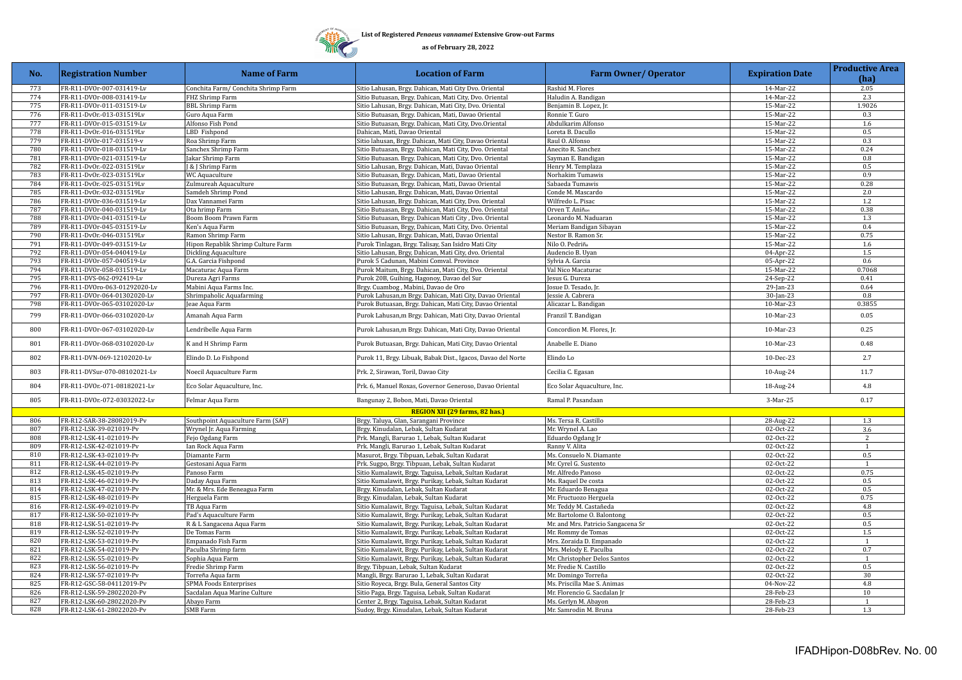

| No.        | <b>Registration Number</b>                             | <b>Name of Farm</b>                                        | <b>Location of Farm</b>                                                                                       | <b>Farm Owner/ Operator</b>                   | <b>Expiration Date</b> | <b>Productive Area</b><br>(ha) |
|------------|--------------------------------------------------------|------------------------------------------------------------|---------------------------------------------------------------------------------------------------------------|-----------------------------------------------|------------------------|--------------------------------|
| 773        | FR-R11-DVOr-007-031419-Lv                              | Conchita Farm/ Conchita Shrimp Farm                        | Sitio Lahusan, Brgy. Dahican, Mati City Dvo. Oriental                                                         | Rashid M. Flores                              | 14-Mar-22              | 2.05                           |
| 774        | FR-R11-DVOr-008-031419-Lv                              | FHZ Shrimp Farm                                            | Sitio Butuasan, Brgy. Dahican, Mati City, Dvo. Oriental                                                       | Haludin A. Bandigan                           | 14-Mar-22              | 2.3                            |
| 775        | FR-R11-DVOr-011-031519-Lv                              | <b>BBL Shrimp Farm</b>                                     | Sitio Lahusan, Brgy. Dahican, Mati City, Dvo. Oriental                                                        | Benjamin B. Lopez, Jr.                        | 15-Mar-22              | 1.9026                         |
| 776        | FR-R11-DvOr - 013-031519Lv                             | Guro Aqua Farm                                             | Sitio Butuasan, Brgy. Dahican, Mati, Davao Oriental                                                           | Ronnie T. Guro                                | 15-Mar-22              | 0.3                            |
| 777        | FR-R11-DVOr-015-031519-Lv                              | Alfonso Fish Pond                                          | Sitio Butuasan, Brgy. Dahican, Mati City, Dvo.Oriental                                                        | Abdulkarim Alfonso                            | 15-Mar-22              | 1.6                            |
| 778        | FR-R11-DvOr.-016-031519Lv                              | LBD Fishpond                                               | Dahican, Mati, Davao Oriental                                                                                 | Loreta B. Dacullo                             | 15-Mar-22              | 0.5                            |
| 779        | FR-R11-DVOr-017-031519-v                               | Roa Shrimp Farm                                            | Sitio lahusan, Brgy. Dahican, Mati City, Davao Oriental                                                       | Raul O. Alfonso                               | 15-Mar-22              | 0.3                            |
| 780        | FR-R11-DVOr-018-031519-Lv                              | Sanchex Shrimp Farm                                        | Sitio Butuasan, Brgy. Dahican, Mati City, Dvo. Oriental                                                       | Anecito R. Sanchez                            | 15-Mar-22              | 0.24                           |
| 781        | FR-R11-DVOr-021-031519-Lv                              | Jakar Shrimp Farm                                          | Sitio Butuasan. Brgy. Dahican, Mati City, Dvo. Oriental                                                       | Sayman E. Bandigan                            | 15-Mar-22              | 0.8                            |
| 782        | FR-R11-DvOr-022-031519Lv                               | & J Shrimp Farm                                            | Sitio Lahusan, Brgy. Dahican, Mati, Davao Oriental                                                            | Henry M. Templaza                             | 15-Mar-22              | 0.5                            |
| 783        | FR-R11-DvOr-023-031519Lv                               | WC Aquaculture                                             | Sitio Butuasan, Brgy. Dahican, Mati, Davao Oriental                                                           | Norhakim Tumawis                              | 15-Mar-22              | 0.9                            |
| 784        | FR-R11-DvOr-025-031519Lv                               | Zulmureah Aquaculture                                      | Sitio Butuasan, Brgy. Dahican, Mati, Davao Oriental                                                           | Sabaeda Tumawis                               | 15-Mar-22              | 0.28                           |
| 785        | FR-R11-DvOr-032-031519Lv                               | Samdeh Shrimp Pond                                         | Sitio Lahusan, Brgy. Dahican, Mati, Davao Oriental                                                            | Conde M. Mascardo                             | 15-Mar-22              | 2.0                            |
| 786        | FR-R11-DVOr-036-031519-Lv                              | Dax Vannamei Farm                                          | Sitio Lahusan, Brgy. Dahican, Mati City, Dvo. Oriental                                                        | Wilfredo L. Pisac                             | 15-Mar-22              | 1.2                            |
| 787        | FR-R11-DVOr-040-031519-Lv                              | Ota hrimp Farm                                             | Sitio Butuasan, Brgy. Dahican, Mati City, Dvo. Oriental                                                       | Orven T. Aniñon                               | 15-Mar-22              | 0.38                           |
| 788        | FR-R11-DVOr-041-031519-Lv                              | Boom Boom Prawn Farm                                       | Sitio Butuasan, Brgy. Dahican Mati City, Dvo. Oriental                                                        | Leonardo M. Naduaran                          | 15-Mar-22              | 1.3                            |
| 789        | FR-R11-DVOr-045-031519-Lv                              | Ken's Aqua Farm                                            | Sitio Butuasan, Brgy, Dahican, Mati City, Dvo. Oriental                                                       | Meriam Bandigan Sibayan                       | 15-Mar-22              | 0.4                            |
| 790<br>791 | FR-R11-DvOr-046-031519Lv                               | Ramon Shrimp Farm                                          | Sitio Lahusan, Brgy. Dahican, Mati, Davao Oriental                                                            | Nestor B. Ramon Sr.                           | $15-Mar-22$            | 0.75                           |
| 792        | FR-R11-DVOr-049-031519-Lv<br>FR-R11-DVOr-054-040419-Lv | Hipon Repablik Shrimp Culture Farm<br>Dickling Aquaculture | Purok Tinlagan, Brgy. Talisay, San Isidro Mati City<br>Sitio Lahusan, Brgy, Dahican, Mati City, dvo. Oriental | Nilo O. Pedriña<br>Audencio B. Uyan           | 15-Mar-22              | 1.6<br>$1.5\,$                 |
| 793        | FR-R11-DVOr-057-040519-Lv                              | G.A. Garcia Fishpond                                       | Purok 5 Cadunan, Mabini Comval. Province                                                                      | Sylvia A. Garcia                              | 04-Apr-22              | 0.6                            |
| 794        | FR-R11-DVOr-058-031519-Lv                              | Macaturac Aqua Farm                                        | Purok Maitum, Brgy. Dahican, Mati City, Dvo. Oriental                                                         | Val Nico Macaturac                            | 05-Apr-22<br>15-Mar-22 | 0.7068                         |
| 795        | FR-R11-DVS-062-092419-Lv                               | Dureza Agri Farms                                          | Purok 20B, Guihing, Hagonoy, Davao del Sur                                                                    | Jesus G. Dureza                               | 24-Sep-22              | 0.41                           |
| 796        | FR-R11-DVOro-063-01292020-Lv                           | Mabini Aqua Farms Inc.                                     | Brgy. Cuambog, Mabini, Davao de Oro                                                                           | Josue D. Tesado, Jr.                          | $29$ -Jan-23           | 0.64                           |
| 797        | FR-R11-DVOr-064-01302020-Lv                            | Shrimpaholic Aquafarming                                   | Purok Lahusan, m Brgy. Dahican, Mati City, Davao Oriental                                                     | Jessie A. Cabrera                             | 30-Jan-23              | 0.8                            |
| 798        | FR-R11-DVOr-065-03102020-Lv                            | Jeae Aqua Farm                                             | Purok Butuasan, Brgy. Dahican, Mati City, Davao Oriental                                                      | Alicazar L. Bandigan                          | 10-Mar-23              | 0.3855                         |
| 799        | FR-R11-DVOr-066-03102020-Lv                            | Amanah Aqua Farm                                           | Purok Lahusan, m Brgy. Dahican, Mati City, Davao Oriental                                                     | Franzil T. Bandigan                           | 10-Mar-23              | 0.05                           |
|            |                                                        |                                                            |                                                                                                               |                                               |                        |                                |
| 800        | FR-R11-DVOr-067-03102020-Lv                            | Lendribelle Aqua Farm                                      | Purok Lahusan, m Brgy. Dahican, Mati City, Davao Oriental                                                     | Concordion M. Flores, Jr.                     | 10-Mar-23              | 0.25                           |
| 801        | FR-R11-DVOr-068-03102020-Lv                            | K and H Shrimp Farm                                        | Purok Butuasan, Brgy. Dahican, Mati City, Davao Oriental                                                      | Anabelle E. Diano                             | 10-Mar-23              | 0.48                           |
| 802        | FR-R11-DVN-069-12102020-Lv                             | Elindo D. Lo Fishpond                                      | Purok 11, Brgy. Libuak, Babak Dist., Igacos, Davao del Norte                                                  | Elindo Lo                                     | 10-Dec-23              | 2.7                            |
| 803        | FR-R11-DVSur-070-08102021-Lv                           | Noecil Aquaculture Farm                                    | Prk. 2, Sirawan, Toril, Davao City                                                                            | Cecilia C. Egasan                             | 10-Aug-24              | 11.7                           |
| 804        | FR-R11-DVOr.-071-08182021-Lv                           | Eco Solar Aquaculture, Inc.                                | Prk. 6, Manuel Roxas, Governor Generoso, Davao Oriental                                                       | Eco Solar Aquaculture, Inc.                   | 18-Aug-24              | 4.8                            |
| 805        | FR-R11-DVOr.-072-03032022-Lv                           | Felmar Aqua Farm                                           | Bangunay 2, Bobon, Mati, Davao Oriental                                                                       | Ramal P. Pasandaan                            | 3-Mar-25               | 0.17                           |
|            |                                                        |                                                            | REGION XII (29 farms, 82 has.)                                                                                |                                               |                        |                                |
| 806        | FR-R12-SAR-38-28082019-Pv                              | Southpoint Aquaculture Farm (SAF)                          | Brgy. Taluya, Glan, Sarangani Province                                                                        | Ms. Tersa R. Castillo                         | 28-Aug-22              | $1.3\,$                        |
| 807        | FR-R12-LSK-39-021019-Pv                                | Wrynel Jr. Aqua Farming                                    | Brgy. Kinudalan, Lebak, Sultan Kudarat                                                                        | Mr. Wrynel A. Lao                             | 02-Oct-22              | 3.6                            |
| 808        | FR-R12-LSK-41-021019-Pv                                | Fejo Ogdang Farm                                           | Prk. Mangli, Barurao 1, Lebak, Sultan Kudarat                                                                 | Eduardo Ogdang Jr                             | 02-Oct-22              | 2                              |
| 809        | FR-R12-LSK-42-021019-Pv                                | Ian Rock Aqua Farm                                         | Prk. Mangli, Barurao 1, Lebak, Sultan Kudarat                                                                 | Ranny V. Alita                                | 02-Oct-22              | $\overline{1}$                 |
| 810        | FR-R12-LSK-43-021019-Pv                                | Diamante Farm                                              | Masurot, Brgy. Tibpuan, Lebak, Sultan Kudarat                                                                 | Ms. Consuelo N. Diamante                      | 02-Oct-22              | 0.5                            |
| 811        | FR-R12-LSK-44-021019-Pv                                | Gestosani Aqua Farm                                        | Prk. Sugpo, Brgy. Tibpuan, Lebak, Sultan Kudarat                                                              | Mr. Cyrel G. Sustento                         | 02-Oct-22              | 1                              |
| 812<br>813 | FR-R12-LSK-45-021019-Pv                                | Panoso Farm                                                | Sitio Kumalawit, Brgy. Taguisa, Lebak, Sultan Kudarat                                                         | Mr. Alfredo Panoso                            | 02-Oct-22              | 0.75<br>0.5                    |
| 814        | FR-R12-LSK-46-021019-Pv                                | Daday Aqua Farm                                            | Sitio Kumalawit, Brgy. Purikay, Lebak, Sultan Kudarat                                                         | Ms. Raquel De costa                           | 02-Oct-22              | 0.5                            |
| 815        | FR-R12-LSK-47-021019-Pv<br>FR-R12-LSK-48-021019-Pv     | Mr. & Mrs. Ede Beneagua Farm<br>Herguela Farm              | Brgy. Kinudalan, Lebak, Sultan Kudarat<br>Brgy. Kinudalan, Lebak, Sultan Kudarat                              | Mr. Eduardo Benagua<br>Mr. Fructuozo Herguela | 02-Oct-22<br>02-Oct-22 | 0.75                           |
| 816        | FR-R12-LSK-49-021019-Pv                                | TB Aqua Farm                                               | Sitio Kumalawit, Brgy. Taguisa, Lebak, Sultan Kudarat                                                         | Mr. Teddy M. Castañeda                        | 02-Oct-22              | 4.8                            |
| 817        | FR-R12-LSK-50-021019-Pv                                | Pad's Aquaculture Farm                                     | Sitio Kumalawit, Brgy. Purikay, Lebak, Sultan Kudarat                                                         | Mr. Bartolome O. Balontong                    | 02-Oct-22              | 0.5                            |
| 818        | FR-R12-LSK-51-021019-Pv                                | R & L Sangacena Aqua Farm                                  | Sitio Kumalawit, Brgy. Purikay, Lebak, Sultan Kudarat                                                         | Mr. and Mrs. Patricio Sangacena Sr            | 02-Oct-22              | 0.5                            |
| 819        | FR-R12-LSK-52-021019-Pv                                | De Tomas Farm                                              | Sitio Kumalawit, Brgy. Purikay, Lebak, Sultan Kudarat                                                         | Mr. Rommy de Tomas                            | 02-Oct-22              | 1.5                            |
| 820        | FR-R12-LSK-53-021019-Pv                                | Empanado Fish Farm                                         | Sitio Kumalawit, Brgy. Purikay, Lebak, Sultan Kudarat                                                         | Mrs. Zoraida D. Empanado                      | 02-Oct-22              | 1                              |
| 821        | FR-R12-LSK-54-021019-Pv                                | Paculba Shrimp farm                                        | Sitio Kumalawit, Brgy. Purikay, Lebak, Sultan Kudarat                                                         | Mrs. Melody E. Paculba                        | 02-Oct-22              | 0.7                            |
| 822        | FR-R12-LSK-55-021019-Pv                                | Sophia Aqua Farm                                           | Sitio Kumalawit, Brgy. Purikay, Lebak, Sultan Kudarat                                                         | Mr. Christopher Delos Santos                  | 02-Oct-22              | 1                              |
| 823        | FR-R12-LSK-56-021019-Pv                                | Fredie Shrimp Farm                                         | Brgy. Tibpuan, Lebak, Sultan Kudarat                                                                          | Mr. Fredie N. Castillo                        | 02-Oct-22              | 0.5                            |
| 824        | FR-R12-LSK-57-021019-Pv                                | Torreña Aqua farm                                          | Mangli, Brgy. Barurao 1, Lebak, Sultan Kudarat                                                                | Mr. Domingo Torreña                           | 02-Oct-22              | 30                             |
| 825        | FR-R12-GSC-58-04112019-Pv                              | SPMA Foods Enterprises                                     | Sitio Royeca, Brgy. Bula, General Santos City                                                                 | Ms. Priscilla Mae S. Animas                   | 04-Nov-22              | 4.8                            |
| 826        | FR-R12-LSK-59-28022020-Pv                              | Sacdalan Aqua Marine Culture                               | Sitio Paga, Brgy. Taguisa, Lebak, Sultan Kudarat                                                              | Mr. Florencio G. Sacdalan Jr                  | 28-Feb-23              | 10                             |
| 827        | FR-R12-LSK-60-28022020-Pv                              | Abayo Farm                                                 | Center 2, Brgy. Taguisa, Lebak, Sultan Kudarat                                                                | Ms. Gerlyn M. Abayon                          | 28-Feb-23              | $\mathbf{1}$                   |
| 828        | FR-R12-LSK-61-28022020-Pv                              | <b>SMB</b> Farm                                            | Sudoy, Brgy. Kinudalan, Lebak, Sultan Kudarat                                                                 | Mr. Samrodin M. Bruna                         | 28-Feb-23              | 1.3                            |